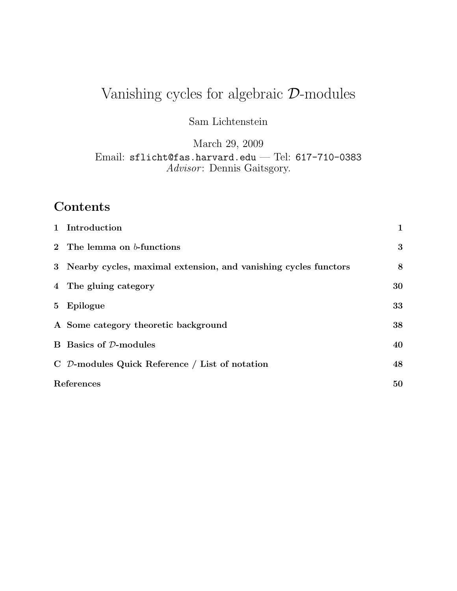# Vanishing cycles for algebraic D-modules

Sam Lichtenstein

March 29, 2009

Email: sflicht@fas.harvard.edu — Tel: 617-710-0383 Advisor: Dennis Gaitsgory.

# Contents

|                | 1 Introduction                                                    | $\mathbf 1$ |
|----------------|-------------------------------------------------------------------|-------------|
|                | 2 The lemma on $b$ -functions                                     | 3           |
|                | 3 Nearby cycles, maximal extension, and vanishing cycles functors | 8           |
|                | 4 The gluing category                                             | 30          |
| 5 <sub>1</sub> | Epilogue                                                          | 33          |
|                | A Some category theoretic background                              | 38          |
|                | <b>B</b> Basics of D-modules                                      | 40          |
|                | $\overline{C}$ D-modules Quick Reference / List of notation       | 48          |
|                | References                                                        |             |
|                |                                                                   |             |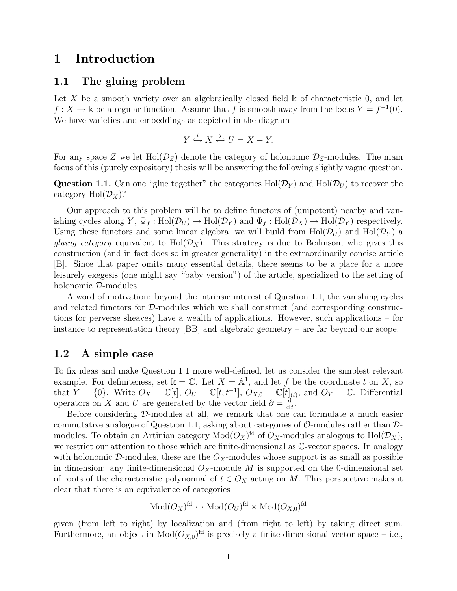## 1 Introduction

## 1.1 The gluing problem

Let X be a smooth variety over an algebraically closed field  $\&$  of characteristic 0, and let  $f: X \to \mathbb{k}$  be a regular function. Assume that f is smooth away from the locus  $Y = f^{-1}(0)$ . We have varieties and embeddings as depicted in the diagram

$$
Y \xrightarrow{i} X \xrightarrow{j} U = X - Y.
$$

For any space Z we let  $Hol(\mathcal{D}_Z)$  denote the category of holonomic  $\mathcal{D}_Z$ -modules. The main focus of this (purely expository) thesis will be answering the following slightly vague question.

**Question 1.1.** Can one "glue together" the categories  $Hol(\mathcal{D}_Y)$  and  $Hol(\mathcal{D}_U)$  to recover the category  $Hol(\mathcal{D}_X)$ ?

Our approach to this problem will be to define functors of (unipotent) nearby and vanishing cycles along Y,  $\Psi_f : Hol(\mathcal{D}_U) \to Hol(\mathcal{D}_Y)$  and  $\Phi_f : Hol(\mathcal{D}_X) \to Hol(\mathcal{D}_Y)$  respectively. Using these functors and some linear algebra, we will build from Hol( $\mathcal{D}_U$ ) and Hol( $\mathcal{D}_Y$ ) a *gluing category* equivalent to  $Hol(\mathcal{D}_X)$ . This strategy is due to Beilinson, who gives this construction (and in fact does so in greater generality) in the extraordinarily concise article [B]. Since that paper omits many essential details, there seems to be a place for a more leisurely exegesis (one might say "baby version") of the article, specialized to the setting of holonomic D-modules.

A word of motivation: beyond the intrinsic interest of Question 1.1, the vanishing cycles and related functors for D-modules which we shall construct (and corresponding constructions for perverse sheaves) have a wealth of applications. However, such applications – for instance to representation theory [BB] and algebraic geometry – are far beyond our scope.

## 1.2 A simple case

To fix ideas and make Question 1.1 more well-defined, let us consider the simplest relevant example. For definiteness, set  $\mathbb{k} = \mathbb{C}$ . Let  $X = \mathbb{A}^1$ , and let f be the coordinate t on X, so that  $Y = \{0\}$ . Write  $O_X = \mathbb{C}[t], O_U = \mathbb{C}[t, t^{-1}], O_{X,0} = \mathbb{C}[t]_{(t)}$ , and  $O_Y = \mathbb{C}$ . Differential operators on X and U are generated by the vector field  $\partial = \frac{d}{dt}$  $\frac{\mathrm{d}}{\mathrm{d}t}$ .

Before considering D-modules at all, we remark that one can formulate a much easier commutative analogue of Question 1.1, asking about categories of  $\mathcal{O}$ -modules rather than  $\mathcal{D}$ modules. To obtain an Artinian category  $Mod(O_X)^{fd}$  of  $O_X$ -modules analogous to  $Hol(\mathcal{D}_X)$ , we restrict our attention to those which are finite-dimensional as C-vector spaces. In analogy with holonomic D-modules, these are the  $O_X$ -modules whose support is as small as possible in dimension: any finite-dimensional  $O_X$ -module M is supported on the 0-dimensional set of roots of the characteristic polynomial of  $t \in O_X$  acting on M. This perspective makes it clear that there is an equivalence of categories

$$
\mathrm{Mod}(O_X)^{\text{fd}} \leftrightarrow \mathrm{Mod}(O_U)^{\text{fd}} \times \mathrm{Mod}(O_{X,0})^{\text{fd}}
$$

given (from left to right) by localization and (from right to left) by taking direct sum. Furthermore, an object in  $Mod(O_{X,0})^{\text{fd}}$  is precisely a finite-dimensional vector space – i.e.,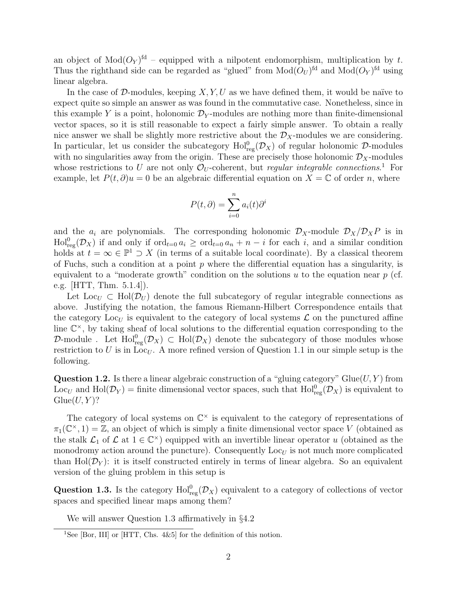an object of  $Mod(O_Y)^{fd}$  – equipped with a nilpotent endomorphism, multiplication by t. Thus the righthand side can be regarded as "glued" from  $Mod(O_U)$ <sup>fd</sup> and  $Mod(O_Y)$ <sup>fd</sup> using linear algebra.

In the case of D-modules, keeping  $X, Y, U$  as we have defined them, it would be naïve to expect quite so simple an answer as was found in the commutative case. Nonetheless, since in this example Y is a point, holonomic  $\mathcal{D}_Y$ -modules are nothing more than finite-dimensional vector spaces, so it is still reasonable to expect a fairly simple answer. To obtain a really nice answer we shall be slightly more restrictive about the  $\mathcal{D}_X$ -modules we are considering. In particular, let us consider the subcategory  $\text{Hol}_{\text{reg}}^0(\mathcal{D}_X)$  of regular holonomic  $\mathcal{D}$ -modules with no singularities away from the origin. These are precisely those holonomic  $\mathcal{D}_X$ -modules whose restrictions to U are not only  $\mathcal{O}_U$ -coherent, but *regular integrable connections*.<sup>1</sup> For example, let  $P(t, \partial)u = 0$  be an algebraic differential equation on  $X = \mathbb{C}$  of order n, where

$$
P(t, \partial) = \sum_{i=0}^{n} a_i(t) \partial^i
$$

and the  $a_i$  are polynomials. The corresponding holonomic  $\mathcal{D}_X$ -module  $\mathcal{D}_X/\mathcal{D}_X P$  is in  $\text{Hol}_{\text{reg}}^0(\mathcal{D}_X)$  if and only if  $\text{ord}_{t=0} a_i \geq \text{ord}_{t=0} a_n + n - i$  for each i, and a similar condition holds at  $t = \infty \in \mathbb{P}^1 \supset X$  (in terms of a suitable local coordinate). By a classical theorem of Fuchs, such a condition at a point  $p$  where the differential equation has a singularity, is equivalent to a "moderate growth" condition on the solutions  $u$  to the equation near  $p$  (cf. e.g.  $|HTT, Thm. 5.1.4|$ .

Let Loc<sub>U</sub>  $\subset$  Hol( $\mathcal{D}_{U}$ ) denote the full subcategory of regular integrable connections as above. Justifying the notation, the famous Riemann-Hilbert Correspondence entails that the category  $\text{Loc}_U$  is equivalent to the category of local systems  $\mathcal L$  on the punctured affine line  $\mathbb{C}^{\times}$ , by taking sheaf of local solutions to the differential equation corresponding to the D-module . Let  $\text{Hol}^0_{\text{reg}}(\mathcal{D}_X) \subset \text{Hol}(\mathcal{D}_X)$  denote the subcategory of those modules whose restriction to U is in Loc<sub>U</sub>. A more refined version of Question 1.1 in our simple setup is the following.

**Question 1.2.** Is there a linear algebraic construction of a "gluing category" Glue( $U, Y$ ) from Loc<sub>U</sub> and Hol( $\mathcal{D}_Y$ ) = finite dimensional vector spaces, such that Hol $_{reg}^{0}(\mathcal{D}_X)$  is equivalent to  $G$ lue $(U, Y)$ ?

The category of local systems on  $\mathbb{C}^{\times}$  is equivalent to the category of representations of  $\pi_1(\mathbb{C}^{\times}, 1) = \mathbb{Z}$ , an object of which is simply a finite dimensional vector space V (obtained as the stalk  $\mathcal{L}_1$  of  $\mathcal{L}$  at  $1 \in \mathbb{C}^\times$ ) equipped with an invertible linear operator u (obtained as the monodromy action around the puncture). Consequently  $\text{Loc}_U$  is not much more complicated than Hol $(\mathcal{D}_Y)$ : it is itself constructed entirely in terms of linear algebra. So an equivalent version of the gluing problem in this setup is

**Question 1.3.** Is the category  $\text{Hol}_{reg}^{0}(\mathcal{D}_X)$  equivalent to a category of collections of vector spaces and specified linear maps among them?

We will answer Question 1.3 affirmatively in §4.2

<sup>&</sup>lt;sup>1</sup>See [Bor, III] or [HTT, Chs.  $4\&5$ ] for the definition of this notion.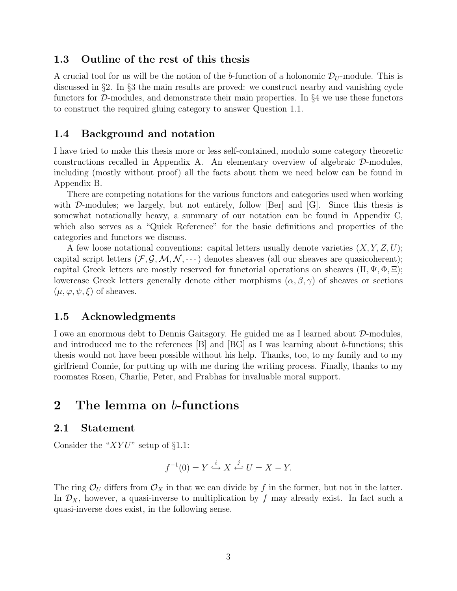## 1.3 Outline of the rest of this thesis

A crucial tool for us will be the notion of the b-function of a holonomic  $\mathcal{D}_{U}$ -module. This is discussed in §2. In §3 the main results are proved: we construct nearby and vanishing cycle functors for D-modules, and demonstrate their main properties. In §4 we use these functors to construct the required gluing category to answer Question 1.1.

#### 1.4 Background and notation

I have tried to make this thesis more or less self-contained, modulo some category theoretic constructions recalled in Appendix A. An elementary overview of algebraic D-modules, including (mostly without proof) all the facts about them we need below can be found in Appendix B.

There are competing notations for the various functors and categories used when working with  $\mathcal{D}\text{-modules}$ ; we largely, but not entirely, follow [Ber] and [G]. Since this thesis is somewhat notationally heavy, a summary of our notation can be found in Appendix C, which also serves as a "Quick Reference" for the basic definitions and properties of the categories and functors we discuss.

A few loose notational conventions: capital letters usually denote varieties  $(X, Y, Z, U)$ ; capital script letters  $(\mathcal{F}, \mathcal{G}, \mathcal{M}, \mathcal{N}, \cdots)$  denotes sheaves (all our sheaves are quasicoherent); capital Greek letters are mostly reserved for functorial operations on sheaves  $(\Pi, \Psi, \Phi, \Xi)$ ; lowercase Greek letters generally denote either morphisms  $(\alpha, \beta, \gamma)$  of sheaves or sections  $(\mu, \varphi, \psi, \xi)$  of sheaves.

#### 1.5 Acknowledgments

I owe an enormous debt to Dennis Gaitsgory. He guided me as I learned about D-modules, and introduced me to the references [B] and [BG] as I was learning about b-functions; this thesis would not have been possible without his help. Thanks, too, to my family and to my girlfriend Connie, for putting up with me during the writing process. Finally, thanks to my roomates Rosen, Charlie, Peter, and Prabhas for invaluable moral support.

# 2 The lemma on b-functions

## 2.1 Statement

Consider the " $XYU$ " setup of §1.1:

$$
f^{-1}(0) = Y \xrightarrow{i} X \xleftarrow{j} U = X - Y.
$$

The ring  $\mathcal{O}_U$  differs from  $\mathcal{O}_X$  in that we can divide by f in the former, but not in the latter. In  $\mathcal{D}_X$ , however, a quasi-inverse to multiplication by f may already exist. In fact such a quasi-inverse does exist, in the following sense.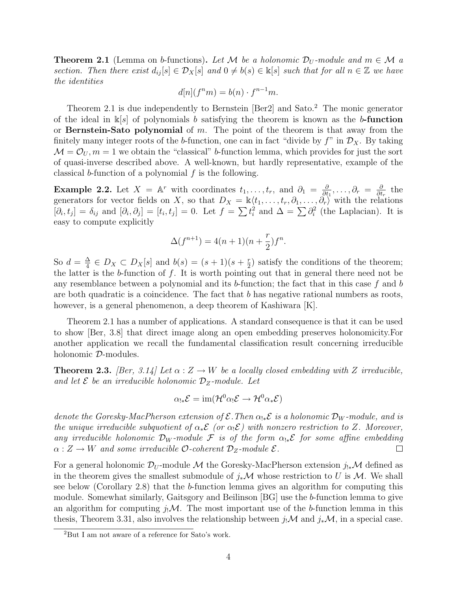**Theorem 2.1** (Lemma on b-functions). Let M be a holonomic  $\mathcal{D}_U$ -module and  $m \in \mathcal{M}$  a section. Then there exist  $d_{ij}[s] \in \mathcal{D}_X[s]$  and  $0 \neq b(s) \in \mathbb{k}[s]$  such that for all  $n \in \mathbb{Z}$  we have the identities

$$
d[n](f^nm) = b(n) \cdot f^{n-1}m.
$$

Theorem 2.1 is due independently to Bernstein [Ber2] and Sato.<sup>2</sup> The monic generator of the ideal in  $\mathbb{k}[s]$  of polynomials b satisfying the theorem is known as the b-function or **Bernstein-Sato polynomial** of  $m$ . The point of the theorem is that away from the finitely many integer roots of the b-function, one can in fact "divide by  $f$ " in  $\mathcal{D}_X$ . By taking  $\mathcal{M} = \mathcal{O}_U, m = 1$  we obtain the "classical" b-function lemma, which provides for just the sort of quasi-inverse described above. A well-known, but hardly representative, example of the classical b-function of a polynomial  $f$  is the following.

**Example 2.2.** Let  $X = \mathbb{A}^r$  with coordinates  $t_1, \ldots, t_r$ , and  $\partial_1 = \frac{\partial}{\partial t}$  $\frac{\partial}{\partial t_1},\ldots,\partial_r\ =\ \frac{\partial}{\partial t}$  $\frac{\partial}{\partial t_r}$  the generators for vector fields on X, so that  $D_X = \mathbb{k}\langle t_1, \ldots, t_r, \partial_1, \ldots, \partial_r \rangle$  with the relations  $[\partial_i, t_j] = \delta_{ij}$  and  $[\partial_i, \partial_j] = [t_i, t_j] = 0$ . Let  $f = \sum t_i^2$  and  $\Delta = \sum \partial_i^2$  (the Laplacian). It is easy to compute explicitly

$$
\Delta(f^{n+1}) = 4(n+1)(n+\frac{r}{2})f^n.
$$

So  $d = \frac{\Delta}{4}$  $\frac{\Delta}{4} \in D_X \subset D_X[s]$  and  $b(s) = (s+1)(s+\frac{r}{2})$  $(\frac{r}{2})$  satisfy the conditions of the theorem; the latter is the b-function of  $f$ . It is worth pointing out that in general there need not be any resemblance between a polynomial and its b-function; the fact that in this case f and b are both quadratic is a coincidence. The fact that b has negative rational numbers as roots, however, is a general phenomenon, a deep theorem of Kashiwara [K].

Theorem 2.1 has a number of applications. A standard consequence is that it can be used to show [Ber, 3.8] that direct image along an open embedding preserves holonomicity.For another application we recall the fundamental classification result concerning irreducible holonomic D-modules.

**Theorem 2.3.** [Ber, 3.14] Let  $\alpha$  :  $Z \rightarrow W$  be a locally closed embedding with Z irreducible, and let  $\mathcal E$  be an irreducible holonomic  $\mathcal D_Z$ -module. Let

$$
\alpha_{!*}{\mathcal E}=\operatorname{im}({\mathcal H}^0\alpha_!{\mathcal E}\to{\mathcal H}^0\alpha_*{\mathcal E})
$$

denote the Goresky-MacPherson extension of  $\mathcal{E}$ . Then  $\alpha_{!*}\mathcal{E}$  is a holonomic  $\mathcal{D}_W$ -module, and is the unique irreducible subquotient of  $\alpha_*\mathcal{E}$  (or  $\alpha_1\mathcal{E}$ ) with nonzero restriction to Z. Moreover, any irreducible holonomic  $\mathcal{D}_W$ -module F is of the form  $\alpha_{!*}\mathcal{E}$  for some affine embedding  $\alpha: Z \to W$  and some irreducible O-coherent  $\mathcal{D}_Z$ -module  $\mathcal{E}.$  $\Box$ 

For a general holonomic  $\mathcal{D}_U$ -module M the Goresky-MacPherson extension  $j_{!*}{\mathcal{M}}$  defined as in the theorem gives the smallest submodule of  $j_*\mathcal{M}$  whose restriction to U is M. We shall see below (Corollary 2.8) that the b-function lemma gives an algorithm for computing this module. Somewhat similarly, Gaitsgory and Beilinson [BG] use the b-function lemma to give an algorithm for computing  $j_!M$ . The most important use of the b-function lemma in this thesis, Theorem 3.31, also involves the relationship between  $j_!\mathcal{M}$  and  $j_*\mathcal{M}$ , in a special case.

<sup>2</sup>But I am not aware of a reference for Sato's work.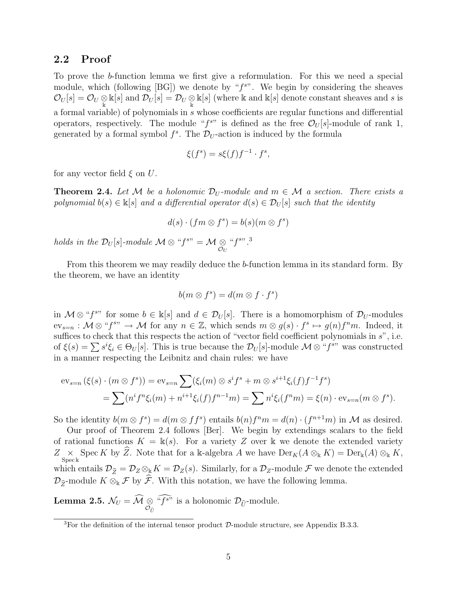## 2.2 Proof

To prove the b-function lemma we first give a reformulation. For this we need a special module, which (following  $[BG]$ ) we denote by " $f^{s}$ ". We begin by considering the sheaves  $\mathcal{O}_U[s] = \mathcal{O}_U \otimes \Bbbk[s]$  and  $\mathcal{D}_U[s] = \mathcal{D}_U \otimes \Bbbk[s]$  (where k and  $\Bbbk[s]$  denote constant sheaves and s is a formal variable) of polynomials in s whose coefficients are regular functions and differential operators, respectively. The module " $f^{s}$ " is defined as the free  $\mathcal{O}_U[s]$ -module of rank 1, generated by a formal symbol  $f^s$ . The  $\mathcal{D}_U$ -action is induced by the formula

$$
\xi(f^s) = s\xi(f)f^{-1} \cdot f^s,
$$

for any vector field  $\xi$  on U.

**Theorem 2.4.** Let M be a holonomic  $\mathcal{D}_U$ -module and  $m \in \mathcal{M}$  a section. There exists a polynomial  $b(s) \in \mathbb{K}[s]$  and a differential operator  $d(s) \in \mathcal{D}_{U}[s]$  such that the identity

$$
d(s) \cdot (fm \otimes f^s) = b(s)(m \otimes f^s)
$$

holds in the  $\mathcal{D}_U[s]$ -module  $\mathcal{M} \otimes \degree f^{s\cdots} = \mathcal{M} \otimes \degree$  $\mathcal{O}_U$ " $f^{s}$ ".

From this theorem we may readily deduce the b-function lemma in its standard form. By the theorem, we have an identity

$$
b(m \otimes f^s) = d(m \otimes f \cdot f^s)
$$

in  $\mathcal{M} \otimes H^{(s)}$  for some  $b \in \mathbb{k}[s]$  and  $d \in \mathcal{D}_U[s]$ . There is a homomorphism of  $\mathcal{D}_U$ -modules  $ev_{s=n} : \mathcal{M} \otimes \mathcal{M} \text{ for any } n \in \mathbb{Z}, \text{ which sends } m \otimes g(s) \cdot f^s \mapsto g(n)f^nm. \text{ Indeed, it$ suffices to check that this respects the action of "vector field coefficient polynomials in  $s$ ", i.e. of  $\xi(s) = \sum s^i \xi_i \in \Theta_U[s]$ . This is true because the  $\mathcal{D}_U[s]$ -module  $\mathcal{M} \otimes \mathcal{L}$ <sup>s</sup>" was constructed in a manner respecting the Leibnitz and chain rules: we have

$$
ev_{s=n}(\xi(s) \cdot (m \otimes f^s)) = ev_{s=n} \sum (\xi_i(m) \otimes s^i f^s + m \otimes s^{i+1} \xi_i(f) f^{-1} f^s)
$$
  
= 
$$
\sum (n^i f^n \xi_i(m) + n^{i+1} \xi_i(f) f^{n-1} m) = \sum n^i \xi_i(f^n m) = \xi(n) \cdot ev_{s=n}(m \otimes f^s).
$$

So the identity  $b(m \otimes f^s) = d(m \otimes ff^s)$  entails  $b(n)f^nm = d(n) \cdot (f^{n+1}m)$  in M as desired.

Our proof of Theorem 2.4 follows [Ber]. We begin by extendings scalars to the field of rational functions  $K = \mathbb{k}(s)$ . For a variety Z over k we denote the extended variety  $Z \underset{\text{Spec } k}{\times}$  Spec K by  $\widehat{Z}$ . Note that for a k-algebra A we have  $\text{Der}_K(A \otimes_k K) = \text{Der}_k(A) \otimes_k K$ , which entails  $\mathcal{D}_{\widehat{Z}} = \mathcal{D}_Z \otimes_k K = \mathcal{D}_Z(s)$ . Similarly, for a  $\mathcal{D}_Z$ -module  $\mathcal F$  we denote the extended  $\mathcal{D}_{\hat{Z}}$ -module  $K \otimes_{\mathbb{k}} \mathcal{F}$  by  $\hat{\mathcal{F}}$ . With this notation, we have the following lemma.

**Lemma 2.5.**  $\mathcal{N}_U = \mathcal{M} \underset{\mathcal{O}_{\widehat{U}}}{\otimes}$  " $f^{s}$ " is a holonomic  $\mathcal{D}_{\widehat{U}}$ -module.

<sup>&</sup>lt;sup>3</sup>For the definition of the internal tensor product  $D$ -module structure, see Appendix B.3.3.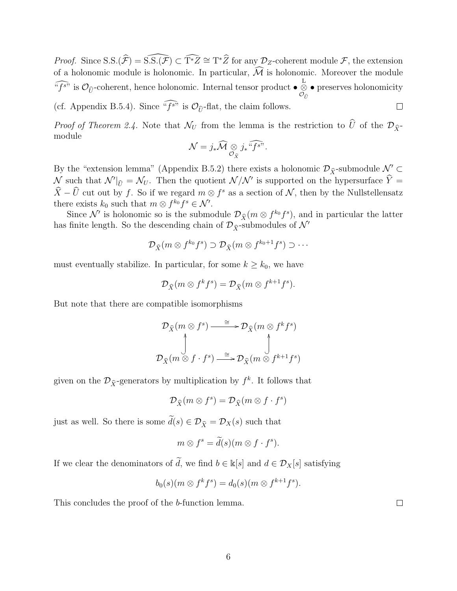*Proof.* Since S.S. $(\hat{\mathcal{F}}) = \widehat{S.S.(\mathcal{F})} \subset \widehat{T^*Z} \cong T^*\hat{Z}$  for any  $\mathcal{D}_Z$ -coherent module  $\mathcal{F}$ , the extension of a holonomic module is holonomic. In particular,  $\widehat{\mathcal{M}}$  is holonomic. Moreover the module  $\widehat{f^{s}}$  is  $\mathcal{O}_{\widehat{U}}$ -coherent, hence holonomic. Internal tensor product  $\bullet$   $\bigotimes_{\mathcal{O}_{\widehat{U}}}$ • preserves holonomicity  $\mathcal{O}_{\widehat{U}}$ (cf. Appendix B.5.4). Since " $f^{s}$ " is  $\mathcal{O}_{\widehat{U}}$ -flat, the claim follows.  $\Box$ 

*Proof of Theorem 2.4.* Note that  $\mathcal{N}_U$  from the lemma is the restriction to  $\widehat{U}$  of the  $\mathcal{D}_{\widehat{X}}$ module

$$
\mathcal{N}=j_*\widehat{\mathcal{M}}\underset{\mathcal{O}_{\widehat{X}}}{\otimes}j_*\widehat{f_s^{\prime\prime}}.
$$

By the "extension lemma" (Appendix B.5.2) there exists a holonomic  $\mathcal{D}_{\hat{X}}$ -submodule  $\mathcal{N}' \subset$  $\mathcal{N}$  such that  $\mathcal{N}|_{\widehat{U}} = \mathcal{N}_U$ . Then the quotient  $\mathcal{N}/\mathcal{N}'$  is supported on the hypersurface  $\widehat{Y} = \widehat{X}$  $\hat{X} - \hat{U}$  cut out by f. So if we regard  $m \otimes f^s$  as a section of N, then by the Nullstellensatz there exists  $k_0$  such that  $m \otimes f^{k_0} f^s \in \mathcal{N}'$ .

Since N' is holonomic so is the submodule  $\mathcal{D}_{\hat{X}}(m \otimes f^{k_0} f^s)$ , and in particular the latter has finite length. So the descending chain of  $\mathcal{D}_{\hat{X}}$ -submodules of  $\mathcal{N}'$ 

$$
\mathcal{D}_{\widehat{X}}(m \otimes f^{k_0} f^s) \supset \mathcal{D}_{\widehat{X}}(m \otimes f^{k_0+1} f^s) \supset \cdots
$$

must eventually stabilize. In particular, for some  $k \geq k_0$ , we have

$$
\mathcal{D}_{\widehat{X}}(m \otimes f^k f^s) = \mathcal{D}_{\widehat{X}}(m \otimes f^{k+1} f^s).
$$

But note that there are compatible isomorphisms

$$
\mathcal{D}_{\widehat{X}}(m \otimes f^s) \xrightarrow{\cong} \mathcal{D}_{\widehat{X}}(m \otimes f^k f^s)
$$
  

$$
\downarrow \qquad \qquad \downarrow
$$
  

$$
\mathcal{D}_{\widehat{X}}(m \otimes f \cdot f^s) \xrightarrow{\cong} \mathcal{D}_{\widehat{X}}(m \otimes f^{k+1} f^s)
$$

given on the  $\mathcal{D}_{\hat{X}}$ -generators by multiplication by  $f^k$ . It follows that

$$
\mathcal{D}_{\widehat{X}}(m\otimes f^s)=\mathcal{D}_{\widehat{X}}(m\otimes f\cdot f^s)
$$

just as well. So there is some  $\tilde{d}(s) \in \mathcal{D}_{\tilde{X}} = \mathcal{D}_X(s)$  such that

$$
m \otimes f^s = \widetilde{d}(s)(m \otimes f \cdot f^s).
$$

If we clear the denominators of  $\tilde{d}$ , we find  $b \in \mathbb{k}[s]$  and  $d \in \mathcal{D}_X[s]$  satisfying

$$
b_0(s)(m \otimes f^k f^s) = d_0(s)(m \otimes f^{k+1} f^s).
$$

This concludes the proof of the b-function lemma.

 $\Box$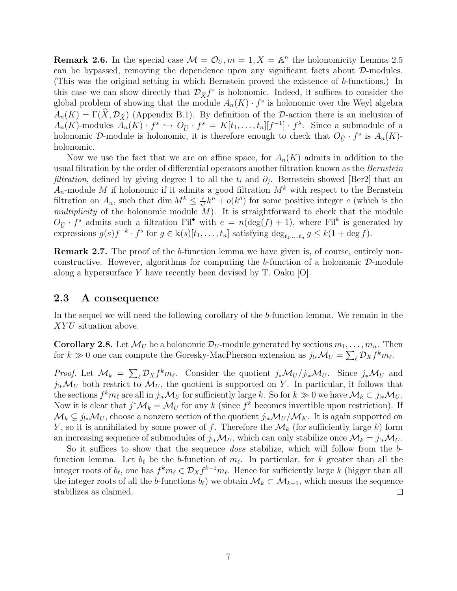**Remark 2.6.** In the special case  $\mathcal{M} = \mathcal{O}_U, m = 1, X = \mathbb{A}^n$  the holonomicity Lemma 2.5 can be bypassed, removing the dependence upon any significant facts about  $\mathcal{D}$ -modules. (This was the original setting in which Bernstein proved the existence of b-functions.) In this case we can show directly that  $\mathcal{D}_{\hat{X}}f^s$  is holonomic. Indeed, it suffices to consider the global problem of showing that the module  $A_n(K) \cdot f^s$  is holonomic over the Weyl algebra  $A_n(K) = \Gamma(\widehat{X}, \mathcal{D}_{\widehat{X}})$  (Appendix B.1). By definition of the D-action there is an inclusion of  $A_n(K)$ -modules  $A_n(K) \cdot f^s \hookrightarrow O_{\widehat{U}} \cdot f^s = K[t_1, \ldots, t_n][f^{-1}] \cdot f^{\lambda}$ . Since a submodule of a holonomic D-module is holonomic, it is therefore enough to check that  $O_{\widehat{U}} \cdot f^s$  is  $A_n(K)$ holonomic.

Now we use the fact that we are on affine space, for  $A_n(K)$  admits in addition to the usual filtration by the order of differential operators another filtration known as the Bernstein *filtration*, defined by giving degree 1 to all the  $t_i$  and  $\partial_j$ . Bernstein showed [Ber2] that an  $A_n$ -module M if holonomic if it admits a good filtration  $M^k$  with respect to the Bernstein filtration on  $A_n$ , such that dim  $M^k \leq \frac{e}{n}$  $\frac{e}{n!}k^n + o(k^d)$  for some positive integer e (which is the multiplicity of the holonomic module  $M$ ). It is straightforward to check that the module  $O_{\widehat{U}} \cdot f^s$  admits such a filtration Fil<sup>•</sup> with  $e = n(\deg(f) + 1)$ , where Fil<sup>k</sup> is generated by expressions  $g(s)f^{-k} \cdot f^s$  for  $g \in \mathbb{k}(s)[t_1,\ldots,t_n]$  satisfying  $\deg_{t_1,\ldots,t_n} g \leq k(1+\deg f)$ .

Remark 2.7. The proof of the b-function lemma we have given is, of course, entirely nonconstructive. However, algorithms for computing the  $b$ -function of a holonomic  $D$ -module along a hypersurface Y have recently been devised by T. Oaku  $[O]$ .

## 2.3 A consequence

In the sequel we will need the following corollary of the b-function lemma. We remain in the XYU situation above.

**Corollary 2.8.** Let  $\mathcal{M}_U$  be a holonomic  $\mathcal{D}_U$ -module generated by sections  $m_1, \ldots, m_n$ . Then for  $k \gg 0$  one can compute the Goresky-MacPherson extension as  $j_{!*}{\cal M}_U = \sum_\ell {\cal D}_X f^k m_\ell$ .

*Proof.* Let  $\mathcal{M}_k = \sum_{\ell} \mathcal{D}_X f^k m_{\ell}$ . Consider the quotient  $j_*\mathcal{M}_U/j_{!*}\mathcal{M}_U$ . Since  $j_*\mathcal{M}_U$  and  $j_{!*}{\mathcal{M}}_U$  both restrict to  ${\mathcal{M}}_U$ , the quotient is supported on Y. In particular, it follows that the sections  $f^k m_\ell$  are all in  $j_{!*}M_U$  for sufficiently large k. So for  $k \gg 0$  we have  $\mathcal{M}_k \subset j_{!*}\mathcal{M}_U$ . Now it is clear that  $j^*\mathcal{M}_k = \mathcal{M}_U$  for any k (since  $f^k$  becomes invertible upon restriction). If  $\mathcal{M}_k \subsetneq j_{!*}\mathcal{M}_U$ , choose a nonzero section of the quotient  $j_{!*}\mathcal{M}_U/\mathcal{M}_K$ . It is again supported on Y, so it is annihilated by some power of f. Therefore the  $\mathcal{M}_k$  (for sufficiently large k) form an increasing sequence of submodules of  $j_{!*}{\cal M}_U$ , which can only stabilize once  ${\cal M}_k = j_{!*}{\cal M}_U$ .

So it suffices to show that the sequence *does* stabilize, which will follow from the bfunction lemma. Let  $b_\ell$  be the b-function of  $m_\ell$ . In particular, for k greater than all the integer roots of  $b_\ell$ , one has  $f^k m_\ell \in \mathcal{D}_X f^{k+1} m_\ell$ . Hence for sufficiently large k (bigger than all the integer roots of all the b-functions  $b_{\ell}$ ) we obtain  $\mathcal{M}_k \subset \mathcal{M}_{k+1}$ , which means the sequence stabilizes as claimed.  $\Box$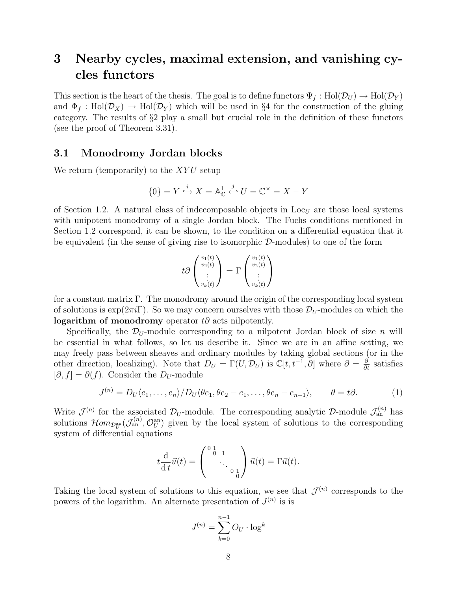# 3 Nearby cycles, maximal extension, and vanishing cycles functors

This section is the heart of the thesis. The goal is to define functors  $\Psi_f : Hol(\mathcal{D}_U) \to Hol(\mathcal{D}_Y)$ and  $\Phi_f : Hol(\mathcal{D}_X) \to Hol(\mathcal{D}_Y)$  which will be used in §4 for the construction of the gluing category. The results of §2 play a small but crucial role in the definition of these functors (see the proof of Theorem 3.31).

## 3.1 Monodromy Jordan blocks

We return (temporarily) to the  $XYU$  setup

$$
\{0\} = Y \stackrel{i}{\hookrightarrow} X = \mathbb{A}^1_{\mathbb{C}} \stackrel{j}{\hookleftarrow} U = \mathbb{C}^{\times} = X-Y
$$

of Section 1.2. A natural class of indecomposable objects in  $\text{Loc}_{U}$  are those local systems with unipotent monodromy of a single Jordan block. The Fuchs conditions mentioned in Section 1.2 correspond, it can be shown, to the condition on a differential equation that it be equivalent (in the sense of giving rise to isomorphic  $\mathcal{D}$ -modules) to one of the form

$$
t\partial\begin{pmatrix}v_1(t)\\v_2(t)\\\vdots\\v_k(t)\end{pmatrix}=\Gamma\begin{pmatrix}v_1(t)\\v_2(t)\\\vdots\\v_k(t)\end{pmatrix}
$$

for a constant matrix Γ. The monodromy around the origin of the corresponding local system of solutions is  $\exp(2\pi i\Gamma)$ . So we may concern ourselves with those  $\mathcal{D}_{U}$ -modules on which the logarithm of monodromy operator  $t\partial$  acts nilpotently.

Specifically, the  $\mathcal{D}_U$ -module corresponding to a nilpotent Jordan block of size n will be essential in what follows, so let us describe it. Since we are in an affine setting, we may freely pass between sheaves and ordinary modules by taking global sections (or in the other direction, localizing). Note that  $D_U = \Gamma(U, \mathcal{D}_U)$  is  $\mathbb{C}[t, t^{-1}, \partial]$  where  $\partial = \frac{\partial}{\partial t}$  satisfies  $[\partial, f] = \partial(f)$ . Consider the D<sub>U</sub>-module

$$
J^{(n)} = D_U \langle e_1, \dots, e_n \rangle / D_U \langle \theta e_1, \theta e_2 - e_1, \dots, \theta e_n - e_{n-1} \rangle, \qquad \theta = t \partial. \tag{1}
$$

Write  $\mathcal{J}^{(n)}$  for the associated  $\mathcal{D}_U$ -module. The corresponding analytic  $\mathcal{D}$ -module  $\mathcal{J}^{(n)}_{\text{an}}$  has solutions  $\mathcal{H}om_{\mathcal{D}_U^{\rm an}}(\mathcal{J}_{\rm an}^{(n)}, \mathcal{O}_U^{\rm an})$  given by the local system of solutions to the corresponding system of differential equations

$$
t\frac{\mathrm{d}}{\mathrm{d}t}\vec{u}(t) = \begin{pmatrix} 0 & 1 & 0 \\ 0 & 0 & 1 \\ 0 & 0 & 0 \end{pmatrix} \vec{u}(t) = \Gamma \vec{u}(t).
$$

Taking the local system of solutions to this equation, we see that  $\mathcal{J}^{(n)}$  corresponds to the powers of the logarithm. An alternate presentation of  $J^{(n)}$  is is

$$
J^{(n)} = \sum_{k=0}^{n-1} O_U \cdot \log^k
$$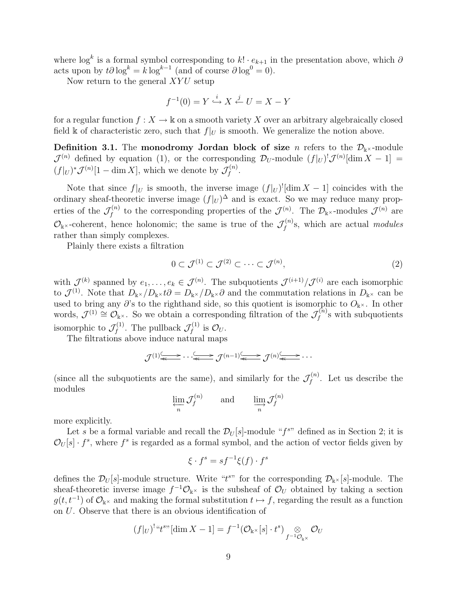where  $\log^k$  is a formal symbol corresponding to  $k! \cdot e_{k+1}$  in the presentation above, which  $\partial$ acts upon by  $t\partial \log^k = k \log^{k-1}$  (and of course  $\partial \log^0 = 0$ ).

Now return to the general  $XYU$  setup

$$
f^{-1}(0) = Y \xrightarrow{i} X \xleftarrow{j} U = X - Y
$$

for a regular function  $f: X \to \mathbb{k}$  on a smooth variety X over an arbitrary algebraically closed field k of characteristic zero, such that  $f|_U$  is smooth. We generalize the notion above.

**Definition 3.1.** The monodromy Jordan block of size *n* refers to the  $\mathcal{D}_{k}$  -module  $\mathcal{J}^{(n)}$  defined by equation (1), or the corresponding  $\mathcal{D}_U$ -module  $(f|_U)^! \mathcal{J}^{(n)}[\dim X - 1] =$  $(f|_U)^*\mathcal{J}^{(n)}[1-\dim X],$  which we denote by  $\mathcal{J}_f^{(n)}$  $f^{(n)}.$ 

Note that since  $f|_U$  is smooth, the inverse image  $(f|_U)^{!}[\dim X - 1]$  coincides with the ordinary sheaf-theoretic inverse image  $(f|_U)^{\Delta}$  and is exact. So we may reduce many properties of the  $\mathcal{J}_f^{(n)}$  $\mathcal{J}^{(n)}$  to the corresponding properties of the  $\mathcal{J}^{(n)}$ . The  $\mathcal{D}_{\mathbb{k}^{\times}}$ -modules  $\mathcal{J}^{(n)}$  are  $\mathcal{O}_{\mathbb{k}^{\times}}$ -coherent, hence holonomic; the same is true of the  $\mathcal{J}_{f}^{(n)}$  $f_f^{(n)}$ s, which are actual modules rather than simply complexes.

Plainly there exists a filtration

$$
0 \subset \mathcal{J}^{(1)} \subset \mathcal{J}^{(2)} \subset \cdots \subset \mathcal{J}^{(n)},\tag{2}
$$

with  $\mathcal{J}^{(k)}$  spanned by  $e_1,\ldots,e_k\in\mathcal{J}^{(n)}$ . The subquotients  $\mathcal{J}^{(i+1)}/\mathcal{J}^{(i)}$  are each isomorphic to  $\mathcal{J}^{(1)}$ . Note that  $D_{\mathbb{k}^\times}/D_{\mathbb{k}^\times}$  to  $D_{\mathbb{k}^\times}/D_{\mathbb{k}^\times}$  and the commutation relations in  $D_{\mathbb{k}^\times}$  can be used to bring any  $\partial$ 's to the righthand side, so this quotient is isomorphic to  $O_{\mathbb{k}^{\times}}$ . In other words,  $\mathcal{J}^{(1)} \cong \mathcal{O}_{\mathbb{k}^{\times}}$ . So we obtain a corresponding filtration of the  $\mathcal{J}_{f}^{(n)}$  $f_f^{(n)}$ s with subquotients isomorphic to  $\mathcal{J}_f^{(1)}$  $f_f^{(1)}$ . The pullback  $\mathcal{J}_f^{(1)}$  $\int_f^{(1)}$  is  $\mathcal{O}_U$ .

The filtrations above induce natural maps

$$
\mathcal{J}^{(1)} \stackrel{\longleftarrow}{\longleftarrow} \cdots \stackrel{\longleftarrow}{\longleftarrow} \mathcal{J}^{(n-1)} \stackrel{\longleftarrow}{\longleftarrow} \mathcal{J}^{(n)} \stackrel{\longleftarrow}{\longleftarrow} \cdots
$$

(since all the subquotients are the same), and similarly for the  $\mathcal{J}_{f}^{(n)}$  $f_f^{(n)}$ . Let us describe the modules

 $\varprojlim_n \mathcal{J}_f^{(n)}$  $f_f^{(n)}$  and  $\lim_{n} J_f^{(n)}$ f

more explicitly.

Let s be a formal variable and recall the  $\mathcal{D}_U[s]$ -module " $f^{sv}$  defined as in Section 2; it is  $\mathcal{O}_U[s] \cdot f^s$ , where  $f^s$  is regarded as a formal symbol, and the action of vector fields given by

$$
\xi \cdot f^s = s f^{-1} \xi(f) \cdot f^s
$$

defines the  $\mathcal{D}_U[s]$ -module structure. Write "t<sup>s"</sup> for the corresponding  $\mathcal{D}_{\mathbf{k}} \times [s]$ -module. The sheaf-theoretic inverse image  $f^{-1}\mathcal{O}_{\mathbb{k}^{\times}}$  is the subsheaf of  $\mathcal{O}_U$  obtained by taking a section  $g(t, t^{-1})$  of  $\mathcal{O}_{\mathbb{K}^{\times}}$  and making the formal substitution  $t \mapsto f$ , regarding the result as a function on U. Observe that there is an obvious identification of

$$
(f|_U)^{1} f^{s} f^{s} [\dim X - 1] = f^{-1} (\mathcal{O}_{\mathbb{R}^{\times}}[s] \cdot t^s) \underset{f^{-1} \mathcal{O}_{\mathbb{R}^{\times}}}{\otimes} \mathcal{O}_U
$$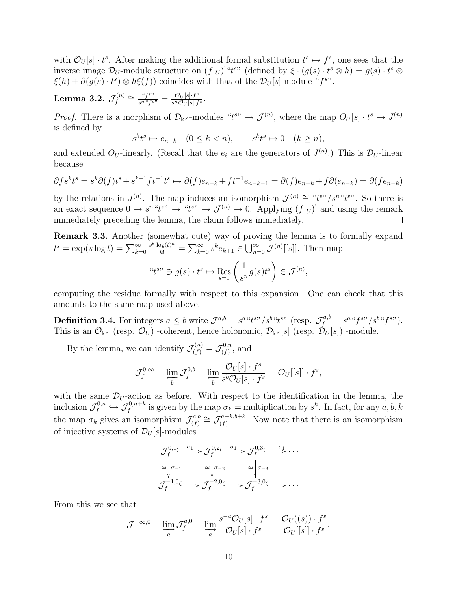with  $\mathcal{O}_U[s] \cdot t^s$ . After making the additional formal substitution  $t^s \mapsto f^s$ , one sees that the inverse image  $\mathcal{D}_U$ -module structure on  $(f|_U)^!$  " $t^{s}$ " (defined by  $\xi \cdot (g(s) \cdot t^s \otimes h) = g(s) \cdot t^s \otimes h$  $\xi(h) + \partial(g(s) \cdot t^s) \otimes h\xi(f)$  coincides with that of the  $\mathcal{D}_U[s]$ -module "f<sup>s"</sup>.

Lemma 3.2.  $\mathcal{J}^{(n)}_{{\scriptscriptstyle f}}$  $f^{(n)} \cong \frac{``f^{s}}{s^{n}}^{``f^{s}}$  $\frac{G}{s^n} \frac{G}{s^n} = \frac{\mathcal{O}_U[s] \cdot f^s}{s^n \mathcal{O}_U[s] \cdot f}$  $\frac{C_U[s] \cdot f^s}{s^n\mathcal{O}_U[s] \cdot f^s}.$ 

*Proof.* There is a morphism of  $\mathcal{D}_{\mathbb{k}}$  -modules " $t^{s}$ "  $\rightarrow \mathcal{J}^{(n)}$ , where the map  $O_U[s] \cdot t^s \rightarrow J^{(n)}$ is defined by

$$
s^k t^s \mapsto e_{n-k} \quad (0 \le k < n), \qquad s^k t^s \mapsto 0 \quad (k \ge n),
$$

and extended  $O_U$ -linearly. (Recall that the  $e_\ell$  are the generators of  $J^{(n)}$ .) This is  $\mathcal{D}_U$ -linear because

$$
\partial f s^k t^s = s^k \partial (f) t^s + s^{k+1} f t^{-1} t^s \mapsto \partial (f) e_{n-k} + f t^{-1} e_{n-k-1} = \partial (f) e_{n-k} + f \partial (e_{n-k}) = \partial (f e_{n-k})
$$

by the relations in  $J^{(n)}$ . The map induces an isomorphism  $\mathcal{J}^{(n)} \cong \mathcal{J}^{(n)} \mathcal{J}^{(n)}$ . So there is an exact sequence  $0 \to s^n "t^{s}" \to "t^{s}" \to \mathcal{J}^{(n)} \to 0$ . Applying  $(f|_U)^!$  and using the remark immediately preceding the lemma, the claim follows immediately.  $\Box$ 

Remark 3.3. Another (somewhat cute) way of proving the lemma is to formally expand  $t^s = \exp(s \log t) = \sum_{k=0}^{\infty}$  $\frac{s^k \log(t)^k}{k!} = \sum_{k=0}^{\infty} s^k e_{k+1} \in \bigcup_{n=0}^{\infty} \mathcal{J}^{(n)}[[s]].$  Then map

$$
``t^{s}" \ni g(s) \cdot t^s \mapsto \mathop{\rm Res}_{s=0} \left( \frac{1}{s^n} g(s) t^s \right) \in \mathcal{J}^{(n)},
$$

computing the residue formally with respect to this expansion. One can check that this amounts to the same map used above.

**Definition 3.4.** For integers  $a \leq b$  write  $\mathcal{J}^{a,b} = s^{a} \cdot t^{s} / s^{b} \cdot t^{s}$  (resp.  $\mathcal{J}^{a,b}_f = s^{a} \cdot t^{s} / s^{b} \cdot t^{s}$ ). This is an  $\mathcal{O}_{\mathbb{K}^{\times}}$  (resp.  $\mathcal{O}_{U}$ ) -coherent, hence holonomic,  $\mathcal{D}_{\mathbb{K}^{\times}}[s]$  (resp.  $\mathcal{D}_{U}[s]$ ) -module.

By the lemma, we can identify  $\mathcal{J}_{(f)}^{(n)} = \mathcal{J}_{(f)}^{0,n}$  $\zeta^{0,n}_{(f)}$ , and

$$
\mathcal{J}_f^{0,\infty} = \varprojlim_b \mathcal{J}_f^{0,b} = \varprojlim_b \frac{\mathcal{O}_U[s] \cdot f^s}{s^b \mathcal{O}_U[s] \cdot f^s} = \mathcal{O}_U[[s]] \cdot f^s,
$$

with the same  $\mathcal{D}_{U}$ -action as before. With respect to the identification in the lemma, the inclusion  $\mathcal{J}_f^{0,n}$  $\mathcal{J}_f^{0,n} \hookrightarrow \mathcal{J}_f^{0,n+k}$  is given by the map  $\sigma_k =$  multiplication by  $s^k$ . In fact, for any  $a, b, k$ the map  $\sigma_k$  gives an isomorphism  $\mathcal{J}_{(f)}^{a,b}$  $\mathcal{J}_{(f)}^{a,b} \cong \mathcal{J}_{(f)}^{a+k,b+k}$  $\chi_{(f)}^{a+\kappa,b+\kappa}$ . Now note that there is an isomorphism of injective systems of  $\mathcal{D}_U[s]$ -modules

$$
\mathcal{J}_f^{0,1} \xrightarrow{\sigma_1} \mathcal{J}_f^{0,2} \xrightarrow{\sigma_1} \mathcal{J}_f^{0,3} \xrightarrow{\sigma_1} \cdots
$$

$$
\cong \begin{vmatrix} \sigma_{-1} & \cong \\ \sqrt{J_f} & \end{vmatrix} \xrightarrow{\sigma_{-2}} \cong \begin{vmatrix} \sigma_{-3} \\ \sqrt{J_f} & \end{vmatrix}
$$

$$
\mathcal{J}_f^{-1,0} \xrightarrow{\sigma_{-2},0} \mathcal{J}_f^{-3,0} \xrightarrow{\sigma_{-3},0} \cdots
$$

From this we see that

$$
\mathcal{J}^{-\infty,0} = \varinjlim_{a} \mathcal{J}_{f}^{a,0} = \varinjlim_{a} \frac{s^{-a} \mathcal{O}_{U}[s] \cdot f^{s}}{\mathcal{O}_{U}[s] \cdot f^{s}} = \frac{\mathcal{O}_{U}((s)) \cdot f^{s}}{\mathcal{O}_{U}[[s]] \cdot f^{s}}.
$$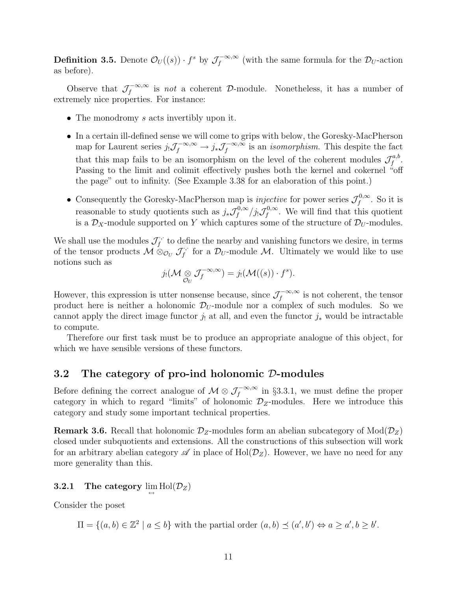**Definition 3.5.** Denote  $\mathcal{O}_U((s)) \cdot f^s$  by  $\mathcal{J}_f^{-\infty,\infty}$  $\int_{f}^{\infty}$  (with the same formula for the  $\mathcal{D}_{U}$ -action as before).

Observe that  $\mathcal{J}_f^{-\infty,\infty}$  $\int_{f}^{\infty}$  is not a coherent D-module. Nonetheless, it has a number of extremely nice properties. For instance:

- The monodromy s acts invertibly upon it.
- In a certain ill-defined sense we will come to grips with below, the Goresky-MacPherson map for Laurent series  $j_!\mathcal{J}_f^{-\infty,\infty} \to j_*\mathcal{J}_f^{-\infty,\infty}$  $\int_{f}^{\infty,\infty}$  is an *isomorphism*. This despite the fact that this map fails to be an isomorphism on the level of the coherent modules  $\mathcal{J}^{a,b}_f$  $_{f}^{a,b}.$ Passing to the limit and colimit effectively pushes both the kernel and cokernel "off the page" out to infinity. (See Example 3.38 for an elaboration of this point.)
- Consequently the Goresky-MacPherson map is *injective* for power series  $\mathcal{J}_f^{0,\infty}$  $f^{0,\infty}$ . So it is reasonable to study quotients such as  $j_*\mathcal{J}_f^{0,\infty}$  $f_f^{0,\infty}/j_!\mathcal{J}_f^{0,\infty}$  $f_f^{\omega, \infty}$ . We will find that this quotient is a  $\mathcal{D}_X$ -module supported on Y which captures some of the structure of  $\mathcal{D}_U$ -modules.

We shall use the modules  $\mathcal{J}_f^{\cdot,\cdot}$  $f_t^{\cdot,\cdot}$  to define the nearby and vanishing functors we desire, in terms of the tensor products  $\mathcal{M} \otimes_{\mathcal{O}_U} \mathcal{J}_f^{\cdot,\cdot}$  $f_f^{\cdots}$  for a  $\mathcal{D}_U$ -module M. Ultimately we would like to use notions such as

$$
j_! (\mathcal{M} \underset{\mathcal{O}_U}{\otimes} \mathcal{J}_f^{-\infty,\infty}) = j_! (\mathcal{M}((s)) \cdot f^s).
$$

However, this expression is utter nonsense because, since  $\mathcal{J}_f^{-\infty,\infty}$  $\int_{f}^{\infty}$  is not coherent, the tensor product here is neither a holonomic  $\mathcal{D}_U$ -module nor a complex of such modules. So we cannot apply the direct image functor  $j_!$  at all, and even the functor  $j_*$  would be intractable to compute.

Therefore our first task must be to produce an appropriate analogue of this object, for which we have sensible versions of these functors.

## 3.2 The category of pro-ind holonomic D-modules

Before defining the correct analogue of  $\mathcal{M} \otimes \mathcal{J}_f^{-\infty,\infty}$  in §3.3.1, we must define the proper category in which to regard "limits" of holonomic  $\mathcal{D}_Z$ -modules. Here we introduce this category and study some important technical properties.

**Remark 3.6.** Recall that holonomic  $\mathcal{D}_z$ -modules form an abelian subcategory of  $Mod(\mathcal{D}_z)$ closed under subquotients and extensions. All the constructions of this subsection will work for an arbitrary abelian category  $\mathscr A$  in place of  $\text{Hol}(\mathcal D_Z)$ . However, we have no need for any more generality than this.

# $\begin{array}{ll} {\bf 3.2.1} & \textbf{The category}\ \mathop{\lim\limits_{\displaystyle\leftrightarrow}} \textbf{Hol}(\mathcal{D}_Z) \end{array}$

Consider the poset

 $\Pi = \{(a, b) \in \mathbb{Z}^2 \mid a \leq b\}$  with the partial order  $(a, b) \preceq (a', b') \Leftrightarrow a \geq a', b \geq b'$ .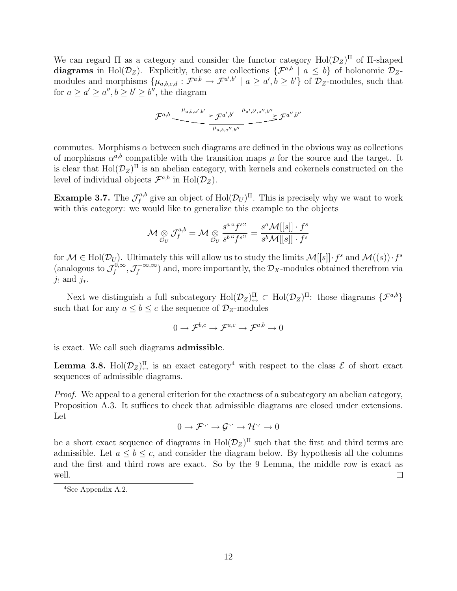We can regard  $\Pi$  as a category and consider the functor category  $Hol(\mathcal{D}_Z)^{\Pi}$  of  $\Pi$ -shaped diagrams in Hol( $\mathcal{D}_Z$ ). Explicitly, these are collections  $\{\mathcal{F}^{a,b} \mid a \leq b\}$  of holonomic  $\mathcal{D}_Z$ modules and morphisms  $\{\mu_{a,b,c,d}: \mathcal{F}^{a,b} \to \mathcal{F}^{a',b'} \mid a \geq a', b \geq b'\}$  of  $\mathcal{D}_{Z}$ -modules, such that for  $a \ge a' \ge a'', b \ge b' \ge b''$ , the diagram

$$
\mathcal{F}^{a,b} \stackrel{\mu_{a,b,a',b'}}{\xrightarrow{\hspace{1cm}} \mathcal{F}^{a',b'} \xrightarrow{\hspace{1cm}} \mu_{a',b',a'',b''}} \mathcal{F}^{a'',b''} \xrightarrow{\hspace{1cm}} \mathcal{F}^{a'',b''}
$$

commutes. Morphisms  $\alpha$  between such diagrams are defined in the obvious way as collections of morphisms  $\alpha^{a,b}$  compatible with the transition maps  $\mu$  for the source and the target. It is clear that  $\text{Hol}(\mathcal{D}_Z)^{\Pi}$  is an abelian category, with kernels and cokernels constructed on the level of individual objects  $\mathcal{F}^{a,b}$  in  $\text{Hol}(\mathcal{D}_Z)$ .

Example 3.7. The  $\mathcal{J}^{a,b}_f$ <sup>ra,b</sup> give an object of  $\text{Hol}(\mathcal{D}_U)^\Pi$ . This is precisely why we want to work with this category: we would like to generalize this example to the objects

$$
\mathcal{M} \underset{\mathcal{O}_{U}}{\otimes} \mathcal{J}^{a,b}_{f} = \mathcal{M} \underset{\mathcal{O}_{U}}{\otimes} \frac{s^{a \cdot \iota} f^{s \cdot \iota}}{s^{b \cdot \iota} f^{s \cdot \iota}} = \frac{s^{a} \mathcal{M}[[s]] \cdot f^{s}}{s^{b} \mathcal{M}[[s]] \cdot f^{s}}
$$

for  $\mathcal{M} \in Hol(\mathcal{D}_U)$ . Ultimately this will allow us to study the limits  $\mathcal{M}[[s]] \cdot f^s$  and  $\mathcal{M}((s)) \cdot f^s$ (analogous to  $\mathcal{J}^{0,\infty}_f$  $f^{0,\infty}_{f},\mathcal{J}_f^{-\infty,\infty}$  $(f_f^{-\infty,\infty})$  and, more importantly, the  $\mathcal{D}_X$ -modules obtained therefrom via j, and j\*.

Next we distinguish a full subcategory  $Hol(\mathcal{D}_Z)_{\leftrightarrow}^{\Pi} \subset Hol(\mathcal{D}_Z)^{\Pi}$ : those diagrams  $\{\mathcal{F}^{a,b}\}$ such that for any  $a \leq b \leq c$  the sequence of  $\mathcal{D}_Z$ -modules

$$
0 \to \mathcal{F}^{b,c} \to \mathcal{F}^{a,c} \to \mathcal{F}^{a,b} \to 0
$$

is exact. We call such diagrams admissible.

**Lemma 3.8.** Hol $(\mathcal{D}_Z)^{\Pi}$  is an exact category<sup>4</sup> with respect to the class  $\mathcal E$  of short exact sequences of admissible diagrams.

Proof. We appeal to a general criterion for the exactness of a subcategory an abelian category, Proposition A.3. It suffices to check that admissible diagrams are closed under extensions. Let

$$
0\to \mathcal{F}^{\cdot,\cdot}\to \mathcal{G}^{\cdot,\cdot}\to \mathcal{H}^{\cdot,\cdot}\to 0
$$

be a short exact sequence of diagrams in  $\text{Hol}(\mathcal{D}_Z)^{\Pi}$  such that the first and third terms are admissible. Let  $a \leq b \leq c$ , and consider the diagram below. By hypothesis all the columns and the first and third rows are exact. So by the 9 Lemma, the middle row is exact as well.  $\Box$ 

<sup>4</sup>See Appendix A.2.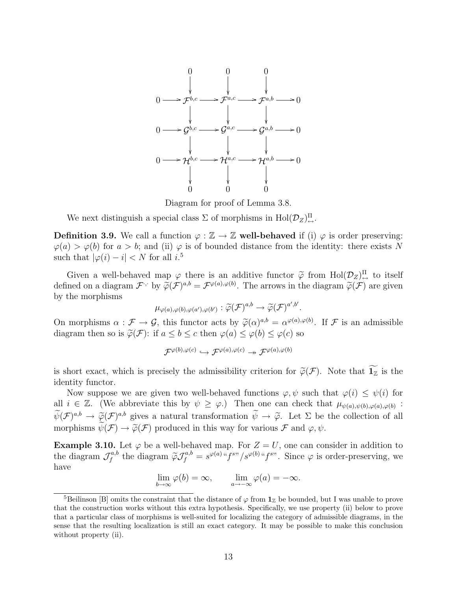

Diagram for proof of Lemma 3.8.

We next distinguish a special class  $\Sigma$  of morphisms in  $Hol(\mathcal{D}_Z)_{\leftrightarrow}^{\Pi}$ .

**Definition 3.9.** We call a function  $\varphi : \mathbb{Z} \to \mathbb{Z}$  well-behaved if (i)  $\varphi$  is order preserving:  $\varphi(a) > \varphi(b)$  for  $a > b$ ; and (ii)  $\varphi$  is of bounded distance from the identity: there exists N such that  $|\varphi(i) - i| < N$  for all  $i$ <sup>5</sup>

Given a well-behaved map  $\varphi$  there is an additive functor  $\tilde{\varphi}$  from  $\text{Hol}(\mathcal{D}_Z)^{\Pi}_{\leftrightarrow}$  to itself<br>nod on a diagram  $\mathcal{F}_{\mathcal{F}}$  by  $\tilde{\varphi}(\mathcal{F})^{a,b} = \mathcal{F}_{\varphi}(a), \varphi(b)$ . The arrows in the diagram  $\tilde{\varphi}(\mathcal{F})$ defined on a diagram  $\mathcal{F}$  by  $\widetilde{\varphi}(\mathcal{F})^{a,b} = \mathcal{F}^{\varphi(a),\varphi(b)}$ . The arrows in the diagram  $\widetilde{\varphi}(\mathcal{F})$  are given<br>by the morphisms by the morphisms

$$
\mu_{\varphi(a),\varphi(b),\varphi(a'),\varphi(b')}:\widetilde{\varphi}(\mathcal{F})^{a,b}\to \widetilde{\varphi}(\mathcal{F})^{a',b'}.
$$

On morphisms  $\alpha : \mathcal{F} \to \mathcal{G}$ , this functor acts by  $\widetilde{\varphi}(\alpha)^{a,b} = \alpha^{\varphi(a),\varphi(b)}$ . If  $\mathcal{F}$  is an admissible diagram than so is  $\widetilde{\varphi}(\mathcal{F})$ : if  $a \leq b \leq a$  than  $\varphi(a) \leq \varphi(b) \leq \varphi(a)$  so. diagram then so is  $\widetilde{\varphi}(\mathcal{F})$ : if  $a \leq b \leq c$  then  $\varphi(a) \leq \varphi(b) \leq \varphi(c)$  so

$$
\mathcal{F}^{\varphi(b),\varphi(c)}\hookrightarrow \mathcal{F}^{\varphi(a),\varphi(c)}\twoheadrightarrow \mathcal{F}^{\varphi(a),\varphi(b)}
$$

is short exact, which is precisely the admissibility criterion for  $\widetilde{\varphi}(\mathcal{F})$ . Note that  $\widetilde{\mathbf{1}_{\mathbb{Z}}}$  is the identity functor.

Now suppose we are given two well-behaved functions  $\varphi, \psi$  such that  $\varphi(i) \leq \psi(i)$  for all  $i \in \mathbb{Z}$ . (We abbreviate this by  $\psi \geq \varphi$ .) Then one can check that  $\mu_{\psi(a),\psi(b),\varphi(a),\varphi(b)}$ :  $\widetilde{\psi}(\mathcal{F})^{a,b} \to \widetilde{\varphi}(\mathcal{F})^{a,b}$  gives a natural transformation  $\widetilde{\psi} \to \widetilde{\varphi}$ . Let  $\Sigma$  be the collection of all<br>mean-hierarchief  $\widetilde{\psi}(\mathcal{F}) \to \widetilde{\varphi}(\mathcal{F})$  and the state state of the state of the state morphisms  $\widetilde{\psi}(\mathcal{F}) \to \widetilde{\varphi}(\mathcal{F})$  produced in this way for various  $\mathcal{F}$  and  $\varphi, \psi$ .

**Example 3.10.** Let  $\varphi$  be a well-behaved map. For  $Z = U$ , one can consider in addition to the diagram  $\mathcal{J}^{a,b}_f$  $f^{a,b}_f$  the diagram  $\tilde{\varphi} \mathcal{J}^{a,b}_f = s^{\varphi(a) a} f^{s\prime\prime}/s^{\varphi(b) a} f^{s\prime\prime}$ . Since  $\varphi$  is order-preserving, we have

$$
\lim_{b \to \infty} \varphi(b) = \infty, \qquad \lim_{a \to -\infty} \varphi(a) = -\infty.
$$

<sup>&</sup>lt;sup>5</sup>Beilinson [B] omits the constraint that the distance of  $\varphi$  from  $\mathbf{1}_{\mathbb{Z}}$  be bounded, but I was unable to prove that the construction works without this extra hypothesis. Specifically, we use property (ii) below to prove that a particular class of morphisms is well-suited for localizing the category of admissible diagrams, in the sense that the resulting localization is still an exact category. It may be possible to make this conclusion without property (ii).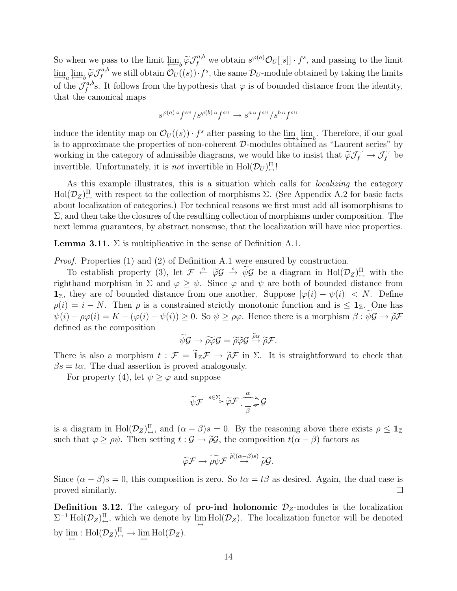So when we pass to the limit  $\varprojlim_b \widetilde{\varphi} \mathcal{J}_f^{a,b}$  we obtain  $s^{\varphi(a)} \mathcal{O}_U[[s]] \cdot f^s$ , and passing to the limit  $\lim_{\epsilon \to 0} \lim_{\delta \to 0} \widetilde{\varphi} \mathcal{J}_{f}^{a,b}$  we still obtain  $\mathcal{O}_{U}(s)$ .  $f^{s}$ , the same  $\mathcal{D}_{U}$ -module obtained by taking the limits of the  $\mathcal{J}^{a,b}_f$ <sup>ra,b</sup><sub>s</sub>. It follows from the hypothesis that  $\varphi$  is of bounded distance from the identity, that the canonical maps

$$
s^{\varphi(a)\;{\boldsymbol\alpha}}f^{s\boldsymbol\cdot\boldsymbol\cdot}/s^{\varphi(b)\;{\boldsymbol\alpha}}f^{s\boldsymbol\cdot\boldsymbol\cdot}\to s^{a\;{\boldsymbol\alpha}}f^{s\boldsymbol\cdot\boldsymbol\cdot}/s^{b\;{\boldsymbol\alpha}}f^{s\boldsymbol\cdot\boldsymbol\cdot}
$$

induce the identity map on  $\mathcal{O}_U((s)) \cdot f^s$  after passing to the  $\lim_{s \to a} \lim_{s \to b}$ . Therefore, if our goal is to approximate the properties of non-coherent D-modules obtained as "Laurent series" by working in the category of admissible diagrams, we would like to insist that  $\tilde{\varphi} \mathcal{J}_f^{\gamma} \to \mathcal{J}_f^{\gamma}$  be<br>interestible. Here, the set interestible in Hel( $\mathcal{D}$ )<sup> $\Pi$ </sup>. invertible. Unfortunately, it is *not* invertible in  $\text{Hol}(\mathcal{D}_U)_{\leftrightarrow}^{\Pi}$ !

As this example illustrates, this is a situation which calls for *localizing* the category  $\text{Hol}(\mathcal{D}_Z)_{\leftrightarrow}^{\Pi}$  with respect to the collection of morphisms  $\Sigma$ . (See Appendix A.2 for basic facts about localization of categories.) For technical reasons we first must add all isomorphisms to  $\Sigma$ , and then take the closures of the resulting collection of morphisms under composition. The next lemma guarantees, by abstract nonsense, that the localization will have nice properties.

**Lemma 3.11.**  $\Sigma$  is multiplicative in the sense of Definition A.1.

Proof. Properties (1) and (2) of Definition A.1 were ensured by construction.

To establish property (3), let  $\mathcal{F} \stackrel{\alpha}{\leftarrow} \widetilde{\varphi} \mathcal{G} \stackrel{s}{\rightarrow} \widetilde{\psi} \mathcal{G}$  be a diagram in  $\text{Hol}(\mathcal{D}_Z)^{\Pi}_{\leftrightarrow}$  with the righthand morphism in  $\Sigma$  and  $\varphi > \psi$ . Since  $\varphi$  and  $\psi$  are both of bounded distance from  $\mathbf{1}_\mathbb{Z}$ , they are of bounded distance from one another. Suppose  $|\varphi(i) - \psi(i)| < N$ . Define  $\rho(i) = i - N$ . Then  $\rho$  is a constrained strictly monotonic function and is  $\leq \mathbf{1}_{\mathbb{Z}}$ . One has  $\psi(i) - \rho \varphi(i) = K - (\varphi(i) - \psi(i)) \geq 0$ . So  $\psi \geq \rho \varphi$ . Hence there is a morphism  $\beta : \psi \mathcal{G} \to \tilde{\rho} \mathcal{F}$ defined as the composition

$$
\widetilde{\psi}\mathcal{G} \rightarrow \widetilde{\rho\varphi}\mathcal{G} = \widetilde{\rho}\widetilde{\varphi}\mathcal{G} \stackrel{\widetilde{\rho}\alpha}{\rightarrow} \widetilde{\rho}\mathcal{F}.
$$

There is also a morphism  $t : \mathcal{F} = 1_{\mathbb{Z}}\mathcal{F} \to \tilde{\rho}\mathcal{F}$  in  $\Sigma$ . It is straightforward to check that  $\beta e = te$ . The dual assortion is proved analogously.  $\beta s = t\alpha$ . The dual assertion is proved analogously.

For property (4), let  $\psi \geq \varphi$  and suppose

$$
\widetilde{\psi}\mathcal{F} \xrightarrow{s \in \Sigma} \widetilde{\varphi}\mathcal{F} \xrightarrow[\beta]{\alpha} \mathcal{G}
$$

is a diagram in  $Hol(\mathcal{D}_Z)^{\Pi}_{\leftrightarrow}$ , and  $(\alpha - \beta)s = 0$ . By the reasoning above there exists  $\rho \leq \mathbf{1}_{\mathbb{Z}}$ such that  $\varphi > \rho \psi$ . Then setting  $t : \mathcal{G} \to \tilde{\rho} \mathcal{G}$ , the composition  $t(\alpha - \beta)$  factors as

$$
\widetilde{\varphi}\mathcal{F}\to\widetilde{\rho\psi}\mathcal{F}\stackrel{\widetilde{\rho}((\alpha-\beta)s)}{\to}\widetilde{\rho}\mathcal{G}.
$$

Since  $(\alpha - \beta)s = 0$ , this composition is zero. So  $t\alpha = t\beta$  as desired. Again, the dual case is proved similarly.  $\Box$ 

**Definition 3.12.** The category of **pro-ind holonomic**  $\mathcal{D}_z$ -modules is the localization  $\Sigma^{-1}$  Hol $(\mathcal{D}_Z)_{\leftrightarrow}^{\Pi}$ , which we denote by  $\lim_{\longleftrightarrow}$  Hol $(\mathcal{D}_Z)$ . The localization functor will be denoted by  $\lim_{\leftarrow} : Hol(\mathcal{D}_Z)_{\leftarrow}^{\Pi} \to \lim_{\leftarrow} Hol(\mathcal{D}_Z).$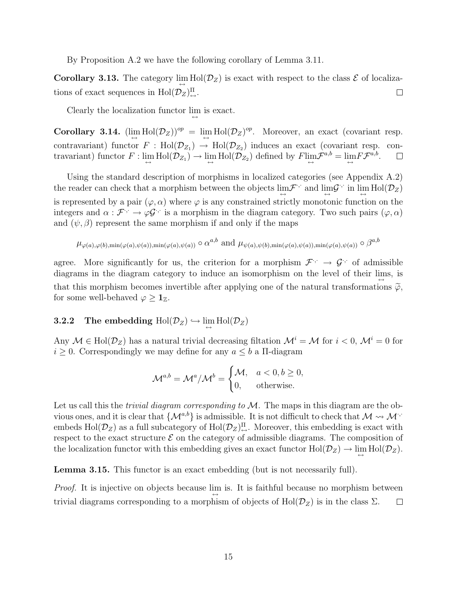By Proposition A.2 we have the following corollary of Lemma 3.11.

**Corollary 3.13.** The category  $\lim_{\longleftrightarrow} Hol(\mathcal{D}_Z)$  is exact with respect to the class  $\mathcal E$  of localizations of exact sequences in  $\text{Hol}(\mathcal{D}_Z)_{\leftrightarrow}^{\Pi}$ .  $\Box$ 

Clearly the localization functor  $\lim_{\leftrightarrow}$  is exact.

Corollary 3.14.  $(\lim_{\leftarrow} Hol(\mathcal{D}_Z))^{op} = \lim_{\leftarrow} Hol(\mathcal{D}_Z)^{op}$ . Moreover, an exact (covariant resp. contravariant) functor  $F : Hol(\mathcal{D}_{Z_1}) \to Hol(\mathcal{D}_{Z_2})$  induces an exact (covariant resp. contravariant) functor  $F: \lim_{\longleftrightarrow} Hol(\mathcal{D}_{Z_1}) \to \lim_{\longleftrightarrow} Hol(\mathcal{D}_{Z_2})$  defined by  $F \lim_{\longleftrightarrow} \mathcal{F}^{a,b} = \lim_{\longleftrightarrow} F \mathcal{F}^{a,b}.$ 

Using the standard description of morphisms in localized categories (see Appendix A.2) the reader can check that a morphism between the objects  $\lim_{\longleftrightarrow} \mathcal{F}^{\cdot, \cdot}$  and  $\lim_{\longleftrightarrow} \mathcal{G}^{\cdot, \cdot}$  in  $\lim_{\longleftrightarrow} Hol(\mathcal{D}_Z)$ is represented by a pair  $(\varphi, \alpha)$  where  $\varphi$  is any constrained strictly monotonic function on the integers and  $\alpha : \mathcal{F}^{\cdot, \cdot} \to \varphi \mathcal{G}^{\cdot, \cdot}$  is a morphism in the diagram category. Two such pairs  $(\varphi, \alpha)$ and  $(\psi, \beta)$  represent the same morphism if and only if the maps

$$
\mu_{\varphi(a),\varphi(b),\min(\varphi(a),\psi(a)),\min(\varphi(a),\psi(a))} \circ \alpha^{a,b}
$$
 and  $\mu_{\psi(a),\psi(b),\min(\varphi(a),\psi(a)),\min(\varphi(a),\psi(a))} \circ \beta^{a,b}$ 

agree. More significantly for us, the criterion for a morphism  $\mathcal{F}^{\cdot,\cdot} \to \mathcal{G}^{\cdot,\cdot}$  of admissible diagrams in the diagram category to induce an isomorphism on the level of their  $\lim_{\leftrightarrow}$ , is that this morphism becomes invertible after applying one of the natural transformations  $\tilde{\varphi}$ , for some well-behaved  $\varphi \geq 1_{\mathbb{Z}}$ .

# 3.2.2 The embedding  $\operatorname{Hol}(\mathcal D_Z) \hookrightarrow \lim\limits_{\longleftrightarrow}\operatorname{Hol}(\mathcal D_Z)$

Any  $\mathcal{M} \in Hol(\mathcal{D}_Z)$  has a natural trivial decreasing filtation  $\mathcal{M}^i = \mathcal{M}$  for  $i < 0$ ,  $\mathcal{M}^i = 0$  for  $i \geq 0$ . Correspondingly we may define for any  $a \leq b$  a II-diagram

$$
\mathcal{M}^{a,b} = \mathcal{M}^a / \mathcal{M}^b = \begin{cases} \mathcal{M}, & a < 0, b \ge 0, \\ 0, & \text{otherwise.} \end{cases}
$$

Let us call this the *trivial diagram corresponding to*  $M$ . The maps in this diagram are the obvious ones, and it is clear that  $\{M^{a,b}\}\$ is admissible. It is not difficult to check that  $M \rightarrow M$ . embeds  $Hol(\mathcal{D}_Z)$  as a full subcategory of  $Hol(\mathcal{D}_Z)^{\Pi}_{\leftrightarrow}$ . Moreover, this embedding is exact with respect to the exact structure  $\mathcal E$  on the category of admissible diagrams. The composition of the localization functor with this embedding gives an exact functor  $Hol(\mathcal{D}_Z) \to \lim_{\longleftrightarrow} Hol(\mathcal{D}_Z)$ .

Lemma 3.15. This functor is an exact embedding (but is not necessarily full).

*Proof.* It is injective on objects because  $\lim_{\longleftrightarrow}$  is. It is faithful because no morphism between trivial diagrams corresponding to a morphism of objects of  $Hol(\mathcal{D}_Z)$  is in the class  $\Sigma$ .  $\Box$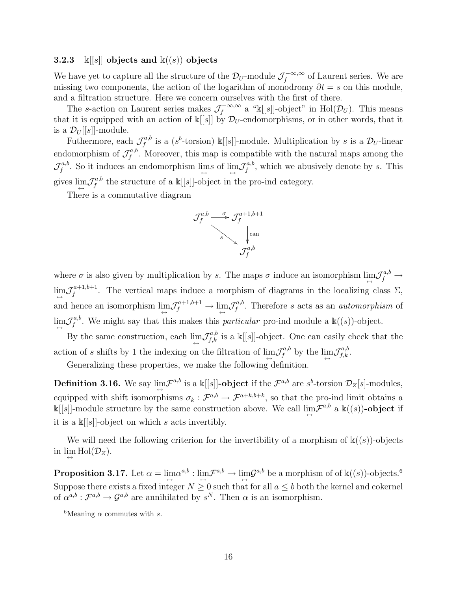#### **3.2.3** k[[s]] objects and  $k((s))$  objects

We have yet to capture all the structure of the  $\mathcal{D}_U$ -module  $\mathcal{J}_f^{-\infty,\infty}$  $f_f^{-\infty,\infty}$  of Laurent series. We are missing two components, the action of the logarithm of monodromy  $\partial t = s$  on this module, and a filtration structure. Here we concern ourselves with the first of there.

The s-action on Laurent series makes  $\mathcal{J}_f^{-\infty,\infty}$  $\mathcal{F}_f^{-\infty,\infty}$  a "k[[s]]-object" in Hol $(\mathcal{D}_U)$ . This means that it is equipped with an action of  $\kappa[[s]]$  by  $\mathcal{D}_U$ -endomorphisms, or in other words, that it is a  $\mathcal{D}_U[[s]]$ -module.

Futhermore, each  $\mathcal{J}^{a,b}_f$  $f^{a,b}_f$  is a (s<sup>b</sup>-torsion)  $\mathbb{k}[[s]]$ -module. Multiplication by s is a  $\mathcal{D}_U$ -linear endomorphism of  $\mathcal{J}^{a,b}_f$  $f^{a,b}_{f}$ . Moreover, this map is compatible with the natural maps among the  ${\cal J }^{a,b}_f$  $f^{a,b}$ . So it induces an endomorphism  $\lim_{\longleftrightarrow} s$  of  $\lim_{\longleftrightarrow} \mathcal{J}_f^{a,b}$  $f^{a,b}_f$ , which we abusively denote by s. This gives  $\lim_{\leftarrow} \mathcal{J}^{a,b}_f$  $f_f^{a,b}$  the structure of a  $\mathbb{k}[[s]]$ -object in the pro-ind category.

There is a commutative diagram



where  $\sigma$  is also given by multiplication by s. The maps  $\sigma$  induce an isomorphism  $\lim_{\leftrightarrow} \mathcal{J}_f^{a,b} \to$  $\lim_{\leftarrow} \mathcal{J}_f^{a+1,b+1}$  $f_f^{\alpha+1,\beta+1}$ . The vertical maps induce a morphism of diagrams in the localizing class  $\Sigma$ , and hence an isomorphism  $\lim_{\longleftrightarrow} \mathcal{J}_f^{a+1,b+1} \to \lim_{\longleftrightarrow} \mathcal{J}_f^{a,b}$  $f^{a,b}_{f}$ . Therefore s acts as an *automorphism* of  $\lim\limits_{\hookrightarrow} \mathcal{J}^{a,b}_f$  $f^{a,b}_{f}$ . We might say that this makes this *particular* pro-ind module a  $\mathbb{k}((s))$ -object.

By the same construction, each  $\lim_{\longleftrightarrow} \mathcal{J}_{f,k}^{a,b}$  is a  $\mathbb{k}[[s]]$ -object. One can easily check that the action of s shifts by 1 the indexing on the filtration of  $\lim_{\leftrightarrow} \mathcal{J}_{f}^{a,b}$  $f^{a,b}$  by the  $\lim_{\longleftrightarrow} \mathcal{J}^{a,b}_{f,k}$ .

Generalizing these properties, we make the following definition.

**Definition 3.16.** We say  $\lim_{\leftarrow} \mathcal{F}^{a,b}$  is a  $\mathbb{k}[[s]]$ -**object** if the  $\mathcal{F}^{a,b}$  are  $s^b$ -torsion  $\mathcal{D}_Z[s]$ -modules, equipped with shift isomorphisms  $\sigma_k$ :  $\mathcal{F}^{a,b} \to \mathcal{F}^{a+k,b+k}$ , so that the pro-ind limit obtains a  $\Bbbk[[s]]$ -module structure by the same construction above. We call  $\lim_{\longleftrightarrow} \mathcal{F}^{a,b}$  a  $\Bbbk((s))$ -object if it is a  $\mathbb{K}[[s]]$ -object on which s acts invertibly.

We will need the following criterion for the invertibility of a morphism of  $\mathbb{k}((s))$ -objects in  $\lim_{\longleftrightarrow} Hol(\mathcal{D}_Z)$ .

 $\mathbf{Proposition\ 3.17.} \text{ Let } \alpha = \lim_{\longleftrightarrow} \alpha^{a,b} : \lim_{\longleftrightarrow} \mathcal{F}^{a,b} \to \lim_{\longleftrightarrow} \mathcal{G}^{a,b} \text{ be a morphism of of } \mathbb{k}((s))\text{-objects.}^6$ Suppose there exists a fixed integer  $N \ge 0$  such that for all  $a \le b$  both the kernel and cokernel of  $\alpha^{a,b}: \mathcal{F}^{a,b} \to \mathcal{G}^{a,b}$  are annihilated by  $s^N$ . Then  $\alpha$  is an isomorphism.

<sup>&</sup>lt;sup>6</sup>Meaning  $\alpha$  commutes with s.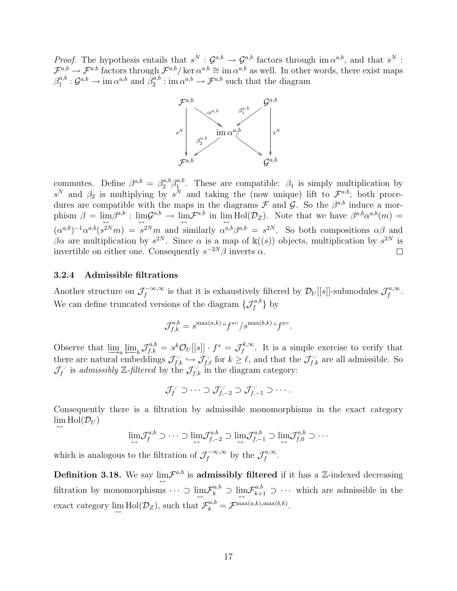*Proof.* The hypothesis entails that  $s^N$ :  $\mathcal{G}^{a,b} \to \mathcal{G}^{a,b}$  factors through im  $\alpha^{a,b}$ , and that  $s^N$ :  $\mathcal{F}^{a,b} \to \mathcal{F}^{a,b}$  factors through  $\mathcal{F}^{a,b}/\ker \alpha^{a,b} \cong \text{im } \alpha^{a,b}$  as well. In other words, there exist maps  $\beta_1^{a,b}$  $a^{a,b}_1$  :  $\mathcal{G}^{a,b} \to \text{im } \alpha^{a,b}$  and  $\beta_2^{a,b}$  $a_2^{a,b}$ : im  $\alpha^{a,b} \to \mathcal{F}^{a,b}$  such that the diagram



commutes. Define  $\beta^{a,b} = \beta_2^{a,b} \beta_1^{a,b}$ <sup>*a*,*b*</sup>. These are compatible:  $\beta_1$  is simply multiplication by  $s^N$  and  $\beta_2$  is multiplying by  $s^N$  and taking the (now unique) lift to  $\mathcal{F}^{a,b}$ ; both procedures are compatible with the maps in the diagrams  $\mathcal F$  and  $\mathcal G$ . So the  $\beta^{a,b}$  induce a morphism  $\beta = \lim_{\leftarrow} \beta^{a,b} : \lim_{\leftarrow} \mathcal{G}^{a,b} \rightarrow \lim_{\leftarrow} \mathcal{F}^{a,b}$  in  $\lim_{\leftarrow} Hol(\mathcal{D}_Z)$ . Note that we have  $\beta^{a,b} \alpha^{a,b}(m) =$  $(\alpha^{a,b})^{-1}\alpha^{a,b}(s^{2N}m) = s^{2N}m$  and similarly  $\alpha^{a,b}\beta^{a,b} = s^{2N}$ . So both compositions  $\alpha\beta$  and βα are multiplication by  $s^{2N}$ . Since α is a map of  $\mathbb{k}((s))$  objects, multiplication by  $s^{2N}$  is invertible on either one. Consequently  $s^{-2N}\beta$  inverts  $\alpha$ .  $\Box$ 

## 3.2.4 Admissible filtrations

Another structure on  $\mathcal{J}_f^{-\infty,\infty}$  $\mathcal{F}_f^{-\infty,\infty}$  is that it is exhaustively filtered by  $\mathcal{D}_U[[s]]$ -submodules  $\mathcal{J}_f^{a,\infty}$ ra, $\infty \ f$  . We can define truncated versions of the diagram  $\{\mathcal{J}_{f}^{a,b}\}$  by

$$
\mathcal{J}_{f,k}^{a,b} = s^{\max(a,k)\,\alpha} f^{s\cdots}/s^{\max(b,k)\,\alpha} f^{s\cdots}.
$$

Observe that  $\lim_{n \to \infty} \lim_{k \to \infty} \mathcal{J}_{f,k}^{a,b} = s^k \mathcal{O}_U[[s]] \cdot f^s = \mathcal{J}_f^{k,\infty}$  $f_f^{\kappa,\infty}$ . It is a simple exercise to verify that there are natural embeddings  $\mathcal{J}_{f,k}^{\cdot,\cdot} \hookrightarrow \mathcal{J}_{f,\ell}^{\cdot,\cdot}$  for  $k \geq \ell$ , and that the  $\mathcal{J}_{f,k}^{\cdot,\cdot}$  are all admissible. So  $\mathcal{J}^{\cdot,\cdot}_f$  $f_i^{\cdot,\cdot}$  is admissibly Z-filtered by the  $\mathcal{J}_{f,k}^{\cdot,\cdot}$  in the diagram category:

$$
\mathcal{J}_f^{(k)} \supset \cdots \supset \mathcal{J}_{f,-2}^{(k)} \supset \mathcal{J}_{f,-1}^{(k)} \supset \cdots.
$$

Consequently there is a filtration by admissible monomorphisms in the exact category  $\lim_{\longleftrightarrow} Hol(\mathcal{D}_U)$ 

$$
\lim_{\longleftrightarrow} \mathcal{J}_f^{a,b} \supset \cdots \supset \lim_{\longleftrightarrow} \mathcal{J}_{f,-2}^{a,b} \supset \lim_{\longleftrightarrow} \mathcal{J}_{f,-1}^{a,b} \supset \lim_{\longleftrightarrow} \mathcal{J}_{f,0}^{a,b} \supset \cdots
$$

which is analogous to the filtration of  $\mathcal{J}_f^{-\infty,\infty}$  $f_f^{-\infty,\infty}$  by the  $\mathcal{J}_f^{a,\infty}$ ra, $\infty \atop f$  .

**Definition 3.18.** We say  $\lim_{\leftarrow} \mathcal{F}^{a,b}$  is admissibly filtered if it has a Z-indexed decreasing filtration by monomorphisms  $\cdots \supset \lim_{\leftarrow} \mathcal{F}_k^{a,b} \supset \lim_{\leftarrow} \mathcal{F}_{k+1}^{a,b} \supset \cdots$  which are admissible in the exact category  $\lim_{\longleftrightarrow} Hol(\mathcal{D}_Z)$ , such that  $\mathcal{F}_k^{a,b} = \mathcal{F}^{\max(a,k), \max(b,k)}$ .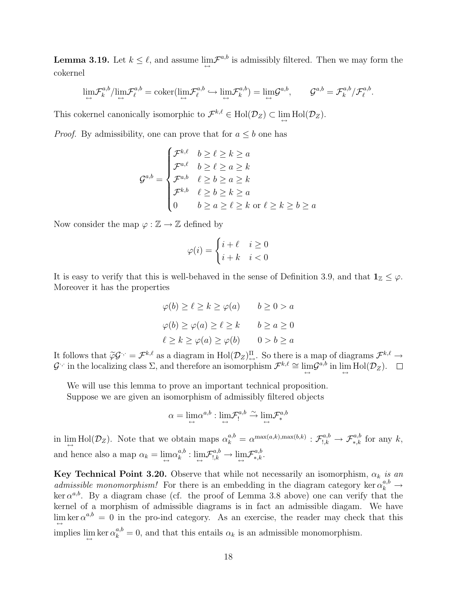**Lemma 3.19.** Let  $k \leq \ell$ , and assume  $\lim_{\leftarrow} \mathcal{F}^{a,b}$  is admissibly filtered. Then we may form the cokernel

$$
\lim_{\leftrightarrow} \mathcal{F}_k^{a,b}/\lim_{\leftrightarrow} \mathcal{F}_\ell^{a,b} = \mathrm{coker}(\lim_{\leftrightarrow} \mathcal{F}_\ell^{a,b} \hookrightarrow \lim_{\leftrightarrow} \mathcal{F}_k^{a,b}) = \lim_{\leftrightarrow} \mathcal{G}^{a,b}, \qquad \mathcal{G}^{a,b} = \mathcal{F}_k^{a,b}/\mathcal{F}_\ell^{a,b}.
$$

This cokernel canonically isomorphic to  $\mathcal{F}^{k,\ell} \in Hol(\mathcal{D}_Z) \subset \lim_{\longleftrightarrow} Hol(\mathcal{D}_Z)$ .

*Proof.* By admissibility, one can prove that for  $a \leq b$  one has

$$
\mathcal{G}^{a,b} = \begin{cases} \mathcal{F}^{k,\ell} & b \ge \ell \ge k \ge a \\ \mathcal{F}^{a,\ell} & b \ge \ell \ge a \ge k \\ \mathcal{F}^{a,b} & \ell \ge b \ge a \ge k \\ \mathcal{F}^{k,b} & \ell \ge b \ge k \ge a \\ 0 & b \ge a \ge \ell \ge k \text{ or } \ell \ge k \ge b \ge a \end{cases}
$$

Now consider the map  $\varphi : \mathbb{Z} \to \mathbb{Z}$  defined by

$$
\varphi(i) = \begin{cases} i+\ell & i \ge 0 \\ i+k & i < 0 \end{cases}
$$

It is easy to verify that this is well-behaved in the sense of Definition 3.9, and that  $1_z \leq \varphi$ . Moreover it has the properties

$$
\varphi(b) \ge \ell \ge k \ge \varphi(a) \qquad b \ge 0 > a
$$
  

$$
\varphi(b) \ge \varphi(a) \ge \ell \ge k \qquad b \ge a \ge 0
$$
  

$$
\ell \ge k \ge \varphi(a) \ge \varphi(b) \qquad 0 > b \ge a
$$

It follows that  $\widetilde{\varphi} \mathcal{G}^{\cdot, \cdot} = \mathcal{F}^{k, \ell}$  as a diagram in  $\text{Hol}(\mathcal{D}_Z)^{\Pi}_{\leftrightarrow}$ . So there is a map of diagrams  $\mathcal{F}^{k, \ell} \to$ <br> $\mathcal{G}^{\cdot, \cdot}$  in the localizing class  $\Sigma$  and therefore an isomorphism  $\mathcal{F}^{$  $\mathcal{G}$  in the localizing class  $\Sigma$ , and therefore an isomorphism  $\mathcal{F}^{k,\ell} \cong \lim_{\longleftrightarrow} \mathcal{G}^{a,b}$  in  $\lim_{\longleftrightarrow} \text{Hol}(\mathcal{D}_Z)$ .

We will use this lemma to prove an important technical proposition. Suppose we are given an isomorphism of admissibly filtered objects

$$
\alpha = \lim_{\leftarrow} \alpha^{a,b} : \lim_{\leftarrow} \mathcal{F}^{a,b}_! \xrightarrow{\sim} \lim_{\leftarrow} \mathcal{F}^{a,b}_*
$$

in  $\lim_{\leftarrow} Hol(\mathcal{D}_Z)$ . Note that we obtain maps  $\alpha_k^{a,b} = \alpha^{\max(a,k), \max(b,k)} : \mathcal{F}_{1,k}^{a,b} \to \mathcal{F}_{*,k}^{a,b}$  for any k, and hence also a map  $\alpha_k = \lim_{\leftrightarrow} \alpha_k^{a,b}$  ${}^{a,b}_{k} : \lim_{\leftarrow} {\cal F}^{a,b}_{!,k} \rightarrow \lim_{\leftarrow} {\cal F}^{a,b}_{*,k}.$ 

Key Technical Point 3.20. Observe that while not necessarily an isomorphism,  $\alpha_k$  is an admissible monomorphism! For there is an embedding in the diagram category ker  $\alpha_k^{a,b}$   $\rightarrow$ ker  $\alpha^{a,b}$ . By a diagram chase (cf. the proof of Lemma 3.8 above) one can verify that the kernel of a morphism of admissible diagrams is in fact an admissible diagam. We have  $\lim_{\leftrightarrow}$  ker  $\alpha^{a,b} = 0$  in the pro-ind category. As an exercise, the reader may check that this implies  $\lim_{k \to \infty} \ker \alpha_k^{a,b} = 0$ , and that this entails  $\alpha_k$  is an admissible monomorphism.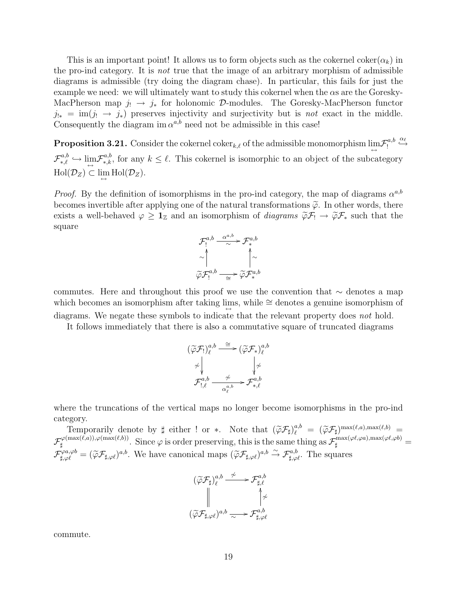This is an important point! It allows us to form objects such as the cokernel coker( $\alpha_k$ ) in the pro-ind category. It is not true that the image of an arbitrary morphism of admissible diagrams is admissible (try doing the diagram chase). In particular, this fails for just the example we need: we will ultimately want to study this cokernel when the αs are the Goresky-MacPherson map  $j_! \to j_*$  for holonomic D-modules. The Goresky-MacPherson functor  $j_{!*} = \text{im}(j_! \rightarrow j_*)$  preserves injectivity and surjectivity but is not exact in the middle. Consequently the diagram im  $\alpha^{a,b}$  need not be admissible in this case!

**Proposition 3.21.** Consider the cokernel coker<sub>k, $\ell$ </sub> of the admissible monomorphism  $\lim_{\leftarrow} \mathcal{F}^{a,b}_1$ !  $\overset{\alpha_\ell}{\hookrightarrow}$  $\mathcal{F}_{*,\ell}^{a,b} \hookrightarrow \lim_{\leftarrow} \mathcal{F}_{*,k}^{a,b}$ , for any  $k \leq \ell$ . This cokernel is isomorphic to an object of the subcategory  $\text{Hol}(\mathcal{D}_Z) \subset \lim_{\leftrightarrow} \text{Hol}(\mathcal{D}_Z).$ 

*Proof.* By the definition of isomorphisms in the pro-ind category, the map of diagrams  $\alpha^{a,b}$ becomes invertible after applying one of the natural transformations  $\tilde{\varphi}$ . In other words, there exists a well-behaved  $\varphi \geq 1_{\mathbb{Z}}$  and an isomorphism of *diagrams*  $\widetilde{\varphi} \mathcal{F}_! \to \widetilde{\varphi} \mathcal{F}_*$  such that the square



commutes. Here and throughout this proof we use the convention that ∼ denotes a map which becomes an isomorphism after taking lims, while  $\cong$  denotes a genuine isomorphism of diagrams. We negate these symbols to indicate that the relevant property does not hold.

It follows immediately that there is also a commutative square of truncated diagrams

$$
\begin{array}{ccc} \displaystyle (\widetilde{\varphi}\mathcal{F}_{!})_{\ell}^{a,b} \stackrel{\cong}{\longrightarrow} (\widetilde{\varphi}\mathcal{F}_{*})_{\ell}^{a,b} \\ \not \sim \Big\downarrow & & \Big\downarrow \not \sim \\ \mathcal{F}_{!,\ell}^{a,b} \stackrel{\not \sim}{\longrightarrow} \mathcal{F}_{*,\ell}^{a,b} \\ \end{array}
$$

where the truncations of the vertical maps no longer become isomorphisms in the pro-ind category.

Temporarily denote by  $\sharp$  either ! or \*. Note that  $(\widetilde{\varphi} \mathcal{F}_{\sharp})_{\ell}^{a,b} = (\widetilde{\varphi} \mathcal{F}_{\sharp})^{\max(\ell,a),\max(\ell,b)}$  $\mathcal{F}_{\texttt{\tiny H}}^{\varphi(\max(\ell,a)),\varphi(\max(\ell,b))}$  $\mathcal{L}_{\sharp}^{(\max(\ell,a)),\varphi(\max(\ell,b))}$ . Since  $\varphi$  is order preserving, this is the same thing as  $\mathcal{F}_{\sharp}^{\max(\varphi\ell,\varphi a),\max(\varphi\ell,\varphi b)}$  $\mathcal{F}_{\sharp,\varphi\ell}^{\varphi a,\varphi b} = (\widetilde{\varphi}\mathcal{F}_{\sharp,\varphi\ell})^{a,b}$ . We have canonical maps  $(\widetilde{\varphi}\mathcal{F}_{\sharp,\varphi\ell})^{a,b} \stackrel{\sim}{\to} \mathcal{F}_{\sharp,\varphi\ell}^{a,b}$ . The squares

$$
(\widetilde{\varphi}\mathcal{F}_{\sharp})_{\ell}^{a,b} \xrightarrow{\not\sim} \mathcal{F}_{\sharp,\ell}^{a,b}
$$

$$
\downarrow^{\land}_{(\widetilde{\varphi}\mathcal{F}_{\sharp,\varphi\ell})^{a,b}} \xrightarrow{\sim} \mathcal{F}_{\sharp,\varphi\ell}^{a,b}
$$

commute.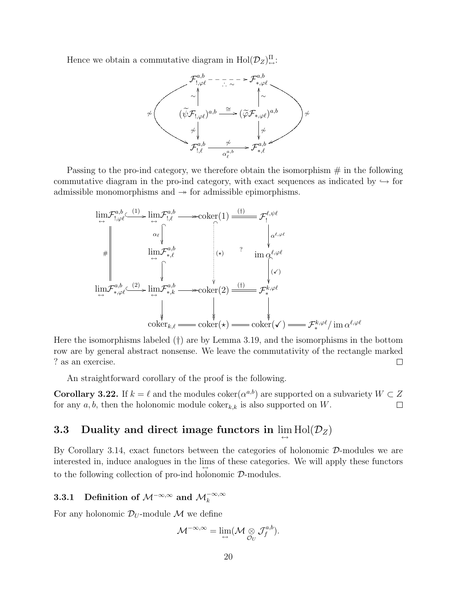Hence we obtain a commutative diagram in  $\text{Hol}(\mathcal{D}_Z)_{\leftrightarrow}^{\Pi}$ :



Passing to the pro-ind category, we therefore obtain the isomorphism  $#$  in the following commutative diagram in the pro-ind category, with exact sequences as indicated by  $\hookrightarrow$  for admissible monomorphisms and  $\rightarrow$  for admissible epimorphisms.

$$
\lim_{\leftrightarrow} \mathcal{F}_{1,\varphi\ell}^{a,b} \xrightarrow{\text{lin}} \mathcal{F}_{1,\ell}^{a,b} \longrightarrow \text{coker}(1) \xrightarrow{\text{(f)}} \mathcal{F}_{1}^{\ell,\psi\ell}
$$
\n
$$
\lim_{\leftrightarrow} \mathcal{F}_{1,\varphi\ell}^{a,b} \xrightarrow{\text{lin}} \mathcal{F}_{1,\ell}^{a,b} \qquad \text{(a)} \qquad \text{im } \alpha^{\ell,\varphi\ell}
$$
\n
$$
\lim_{\leftrightarrow} \mathcal{F}_{1,\varphi\ell}^{a,b} \xrightarrow{\text{lin}} \mathcal{F}_{2,\ell}^{a,b} \qquad \text{in } \alpha^{\ell,\varphi\ell}
$$
\n
$$
\lim_{\leftrightarrow} \mathcal{F}_{2,\varphi\ell}^{a,b} \xrightarrow{\text{lin}} \mathcal{F}_{2,\ell}^{a,b} \qquad \text{in } \alpha^{\ell,\varphi\ell}
$$
\n
$$
\lim_{\leftrightarrow} \mathcal{F}_{2,\varphi\ell}^{a,b} \xrightarrow{\text{lin}} \mathcal{F}_{2,\ell}^{a,b} \qquad \text{in } \alpha^{\ell,\varphi\ell}
$$
\n
$$
\text{coker}_{k,\ell} \longrightarrow \text{coker}(\star) \longrightarrow \text{coker}(\star) \longrightarrow \mathcal{F}_{2,\ell}^{k,\varphi\ell} \text{im } \alpha^{\ell,\varphi\ell}
$$

Here the isomorphisms labeled (†) are by Lemma 3.19, and the isomorphisms in the bottom row are by general abstract nonsense. We leave the commutativity of the rectangle marked ? as an exercise.  $\Box$ 

An straightforward corollary of the proof is the following.

**Corollary 3.22.** If  $k = \ell$  and the modules coker $(\alpha^{a,b})$  are supported on a subvariety  $W \subset Z$ for any  $a, b$ , then the holonomic module coker<sub>k,k</sub> is also supported on W.  $\Box$ 

# **3.3** Duality and direct image functors in  $\lim_{\leftrightarrow} Hol(\mathcal{D}_Z)$

By Corollary 3.14, exact functors between the categories of holonomic  $\mathcal{D}$ -modules we are interested in, induce analogues in the lims of these categories. We will apply these functors to the following collection of pro-ind holonomic D-modules.

# 3.3.1 Definition of  $\mathcal{M}^{-\infty,\infty}$  and  $\mathcal{M}_k^{-\infty,\infty}$

For any holonomic  $\mathcal{D}_U$ -module M we define

$$
\mathcal{M}^{-\infty,\infty}=\lim_{\hookrightarrow}(\mathcal{M}\underset{\mathcal{O}_U}{\otimes}\mathcal{J}^{a,b}_f).
$$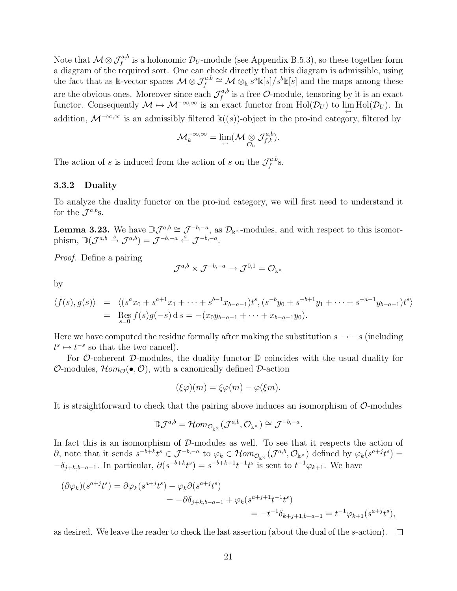Note that  $\mathcal{M} \otimes \mathcal{J}^{a,b}_f$  is a holonomic  $\mathcal{D}_U$ -module (see Appendix B.5.3), so these together form a diagram of the required sort. One can check directly that this diagram is admissible, using the fact that as k-vector spaces  $\mathcal{M} \otimes \mathcal{J}_{f}^{a,b} \cong \mathcal{M} \otimes_{\Bbbk} s^{a} \Bbbk[s]/s^{b} \Bbbk[s]$  and the maps among these are the obvious ones. Moreover since each  $\mathcal{J}^{a,b}_f$  $f_f^{a,b}$  is a free  $\mathcal{O}\text{-module}$ , tensoring by it is an exact functor. Consequently  $\mathcal{M} \mapsto \mathcal{M}^{-\infty,\infty}$  is an exact functor from  $\text{Hol}(\mathcal{D}_U)$  to  $\lim_{\longleftrightarrow} \text{Hol}(\mathcal{D}_U)$ . In addition,  $\mathcal{M}^{-\infty,\infty}$  is an admissibly filtered k((s))-object in the pro-ind category, filtered by

$$
\mathcal{M}_k^{-\infty,\infty} = \lim_{\longleftrightarrow} (\mathcal{M} \underset{\mathcal{O}_U}{\otimes} \mathcal{J}_{f,k}^{a,b}).
$$

The action of s is induced from the action of s on the  $\mathcal{J}^{a,b}_{f}$  $f^{a, b}$ S.

#### 3.3.2 Duality

To analyze the duality functor on the pro-ind category, we will first need to understand it for the  $\mathcal{J}^{a,b}$ s.

**Lemma 3.23.** We have  $\mathbb{D}\mathcal{J}^{a,b} \cong \mathcal{J}^{-b,-a}$ , as  $\mathcal{D}_{\mathbb{k}^{\times}}$ -modules, and with respect to this isomorphism,  $\mathbb{D}(\mathcal{J}^{a,b} \stackrel{s}{\rightarrow} \mathcal{J}^{a,b}) = \mathcal{J}^{-b,-a} \stackrel{s}{\leftarrow} \mathcal{J}^{-b,-a}.$ 

Proof. Define a pairing

$$
\mathcal{J}^{a,b}\times \mathcal{J}^{-b,-a}\to \mathcal{J}^{0,1}=\mathcal{O}_{\Bbbk^{\times}}
$$

by

$$
\langle f(s), g(s) \rangle = \langle (s^a x_0 + s^{a+1} x_1 + \dots + s^{b-1} x_{b-a-1}) t^s, (s^{-b} y_0 + s^{-b+1} y_1 + \dots + s^{-a-1} y_{b-a-1}) t^s \rangle
$$
  
= Res
$$
\underset{s=0}{\text{Res}} f(s)g(-s) ds = -(x_0 y_{b-a-1} + \dots + x_{b-a-1} y_0).
$$

Here we have computed the residue formally after making the substitution  $s \to -s$  (including  $t^s \mapsto t^{-s}$  so that the two cancel).

For  $\mathcal O$ -coherent  $\mathcal D$ -modules, the duality functor  $\mathbb D$  coincides with the usual duality for  $\mathcal{O}\text{-modules}, \mathcal{H}om_{\mathcal{O}}(\bullet, \mathcal{O}),$  with a canonically defined  $\mathcal{D}\text{-action}$ 

$$
(\xi \varphi)(m) = \xi \varphi(m) - \varphi(\xi m).
$$

It is straightforward to check that the pairing above induces an isomorphism of  $\mathcal{O}$ -modules

$$
\mathbb{D} \mathcal{J}^{a,b} = \mathcal{H}om_{\mathcal{O}_{\mathbb{K}^{\times}}}(\mathcal{J}^{a,b}, \mathcal{O}_{\mathbb{K}^{\times}}) \cong \mathcal{J}^{-b,-a}.
$$

In fact this is an isomorphism of D-modules as well. To see that it respects the action of  $\partial$ , note that it sends  $s^{-b+k}t^s \in \mathcal{J}^{-b,-a}$  to  $\varphi_k \in \mathcal{H}om_{\mathcal{O}_{\mathbb{R}^{\times}}}(\mathcal{J}^{a,b},\mathcal{O}_{\mathbb{R}^{\times}})$  defined by  $\varphi_k(s^{a+j}t^s)$  $-\delta_{j+k,b-a-1}$ . In particular,  $\partial(s^{-b+k}t^s) = s^{-b+k+1}t^{-1}t^s$  is sent to  $t^{-1}\varphi_{k+1}$ . We have

$$
(\partial \varphi_k)(s^{a+j}t^s) = \partial \varphi_k(s^{a+j}t^s) - \varphi_k \partial(s^{a+j}t^s)
$$
  
=  $-\partial \delta_{j+k,b-a-1} + \varphi_k(s^{a+j+1}t^{-1}t^s)$   
=  $-t^{-1}\delta_{k+j+1,b-a-1} = t^{-1}\varphi_{k+1}(s^{a+j}t^s),$ 

as desired. We leave the reader to check the last assertion (about the dual of the s-action).  $\Box$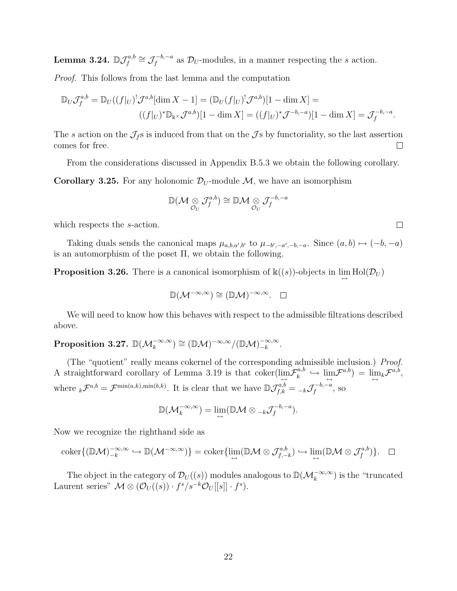${\rm Lemma~3.24.} \ {\mathbb D} {\mathcal J}_{\rm f}^{a,b}$  $\mathcal{J}_f^{a,b} \cong \mathcal{J}_f^{-b,-a}$  $\mathcal{D}_{U}^{-b,-a}$  as  $\mathcal{D}_{U}$ -modules, in a manner respecting the s action.

Proof. This follows from the last lemma and the computation

$$
\mathbb{D}_U \mathcal{J}_f^{a,b} = \mathbb{D}_U((f|_U)^! \mathcal{J}^{a,b}[\dim X - 1] = (\mathbb{D}_U(f|_U)^! \mathcal{J}^{a,b})[1 - \dim X] =
$$
  

$$
((f|_U)^* \mathbb{D}_{\mathbb{k}^{\times}} \mathcal{J}^{a,b})[1 - \dim X] = ((f|_U)^* \mathcal{J}^{-b,-a})[1 - \dim X] = \mathcal{J}_f^{-b,-a}.
$$

The s action on the  $\mathcal{J}_f$  is induced from that on the  $\mathcal{J}_s$  by functoriality, so the last assertion comes for free.  $\Box$ 

From the considerations discussed in Appendix B.5.3 we obtain the following corollary.

**Corollary 3.25.** For any holonomic  $\mathcal{D}_U$ -module M, we have an isomorphism

$$
\mathbb{D}(\mathcal{M}\underset{\mathcal{O}_U}{\otimes}\mathcal{J}^{a,b}_f)\cong \mathbb{D}\mathcal{M}\underset{\mathcal{O}_U}{\otimes}\mathcal{J}^{-b,-a}_f
$$

which respects the *s*-action.

Taking duals sends the canonical maps  $\mu_{a,b,a',b'}$  to  $\mu_{-b',-a',-b,-a}$ . Since  $(a,b) \mapsto (-b,-a)$ is an automorphism of the poset  $\Pi$ , we obtain the following.

**Proposition 3.26.** There is a canonical isomorphism of  $\mathbb{k}((s))$ -objects in  $\lim_{\leftrightarrow} Hol(\mathcal{D}_U)$ 

$$
\mathbb{D}(\mathcal{M}^{-\infty,\infty})\cong (\mathbb{D}\mathcal{M})^{-\infty,\infty}.\quad \Box
$$

We will need to know how this behaves with respect to the admissible filtrations described above.

#### $\text{Proposition 3.27. } {\mathbb{D}}({\mathcal{M}}_k^{-\infty,\infty}) \cong ({\mathbb{D}}{\mathcal{M}})^{-\infty,\infty}/({\mathbb{D}}{\mathcal{M}})^{-\infty,\infty}_{-k}$  $\frac{-\infty,\infty}{-k}$ .

(The "quotient" really means cokernel of the corresponding admissible inclusion.) Proof. A straightforward corollary of Lemma 3.19 is that coker( $\lim_{\leftarrow} \mathcal{F}_k^{a,b}$ )  $\hat{h}_k^{a,b} \,\hookrightarrow\, \lim_{\longleftrightarrow} \mathcal{F}^{a,b}) \,=\, \lim_{\longleftrightarrow} \mathcal{F}^{a,b},$ where  ${}_{k}\mathcal{F}^{a,b} = \mathcal{F}^{\min(a,k),\min(b,k)}$ . It is clear that we have  $\mathbb{D}\mathcal{J}^{a,b}_{f,k} = {}_{-k}\mathcal{J}^{-b,-a}_{f}$  $f^{-b,-a}$ , so

$$
\mathbb{D}(\mathcal{M}_k^{-\infty,\infty}) = \lim_{\longleftrightarrow} (\mathbb{D}\mathcal{M} \otimes \mathcal{M}_f^{-b,-a}).
$$

Now we recognize the righthand side as

$$
\operatorname{coker}\{(\mathbb{D}\mathcal{M})_{-k}^{-\infty,\infty}\hookrightarrow\mathbb{D}(\mathcal{M}^{-\infty,\infty})\}=\operatorname{coker}\{\lim_{\leftarrow}(\mathbb{D}\mathcal{M}\otimes\mathcal{J}_{f,-k}^{a,b})\hookrightarrow\lim_{\leftarrow}(\mathbb{D}\mathcal{M}\otimes\mathcal{J}_{f}^{a,b})\}.\quad \Box
$$

The object in the category of  $\mathcal{D}_U((s))$  modules analogous to  $\mathbb{D}(\mathcal{M}_k^{-\infty,\infty})$  is the "truncated" Laurent series"  $\mathcal{M} \otimes (\mathcal{O}_U((s)) \cdot f^s / s^{-k} \mathcal{O}_U[[s]] \cdot f^s)$ .

 $\Box$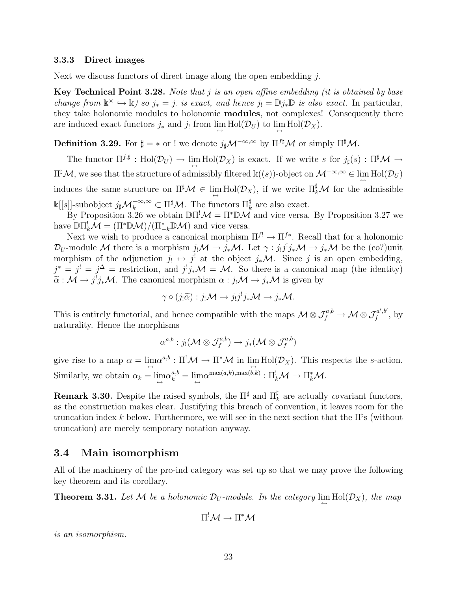#### 3.3.3 Direct images

Next we discuss functors of direct image along the open embedding  $i$ .

Key Technical Point 3.28. Note that  $j$  is an open affine embedding (it is obtained by base change from  $\mathbb{k}^{\times} \hookrightarrow \mathbb{k}$ ) so  $j_* = j$  is exact, and hence  $j_! = \mathbb{D} j_* \mathbb{D}$  is also exact. In particular, they take holonomic modules to holonomic modules, not complexes! Consequently there are induced exact functors  $j_*$  and  $j_!$  from  $\lim_{\longleftrightarrow} Hol(\mathcal{D}_U)$  to  $\lim_{\longleftrightarrow} Hol(\mathcal{D}_X)$ .

**Definition 3.29.** For  $\sharp = \ast$  or ! we denote  $j_{\sharp} \mathcal{M}^{-\infty, \infty}$  by  $\Pi^{f\sharp} \mathcal{M}$  or simply  $\Pi^{\sharp} \mathcal{M}$ .

The functor  $\Pi^{f,\sharp}: \text{Hol}(\mathcal{D}_U) \to \lim_{\longleftrightarrow} \text{Hol}(\mathcal{D}_X)$  is exact. If we write s for  $j_{\sharp}(s): \Pi^{\sharp} \mathcal{M} \to$  $\Pi^\sharp \mathcal{M}$ , we see that the structure of admissibly filtered  $\Bbbk((s))$ -object on  $\mathcal{M}^{-\infty,\infty}\in \lim\limits_{\longleftrightarrow}\mathrm{Hol}(\mathcal{D}_U)$ induces the same structure on  $\Pi^{\sharp}\mathcal{M} \in \lim_{\leftarrow} Hol(\mathcal{D}_X)$ , if we write  $\Pi_{k}^{\sharp}\mathcal{M}$  for the admissible  $\Bbbk[[s]]$ -subobject  $j_{\sharp}M_k^{-\infty,\infty}$  ⊂ Π<sup> $\sharp$ </sup>Μ. The functors Π $_k^{\sharp}$  are also exact.

By Proposition 3.26 we obtain  $\mathbb{D}\Pi^!\mathcal{M} = \Pi^*\mathbb{D}\mathcal{M}$  and vice versa. By Proposition 3.27 we have  $\mathbb{D}\Pi_k^!\mathcal{M} = (\Pi^*\mathbb{D}\mathcal{M})/(\Pi_{-k}^*\mathbb{D}\mathcal{M})$  and vice versa.

Next we wish to produce a canonical morphism  $\Pi^{f} \to \Pi^{f*}$ . Recall that for a holonomic  $\mathcal{D}_U$ -module M there is a morphism  $j_!\mathcal{M} \to j_*\mathcal{M}$ . Let  $\gamma:j_!j^!j_*\mathcal{M} \to j_*\mathcal{M}$  be the (co?)unit morphism of the adjunction  $j_! \leftrightarrow j^!$  at the object  $j_*\mathcal{M}$ . Since j is an open embedding,  $j^* = j^! = j^{\Delta}$  = restriction, and  $j^! j_* \mathcal{M} = \mathcal{M}$ . So there is a canonical map (the identity)  $\tilde{\alpha}: \mathcal{M} \to j^! j_* \mathcal{M}$ . The canonical morphism  $\alpha : j_! \mathcal{M} \to j_* \mathcal{M}$  is given by

$$
\gamma \circ (j_!\widetilde{\alpha}) : j_!\mathcal{M} \to j_!j^!j_*\mathcal{M} \to j_*\mathcal{M}.
$$

This is entirely functorial, and hence compatible with the maps  $\mathcal{M} \otimes \mathcal{J}_f^{a,b} \to \mathcal{M} \otimes \mathcal{J}_f^{a',b'}$  $f^{a',b'}$ , by naturality. Hence the morphisms

$$
\alpha^{a,b}: j_!({\mathcal M}\otimes \mathcal{J}_f^{a,b})\to j_*({\mathcal M}\otimes \mathcal{J}_f^{a,b})
$$

give rise to a map  $\alpha = \lim_{\leftarrow} \alpha^{a,b} : \Pi^! \mathcal{M} \to \Pi^* \mathcal{M}$  in  $\lim_{\leftarrow} Hol(\mathcal{D}_X)$ . This respects the s-action. Similarly, we obtain  $\alpha_k = \lim_{\leftarrow} \alpha_k^{a,b} = \lim_{\leftarrow} \alpha^{\max(a,k),\max(b,k)} : \Pi_k^! \mathcal{M} \to \Pi_k^* \mathcal{M}.$ 

**Remark 3.30.** Despite the raised symbols, the  $\Pi^{\sharp}$  and  $\Pi^{\sharp}_{k}$  are actually covariant functors, as the construction makes clear. Justifying this breach of convention, it leaves room for the truncation index k below. Furthermore, we will see in the next section that the  $\Pi^{\sharp}$ s (without truncation) are merely temporary notation anyway.

#### 3.4 Main isomorphism

All of the machinery of the pro-ind category was set up so that we may prove the following key theorem and its corollary.

**Theorem 3.31.** Let M be a holonomic  $\mathcal{D}_U$ -module. In the category  $\lim_{\leftrightarrow} Hol(\mathcal{D}_X)$ , the map

$$
\Pi^! \mathcal{M} \to \Pi^* \mathcal{M}
$$

is an isomorphism.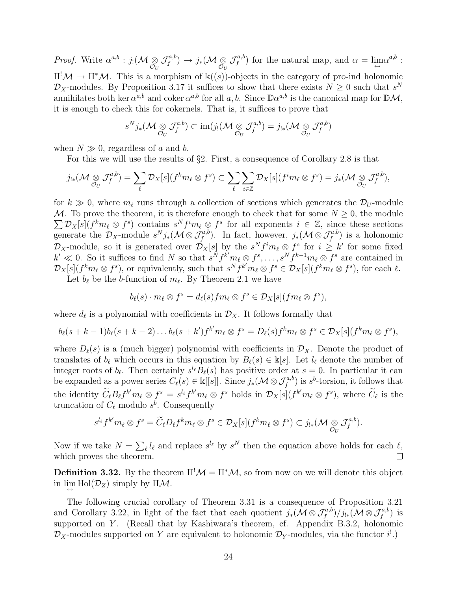*Proof.* Write  $\alpha^{a,b}$  :  $j_! (\mathcal{M} \underset{\mathcal{O}_U}{\otimes}$  ${\cal J}^{a,b}_{\scriptscriptstyle f}$  $f^{a,b}_f)\rightarrow j_*(\mathcal{M}\underset{\mathcal{O}_U}{\otimes}% \mathcal{O}_U\times\mathcal{O}_U)$  ${\cal J}^{a,b}_{\scriptscriptstyle f}$  $f^{a,b}_{f}$ ) for the natural map, and  $\alpha = \lim_{\leftrightarrow} \alpha^{a,b}$ :  $\Pi^! \mathcal{M} \to \Pi^* \mathcal{M}$ . This is a morphism of k((s))-objects in the category of pro-ind holonomic  $\mathcal{D}_X$ -modules. By Proposition 3.17 it suffices to show that there exists  $N \geq 0$  such that  $s^N$ annihilates both ker  $\alpha^{a,b}$  and coker  $\alpha^{a,b}$  for all  $a, b$ . Since  $\mathbb{D}\alpha^{a,b}$  is the canonical map for  $\mathbb{D}\mathcal{M}$ , it is enough to check this for cokernels. That is, it suffices to prove that

$$
s^N j_*(\mathcal{M} \underset{\mathcal{O}_U}{\otimes} \mathcal{J}_f^{a,b}) \subset \text{im}(j_! (\mathcal{M} \underset{\mathcal{O}_U}{\otimes} \mathcal{J}_f^{a,b}) = j_{!*}(\mathcal{M} \underset{\mathcal{O}_U}{\otimes} \mathcal{J}_f^{a,b})
$$

when  $N \gg 0$ , regardless of a and b.

For this we will use the results of §2. First, a consequence of Corollary 2.8 is that

$$
j_{!*}(\mathcal{M} \underset{\mathcal{O}_U}{\otimes} \mathcal{J}_f^{a,b}) = \sum_{\ell} \mathcal{D}_X[s](f^k m_{\ell} \otimes f^s) \subset \sum_{\ell} \sum_{i \in \mathbb{Z}} \mathcal{D}_X[s](f^i m_{\ell} \otimes f^s) = j_*(\mathcal{M} \underset{\mathcal{O}_U}{\otimes} \mathcal{J}_f^{a,b}),
$$

for  $k \gg 0$ , where  $m_\ell$  runs through a collection of sections which generates the  $\mathcal{D}_U$ -module M. To prove the theorem, it is therefore enough to check that for some  $N \geq 0$ , the module  $\sum \mathcal{D}_X[s](f^k m_\ell \otimes f^s)$  contains  $s^N f^i m_\ell \otimes f^s$  for all exponents  $i \in \mathbb{Z}$ , since these sections generate the  $\mathcal{D}_X$ -module  $s^N j_*(\mathcal{M} \otimes \mathcal{J}_f^{a,b})$ . In fact, however,  $j_*(\mathcal{M} \otimes \mathcal{J}_f^{a,b})$  is a holonomic  $\mathcal{D}_X$ -module, so it is generated over  $\mathcal{D}_X[s]$  by the  $s^N f^i m_\ell \otimes f^s$  for  $i \geq k'$  for some fixed  $k' \ll 0$ . So it suffices to find N so that  $s^N f^{k'} m_\ell \otimes f^s, \ldots, s^N f^{k-1} m_\ell \otimes f^s$  are contained in  $\mathcal{D}_X[s](f^k m_\ell \otimes f^s)$ , or equivalently, such that  $s^N f^{k'} m_\ell \otimes f^s \in \mathcal{D}_X[s](f^k m_\ell \otimes f^s)$ , for each  $\ell$ .

Let  $b_{\ell}$  be the b-function of  $m_{\ell}$ . By Theorem 2.1 we have

$$
b_{\ell}(s) \cdot m_{\ell} \otimes f^s = d_{\ell}(s) fm_{\ell} \otimes f^s \in \mathcal{D}_X[s](fm_{\ell} \otimes f^s),
$$

where  $d_{\ell}$  is a polynomial with coefficients in  $\mathcal{D}_X$ . It follows formally that

$$
b_{\ell}(s+k-1)b_{\ell}(s+k-2)\ldots b_{\ell}(s+k')f^{k'}m_{\ell}\otimes f^s=D_{\ell}(s)f^km_{\ell}\otimes f^s\in\mathcal{D}_X[s](f^km_{\ell}\otimes f^s),
$$

where  $D_{\ell}(s)$  is a (much bigger) polynomial with coefficients in  $\mathcal{D}_X$ . Denote the product of translates of  $b_\ell$  which occurs in this equation by  $B_\ell(s) \in \mathbb{k}[s]$ . Let  $l_\ell$  denote the number of integer roots of  $b_\ell$ . Then certainly  $s^{\ell_\ell}B_\ell(s)$  has positive order at  $s = 0$ . In particular it can be expanded as a power series  $C_{\ell}(s) \in \mathbb{k}[[s]]$ . Since  $j_*(\mathcal{M} \otimes \mathcal{J}_{f}^{a,b})$  is  $s^b$ -torsion, it follows that the identity  $\widetilde{C}_{\ell}B_{\ell}f^{k'}m_{\ell} \otimes f^s = s^{l_{\ell}}f^{k'}m_{\ell} \otimes f^s$  holds in  $\mathcal{D}_X[s](f^{k'}m_{\ell} \otimes f^s)$ , where  $\widetilde{C}_{\ell}$  is the truncation of  $C_{\ell}$  modulo  $s^{b}$ . Consequently

$$
s^{l_{\ell}}f^{k'}m_{\ell}\otimes f^s=\widetilde{C}_{\ell}D_{\ell}f^km_{\ell}\otimes f^s\in\mathcal{D}_X[s](f^km_{\ell}\otimes f^s)\subset j_{!*}(\mathcal{M}\underset{\mathcal{O}_U}{\otimes}\mathcal{J}_f^{a,b}).
$$

Now if we take  $N = \sum_{\ell} l_{\ell}$  and replace  $s^{l_{\ell}}$  by  $s^N$  then the equation above holds for each  $\ell$ , which proves the theorem.  $\Box$ 

**Definition 3.32.** By the theorem  $\Pi^{\dagger} \mathcal{M} = \Pi^* \mathcal{M}$ , so from now on we will denote this object in  $\lim_{\leftarrow} Hol(\mathcal{D}_Z)$  simply by  $\Pi \mathcal{M}$ .

The following crucial corollary of Theorem 3.31 is a consequence of Proposition 3.21 and Corollary 3.22, in light of the fact that each quotient  $j_*(\mathcal{M} \otimes \mathcal{J}_f^{a,b})/j_{!*}(\mathcal{M} \otimes \mathcal{J}_f^{a,b})$  is supported on Y. (Recall that by Kashiwara's theorem, cf. Appendix B.3.2, holonomic  $\mathcal{D}_X$ -modules supported on Y are equivalent to holonomic  $\mathcal{D}_Y$ -modules, via the functor  $i^!$ .)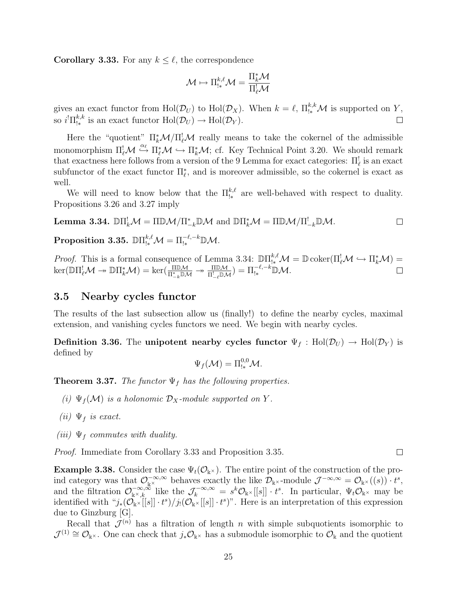**Corollary 3.33.** For any  $k \leq \ell$ , the correspondence

$$
\mathcal{M} \mapsto \Pi^{k,\ell}_{!*} \mathcal{M} = \frac{\Pi^*_k \mathcal{M}}{\Pi^!_{\ell} \mathcal{M}}
$$

gives an exact functor from  $\text{Hol}(\mathcal{D}_U)$  to  $\text{Hol}(\mathcal{D}_X)$ . When  $k = \ell$ ,  $\Pi_{!*}^{k,k} \mathcal{M}$  is supported on Y, so  $i^! \Pi_{!*}^{k,k}$  $_{1*}^{k,k}$  is an exact functor  $\text{Hol}(\mathcal{D}_U) \to \text{Hol}(\mathcal{D}_Y)$ .

Here the "quotient"  $\prod_{k}^{*}M/\prod_{\ell}^{!}M$  really means to take the cokernel of the admissible monomorphism  $\Pi^!_\ell \mathcal{M} \stackrel{\alpha_\ell}{\hookrightarrow} \Pi^*_\ell \mathcal{M} \hookrightarrow \Pi^*_k \mathcal{M}$ ; cf. Key Technical Point 3.20. We should remark that exactness here follows from a version of the 9 Lemma for exact categories:  $\Pi_{\ell}^!$  is an exact subfunctor of the exact functor  $\Pi_{\ell}^*$ , and is moreover admissible, so the cokernel is exact as well.

We will need to know below that the  $\prod_{k}^{k,\ell}$  are well-behaved with respect to duality. Propositions 3.26 and 3.27 imply

**Lemma 3.34.** 
$$
\mathbb{D}\Pi_k^!\mathcal{M} = \Pi \mathbb{D}\mathcal{M}/\Pi_{-k}^* \mathbb{D}\mathcal{M}
$$
 and  $\mathbb{D}\Pi_k^*\mathcal{M} = \Pi \mathbb{D}\mathcal{M}/\Pi_{-k}^!\mathbb{D}\mathcal{M}$ .

 $\text{Proposition 3.35. \; D}\Pi_{! *}^{k,\ell}\mathcal{M} = \Pi_{! *}^{-\ell, -k}\mathbb{D}\mathcal{M}.$ 

*Proof.* This is a formal consequence of Lemma 3.34:  $\mathbb{D}\Pi_{!*}^{k,\ell} \mathcal{M} = \mathbb{D} \text{coker}(\Pi_{\ell}^{\mathcal{I}} \mathcal{M} \hookrightarrow \Pi_{k}^{*} \mathcal{M}) =$  $\ker(\mathbb{D}\Pi_{\ell}^{\mathcal{I}}\mathcal{M}\twoheadrightarrow\mathbb{D}\Pi_{k}^{*}\mathcal{M})=\ker(\frac{\Pi\mathbb{D}\mathcal{M}}{\Pi_{-k}^{\mathcal{I}}\mathbb{D}\mathcal{M}}\twoheadrightarrow\frac{\Pi\mathbb{D}\mathcal{M}}{\Pi_{-k}^{\mathcal{I}}\mathbb{D}\mathcal{M}})=\Pi_{!*}^{-\ell,-k}\mathbb{D}\mathcal{M}.$ 

#### 3.5 Nearby cycles functor

The results of the last subsection allow us (finally!) to define the nearby cycles, maximal extension, and vanishing cycles functors we need. We begin with nearby cycles.

**Definition 3.36.** The unipotent nearby cycles functor  $\Psi_f : Hol(\mathcal{D}_U) \to Hol(\mathcal{D}_Y)$  is defined by

$$
\Psi_f(\mathcal{M}) = \Pi_{!*}^{0,0} \mathcal{M}.
$$

**Theorem 3.37.** The functor  $\Psi_f$  has the following properties.

- (i)  $\Psi_f(\mathcal{M})$  is a holonomic  $\mathcal{D}_X$ -module supported on Y.
- (ii)  $\Psi_f$  is exact.
- (iii)  $\Psi_f$  commutes with duality.

Proof. Immediate from Corollary 3.33 and Proposition 3.35.

**Example 3.38.** Consider the case  $\Psi_t(\mathcal{O}_{\mathbb{k}^{\times}})$ . The entire point of the construction of the proind category was that  $\mathcal{O}_{\mathbb{K}^{\times}}^{-\infty,\infty}$  behaves exactly the like  $\mathcal{D}_{\mathbb{K}^{\times}}$ -module  $\mathcal{J}^{-\infty,\infty} = \mathcal{O}_{\mathbb{K}^{\times}}((s)) \cdot t^{s}$ , and the filtration  $\mathcal{O}_{\mathbb{k}^\times,k}^{-\infty,\tilde{\infty}}$  like the  $\mathcal{J}_k^{-\infty,\infty} = s^k \mathcal{O}_{\mathbb{k}^\times}[[s]] \cdot t^s$ . In particular,  $\Psi_t \mathcal{O}_{\mathbb{k}^\times}$  may be identified with " $j_*(\mathcal{O}_{\mathbb{k}} \times [[s]] \cdot t^s)/j_!(\mathcal{O}_{\mathbb{k}} \times [[s]] \cdot t^s)$ ". Here is an interpretation of this expression due to Ginzburg [G].

Recall that  $\mathcal{J}^{(n)}$  has a filtration of length n with simple subquotients isomorphic to  $\mathcal{J}^{(1)} \cong \mathcal{O}_{k^{\times}}$ . One can check that  $j_*\mathcal{O}_{k^{\times}}$  has a submodule isomorphic to  $\mathcal{O}_k$  and the quotient

 $\Box$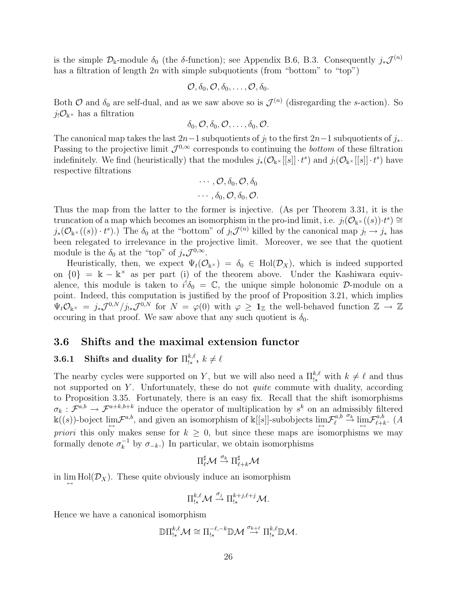is the simple  $\mathcal{D}_k$ -module  $\delta_0$  (the  $\delta$ -function); see Appendix B.6, B.3. Consequently  $j_*\mathcal{J}^{(n)}$ has a filtration of length  $2n$  with simple subquotients (from "bottom" to "top")

$$
\mathcal{O}, \delta_0, \mathcal{O}, \delta_0, \ldots, \mathcal{O}, \delta_0.
$$

Both  $\mathcal O$  and  $\delta_0$  are self-dual, and as we saw above so is  $\mathcal J^{(n)}$  (disregarding the s-action). So  $j_!\mathcal{O}_{\mathbb{k}^\times}$  has a filtration

$$
\delta_0, \mathcal{O}, \delta_0, \mathcal{O}, \ldots, \delta_0, \mathcal{O}.
$$

The canonical map takes the last  $2n-1$  subquotients of j<sub>!</sub> to the first  $2n-1$  subquotients of j<sub>\*</sub>. Passing to the projective limit  $\mathcal{J}^{0,\infty}$  corresponds to continuing the *bottom* of these filtration indefinitely. We find (heuristically) that the modules  $j_*(\mathcal{O}_{\mathbb{k}^{\times}}[[s]] \cdot t^s)$  and  $j_!(\mathcal{O}_{\mathbb{k}^{\times}}[[s]] \cdot t^s)$  have respective filtrations

$$
\cdots, \mathcal{O}, \delta_0, \mathcal{O}, \delta_0
$$
  

$$
\cdots, \delta_0, \mathcal{O}, \delta_0, \mathcal{O}.
$$

Thus the map from the latter to the former is injective. (As per Theorem 3.31, it is the truncation of a map which becomes an isomorphism in the pro-ind limit, i.e.  $j_!(\mathcal{O}_{\mathbb{k}^\times}((s))\cdot t^s) \cong$  $j_*(\mathcal{O}_{\mathbb{k}^\times}((s)) \cdot t^s)$ .) The  $\delta_0$  at the "bottom" of  $j_!\mathcal{J}^{(n)}$  killed by the canonical map  $j_!\to j_*$  has been relegated to irrelevance in the projective limit. Moreover, we see that the quotient module is the  $\delta_0$  at the "top" of  $j_*\mathcal{J}^{0,\infty}$ .

Heuristically, then, we expect  $\Psi_t(\mathcal{O}_{\mathbb{k}^{\times}}) = \delta_0 \in Hol(\mathcal{D}_X)$ , which is indeed supported on  ${0} = \mathbb{k} - \mathbb{k}^{\times}$  as per part (i) of the theorem above. Under the Kashiwara equivalence, this module is taken to  $i^{\dagger} \delta_0 = \mathbb{C}$ , the unique simple holonomic D-module on a point. Indeed, this computation is justified by the proof of Proposition 3.21, which implies  $\Psi_t \mathcal{O}_{\mathbb{k}^\times} = j_* \mathcal{J}^{0,N} / j_{!*} \mathcal{J}^{0,N}$  for  $N = \varphi(0)$  with  $\varphi \geq 1_{\mathbb{Z}}$  the well-behaved function  $\mathbb{Z} \to \mathbb{Z}$ occuring in that proof. We saw above that any such quotient is  $\delta_0$ .

#### 3.6 Shifts and the maximal extension functor

#### **3.6.1** Shifts and duality for  $\prod_{k=1}^{k,\ell}$  $_{!*}^{k,\ell}, k \neq \ell$

The nearby cycles were supported on Y, but we will also need a  $\Pi_{\mu}^{k,\ell}$  with  $k \neq \ell$  and thus not supported on  $Y$ . Unfortunately, these do not *quite* commute with duality, according to Proposition 3.35. Fortunately, there is an easy fix. Recall that the shift isomorphisms  $\sigma_k$ :  $\mathcal{F}^{a,b} \to \mathcal{F}^{a+k,b+k}$  induce the operator of multiplication by  $s^k$  on an admissibly filtered  $\mathbb{R}((s))$ -boject  $\lim_{\longleftrightarrow} \mathcal{F}^{a,b}$ , and given an isomorphism of  $\mathbb{R}[[s]]$ -subobjects  $\lim_{\longleftrightarrow} \mathcal{F}^{a,b}_{\ell} \stackrel{\sigma_k}{\to} \lim_{\longleftrightarrow} \mathcal{F}^{a,b}_{\ell+i}$  $_{\ell+k}^{a,b}$ . (A priori this only makes sense for  $k \geq 0$ , but since these maps are isomorphisms we may formally denote  $\sigma_k^{-1}$  $\bar{k}^{-1}$  by  $\sigma_{-k}$ .) In particular, we obtain isomorphisms

$$
\Pi^\sharp_\ell \mathcal{M} \stackrel{\sigma_k}{\to} \Pi^\sharp_{\ell+k} \mathcal{M}
$$

in  $\lim_{\longleftrightarrow} Hol(\mathcal{D}_X)$ . These quite obviously induce an isomorphism

$$
\Pi_{!*}^{k,\ell} \mathcal{M} \stackrel{\sigma_j}{\rightarrow} \Pi_{!*}^{k+j,\ell+j} \mathcal{M}.
$$

Hence we have a canonical isomorphism

$$
\mathbb{D} \Pi^{k,\ell}_{!*} \mathcal{M} \cong \Pi^{-\ell,-k}_{!*} \mathbb{D} \mathcal{M} \stackrel{\sigma_{k+\ell}}{\to} \Pi^{k,\ell}_{!*} \mathbb{D} \mathcal{M}.
$$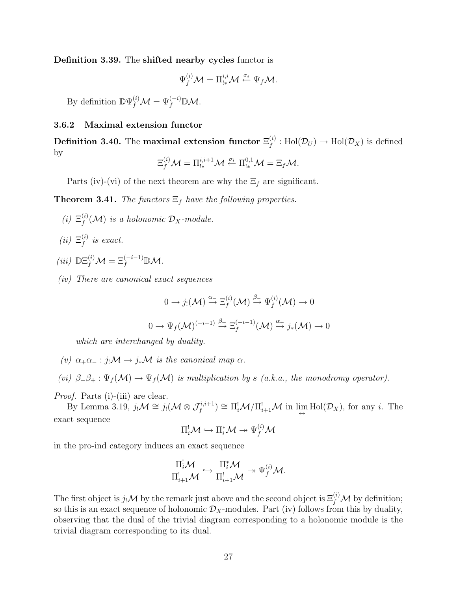Definition 3.39. The shifted nearby cycles functor is

$$
\Psi_f^{(i)}\mathcal{M} = \Pi_{!*}^{i,i}\mathcal{M} \stackrel{\sigma_i}{\leftarrow} \Psi_f\mathcal{M}.
$$

By definition  $\mathbb{D}\Psi_f^{(i)}\mathcal{M}=\Psi_f^{(-i)}\mathbb{D}\mathcal{M}$ .

#### 3.6.2 Maximal extension functor

Definition 3.40. The maximal extension functor  $\Xi_f^{(i)}$  $f_I^{(i)}: \text{Hol}(\mathcal{D}_U) \to \text{Hol}(\mathcal{D}_X)$  is defined by

$$
\Xi_f^{(i)}\mathcal{M}=\Pi_{!*}^{i,i+1}\mathcal{M}\stackrel{\sigma_i}{\leftarrow}\Pi_{!*}^{0,1}\mathcal{M}=\Xi_f\mathcal{M}.
$$

Parts (iv)-(vi) of the next theorem are why the  $\Xi_f$  are significant.

**Theorem 3.41.** The functors  $\Xi_f$  have the following properties.

- $(i)$   $\Xi_f^{(i)}$  $f_f^{(i)}(\mathcal{M})$  is a holonomic  $\mathcal{D}_X$ -module.
- $(ii)$   $\Xi_f^{(i)}$  $\stackrel{(i)}{f}$  is exact.
- (iii)  $\mathbb{DE}_f^{(i)}\mathcal{M}=\Xi_f^{(-i-1)}\mathbb{D}\mathcal{M}.$
- (iv) There are canonical exact sequences

$$
0 \to j_! (\mathcal{M}) \xrightarrow{\alpha_-} \Xi_f^{(i)} (\mathcal{M}) \xrightarrow{\beta_-} \Psi_f^{(i)} (\mathcal{M}) \to 0
$$
  

$$
0 \to \Psi_f (\mathcal{M})^{(-i-1)} \xrightarrow{\beta_+} \Xi_f^{(-i-1)} (\mathcal{M}) \xrightarrow{\alpha_+} j_*(\mathcal{M}) \to 0
$$

which are interchanged by duality.

(v)  $\alpha_+\alpha_- : j_!\mathcal{M} \to j_*\mathcal{M}$  is the canonical map  $\alpha$ .

(vi)  $\beta_-\beta_+ : \Psi_f(\mathcal{M}) \to \Psi_f(\mathcal{M})$  is multiplication by s (a.k.a., the monodromy operator).

Proof. Parts (i)-(iii) are clear.

By Lemma 3.19,  $j_! \mathcal{M} \cong j_! (\mathcal{M} \otimes \mathcal{J}_f^{i,i+1}) \cong \Pi_i^! \mathcal{M} / \Pi_{i+1}^! \mathcal{M}$  in  $\lim_{\leftrightarrow} Hol(\mathcal{D}_X)$ , for any *i*. The exact sequence

$$
\Pi_i^! {\mathcal M} \hookrightarrow \Pi_i^* {\mathcal M} \twoheadrightarrow \Psi_f^{(i)} {\mathcal M}
$$

in the pro-ind category induces an exact sequence

$$
\frac{\Pi_i^!\mathcal{M}}{\Pi_{i+1}^!\mathcal{M}}\hookrightarrow \frac{\Pi_i^*\mathcal{M}}{\Pi_{i+1}^!\mathcal{M}}\twoheadrightarrow \Psi_f^{(i)}\mathcal{M}.
$$

The first object is  $j_!\mathcal{M}$  by the remark just above and the second object is  $\Xi_f^{(i)}\mathcal{M}$  by definition; so this is an exact sequence of holonomic  $\mathcal{D}_X$ -modules. Part (iv) follows from this by duality, observing that the dual of the trivial diagram corresponding to a holonomic module is the trivial diagram corresponding to its dual.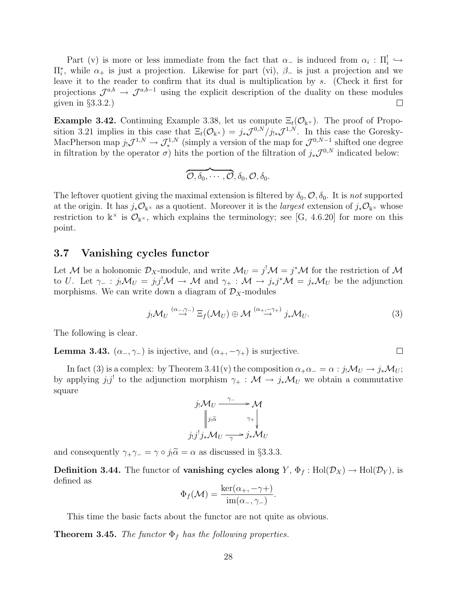Part (v) is more or less immediate from the fact that  $\alpha_-$  is induced from  $\alpha_i : \Pi_i^! \hookrightarrow$  $\Pi_i^*$ , while  $\alpha_+$  is just a projection. Likewise for part (vi),  $\beta_-$  is just a projection and we leave it to the reader to confirm that its dual is multiplication by s. (Check it first for projections  $\mathcal{J}^{a,b} \to \mathcal{J}^{a,b-1}$  using the explicit description of the duality on these modules given in  $\S 3.3.2.$  $\Box$ 

**Example 3.42.** Continuing Example 3.38, let us compute  $\Xi_t(\mathcal{O}_{\mathbb{k}^{\times}})$ . The proof of Proposition 3.21 implies in this case that  $\Xi_t(\mathcal{O}_{\mathbb{k}^{\times}}) = j_*\mathcal{J}^{0,N}/j_{!*}\mathcal{J}^{1,N}$ . In this case the Goresky-MacPherson map  $j_!\mathcal{J}^{1,N}\to\mathcal{J}^{1,N}_*$  (simply a version of the map for  $\mathcal{J}^{0,N-1}$  shifted one degree in filtration by the operator  $\sigma$ ) hits the portion of the filtration of  $j_*\mathcal{J}^{0,N}$  indicated below:

$$
\overbrace{\mathcal{O}, \delta_0, \cdots, \mathcal{O}}, \delta_0, \mathcal{O}, \delta_0.
$$

The leftover quotient giving the maximal extension is filtered by  $\delta_0$ ,  $\mathcal{O}, \delta_0$ . It is not supported at the origin. It has  $j_*\mathcal{O}_{\mathbb{k}^{\times}}$  as a quotient. Moreover it is the *largest* extension of  $j_*\mathcal{O}_{\mathbb{k}^{\times}}$  whose restriction to  $\mathbb{k}^{\times}$  is  $\mathcal{O}_{\mathbb{k}^{\times}}$ , which explains the terminology; see [G, 4.6.20] for more on this point.

#### 3.7 Vanishing cycles functor

Let M be a holonomic  $\mathcal{D}_X$ -module, and write  $\mathcal{M}_U = j^! \mathcal{M} = j^* \mathcal{M}$  for the restriction of M to U. Let  $\gamma_- : j_! \mathcal{M}_U = j_! j^! \mathcal{M} \to \mathcal{M}$  and  $\gamma_+ : \mathcal{M} \to j_* j^* \mathcal{M} = j_* \mathcal{M}_U$  be the adjunction morphisms. We can write down a diagram of  $\mathcal{D}_X$ -modules

$$
j_{!} \mathcal{M}_{U} \stackrel{(\alpha_{-},\gamma_{-})}{\rightarrow} \Xi_{f}(\mathcal{M}_{U}) \oplus \mathcal{M} \stackrel{(\alpha_{+},-\gamma_{+})}{\rightarrow} j_{*} \mathcal{M}_{U}.
$$
 (3)

 $\Box$ 

The following is clear.

**Lemma 3.43.**  $(\alpha_-, \gamma_-)$  is injective, and  $(\alpha_+, -\gamma_+)$  is surjective.

In fact (3) is a complex: by Theorem 3.41(v) the composition  $\alpha_+\alpha_-=\alpha$ :  $j_!\mathcal{M}_U\to j_*\mathcal{M}_U$ ; by applying  $j_!j^!$  to the adjunction morphism  $\gamma_+ : \mathcal{M} \to j_*\mathcal{M}_U$  we obtain a commutative square

$$
j_! \mathcal{M}_U \xrightarrow{\gamma_-} \mathcal{M}
$$
  
\n
$$
\begin{vmatrix}\nj_1 \tilde{\alpha} & \gamma_+ \\
j_! j^! j_* \mathcal{M}_U \xrightarrow{\gamma_+} j_* \mathcal{M}_U\n\end{vmatrix}
$$

and consequently  $\gamma_+ \gamma_- = \gamma \circ j_! \tilde{\alpha} = \alpha$  as discussed in §3.3.3.

**Definition 3.44.** The functor of **vanishing cycles along**  $Y$ ,  $\Phi_f$ : Hol $(\mathcal{D}_X) \to$  Hol $(\mathcal{D}_Y)$ , is defined as

$$
\Phi_f(\mathcal{M}) = \frac{\ker(\alpha_+, -\gamma_+)}{\mathrm{im}(\alpha_-, \gamma_-)}.
$$

This time the basic facts about the functor are not quite as obvious.

**Theorem 3.45.** The functor  $\Phi_f$  has the following properties.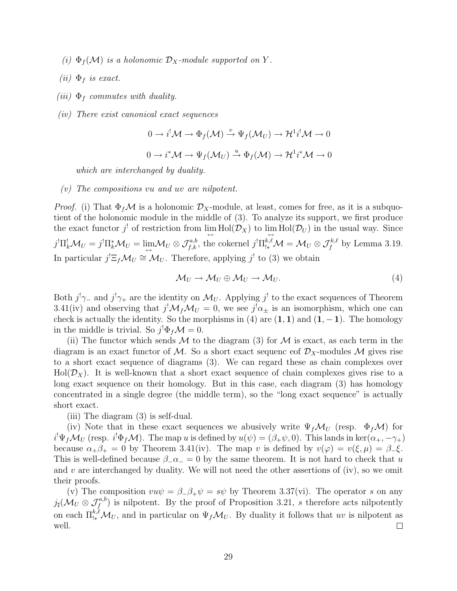- (i)  $\Phi_f(\mathcal{M})$  is a holonomic  $\mathcal{D}_X$ -module supported on Y.
- (ii)  $\Phi_f$  is exact.
- (iii)  $\Phi_f$  commutes with duality.
- (iv) There exist canonical exact sequences

$$
0 \to i^! \mathcal{M} \to \Phi_f(\mathcal{M}) \xrightarrow{v} \Psi_f(\mathcal{M}_U) \to \mathcal{H}^1 i^! \mathcal{M} \to 0
$$

$$
0 \to i^* \mathcal{M} \to \Psi_f(\mathcal{M}_U) \xrightarrow{u} \Phi_f(\mathcal{M}) \to \mathcal{H}^1 i^* \mathcal{M} \to 0
$$

which are interchanged by duality.

(v) The compositions vu and uv are nilpotent.

*Proof.* (i) That  $\Phi_f \mathcal{M}$  is a holonomic  $\mathcal{D}_X$ -module, at least, comes for free, as it is a subquotient of the holonomic module in the middle of (3). To analyze its support, we first produce the exact functor  $j^!$  of restriction from  $\lim_{\longleftrightarrow} Hol(\mathcal{D}_X)$  to  $\lim_{\longleftrightarrow} Hol(\mathcal{D}_U)$  in the usual way. Since  $j^! \Pi^!_k \mathcal{M}_U = j^! \Pi^*_k \mathcal{M}_U = \lim_{\leftrightarrow} \mathcal{M}_U \otimes \mathcal{J}^{a,b}_{f,k}$ , the cokernel  $j^! \Pi^{k,\ell}_{!k} \mathcal{M} = \mathcal{M}_U \otimes \mathcal{J}^{k,\ell}_{f}$  by Lemma 3.19. In particular  $j' \Xi_f \mathcal{M}_U \cong \mathcal{M}_U$ . Therefore, applying  $j'$  to (3) we obtain

$$
\mathcal{M}_U \to \mathcal{M}_U \oplus \mathcal{M}_U \to \mathcal{M}_U.
$$
\n<sup>(4)</sup>

Both  $j^{\dagger}\gamma_{-}$  and  $j^{\dagger}\gamma_{+}$  are the identity on  $\mathcal{M}_{U}$ . Applying  $j^{\dagger}$  to the exact sequences of Theorem 3.41(iv) and observing that  $j^! \mathcal{M}_f \mathcal{M}_U = 0$ , we see  $j^! \alpha_{\pm}$  is an isomorphism, which one can check is actually the identity. So the morphisms in (4) are  $(1, 1)$  and  $(1, -1)$ . The homology in the middle is trivial. So  $j^! \Phi_f \mathcal{M} = 0$ .

(ii) The functor which sends  $M$  to the diagram (3) for  $M$  is exact, as each term in the diagram is an exact functor of M. So a short exact sequence of  $\mathcal{D}_X$ -modules M gives rise to a short exact sequence of diagrams (3). We can regard these as chain complexes over  $Hol(\mathcal{D}_X)$ . It is well-known that a short exact sequence of chain complexes gives rise to a long exact sequence on their homology. But in this case, each diagram (3) has homology concentrated in a single degree (the middle term), so the "long exact sequence" is actually short exact.

(iii) The diagram (3) is self-dual.

(iv) Note that in these exact sequences we abusively write  $\Psi_f \mathcal{M}_U$  (resp.  $\Phi_f \mathcal{M}$ ) for  $i^!\Psi_f \mathcal{M}_U$  (resp.  $i^!\Phi_f \mathcal{M}$ ). The map u is defined by  $u(\psi) = (\beta_+\psi, 0)$ . This lands in ker $(\alpha_+, -\gamma_+)$ because  $\alpha_+\beta_+ = 0$  by Theorem 3.41(iv). The map v is defined by  $v(\varphi) = v(\xi,\mu) = \beta_-\xi$ . This is well-defined because  $\beta_-\alpha_-\ = 0$  by the same theorem. It is not hard to check that u and v are interchanged by duality. We will not need the other assertions of (iv), so we omit their proofs.

(v) The composition  $v u \psi = \beta_- \beta_+ \psi = s \psi$  by Theorem 3.37(vi). The operator s on any  $j_{\sharp}(\mathcal{M}_U \otimes \mathcal{J}_{f}^{a,b})$  is nilpotent. By the proof of Proposition 3.21, s therefore acts nilpotently on each  $\Pi^{k,\ell}_{!*}M_U$ , and in particular on  $\Psi_f M_U$ . By duality it follows that uv is nilpotent as well.  $\Box$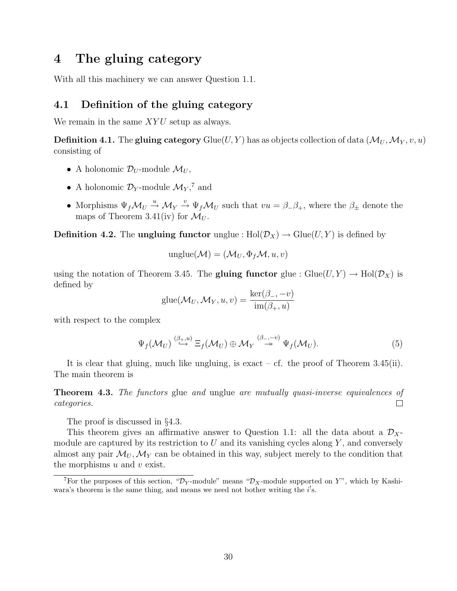# 4 The gluing category

With all this machinery we can answer Question 1.1.

## 4.1 Definition of the gluing category

We remain in the same  $XYU$  setup as always.

**Definition 4.1.** The gluing category Glue(U, Y) has as objects collection of data  $(\mathcal{M}_U, \mathcal{M}_Y, v, u)$ consisting of

- A holonomic  $\mathcal{D}_U$ -module  $\mathcal{M}_U$ ,
- A holonomic  $\mathcal{D}_Y$ -module  $\mathcal{M}_Y$ ,<sup>7</sup> and
- Morphisms  $\Psi_f \mathcal{M}_U \stackrel{u}{\rightarrow} \mathcal{M}_Y \stackrel{v}{\rightarrow} \Psi_f \mathcal{M}_U$  such that  $vu = \beta_- \beta_+$ , where the  $\beta_\pm$  denote the maps of Theorem 3.41(iv) for  $\mathcal{M}_{U}$ .

**Definition 4.2.** The ungluing functor unglue :  $Hol(\mathcal{D}_X) \to Glue(U, Y)$  is defined by

$$
unglue(\mathcal{M}) = (\mathcal{M}_U, \Phi_f \mathcal{M}, u, v)
$$

using the notation of Theorem 3.45. The **gluing functor** glue :  $G\text{lie}(U, Y) \rightarrow \text{Hol}(\mathcal{D}_X)$  is defined by

$$
glue(\mathcal{M}_U, \mathcal{M}_Y, u, v) = \frac{\ker(\beta_-, -v)}{\text{im}(\beta_+, u)}
$$

with respect to the complex

$$
\Psi_f(\mathcal{M}_U) \stackrel{(\beta_+,u)}{\hookrightarrow} \Xi_f(\mathcal{M}_U) \oplus \mathcal{M}_Y \stackrel{(\beta_-,v)}{\twoheadrightarrow} \Psi_f(\mathcal{M}_U).
$$
\n(5)

It is clear that gluing, much like ungluing, is exact – cf. the proof of Theorem 3.45(ii). The main theorem is

Theorem 4.3. The functors glue and unglue are mutually quasi-inverse equivalences of  $\Box$ categories.

The proof is discussed in §4.3.

This theorem gives an affirmative answer to Question 1.1: all the data about a  $\mathcal{D}_{X}$ module are captured by its restriction to  $U$  and its vanishing cycles along  $Y$ , and conversely almost any pair  $\mathcal{M}_U, \mathcal{M}_Y$  can be obtained in this way, subject merely to the condition that the morphisms  $u$  and  $v$  exist.

<sup>&</sup>lt;sup>7</sup>For the purposes of this section, " $\mathcal{D}_Y$ -module" means " $\mathcal{D}_X$ -module supported on Y", which by Kashiwara's theorem is the same thing, and means we need not bother writing the  $i^!s$ .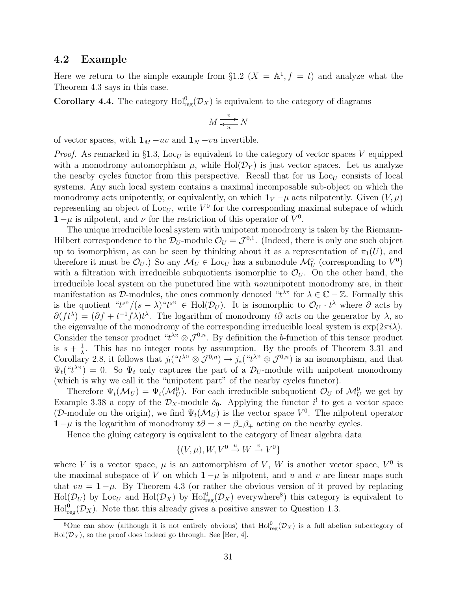### 4.2 Example

Here we return to the simple example from  $\S 1.2$   $(X = \mathbb{A}^1, f = t)$  and analyze what the Theorem 4.3 says in this case.

**Corollary 4.4.** The category  $\text{Hol}^0_{\text{reg}}(\mathcal{D}_X)$  is equivalent to the category of diagrams

$$
M \xrightarrow{v} N
$$

of vector spaces, with  $1_M - uv$  and  $1_N -vu$  invertible.

*Proof.* As remarked in §1.3, Loc<sub>U</sub> is equivalent to the category of vector spaces V equipped with a monodromy automorphism  $\mu$ , while Hol( $\mathcal{D}_Y$ ) is just vector spaces. Let us analyze the nearby cycles functor from this perspective. Recall that for us  $\text{Loc}_{U}$  consists of local systems. Any such local system contains a maximal incomposable sub-object on which the monodromy acts unipotently, or equivalently, on which  $1_V - \mu$  acts nilpotently. Given  $(V, \mu)$ representing an object of Loc<sub>U</sub>, write  $V^0$  for the corresponding maximal subspace of which  $1 - \mu$  is nilpotent, and  $\nu$  for the restriction of this operator of  $V^0$ .

The unique irreducible local system with unipotent monodromy is taken by the Riemann-Hilbert correspondence to the  $\mathcal{D}_U$ -module  $\mathcal{O}_U = \mathcal{J}^{0,1}$ . (Indeed, there is only one such object up to isomorphism, as can be seen by thinking about it as a representation of  $\pi_1(U)$ , and therefore it must be  $\mathcal{O}_U$ .) So any  $\mathcal{M}_U \in \text{Loc}_U$  has a submodule  $\mathcal{M}_U^0$  (corresponding to  $V^0$ ) with a filtration with irreducible subquotients isomorphic to  $\mathcal{O}_U$ . On the other hand, the irreducible local system on the punctured line with nonunipotent monodromy are, in their manifestation as  $\mathcal{D}$ -modules, the ones commonly denoted " $t^{\lambda}$ " for  $\lambda \in \mathbb{C} - \mathbb{Z}$ . Formally this is the quotient " $t^{s}$ "/ $(s - \lambda)$ " $t^{s}$ "  $\in$  Hol $(\mathcal{D}_U)$ . It is isomorphic to  $\mathcal{O}_U \cdot t^{\lambda}$  where  $\partial$  acts by  $\partial (ft^{\lambda}) = (\partial f + t^{-1} f \lambda)t^{\lambda}$ . The logarithm of monodromy t∂ acts on the generator by  $\lambda$ , so the eigenvalue of the monodromy of the corresponding irreducible local system is  $\exp(2\pi i\lambda)$ . Consider the tensor product " $t^{\lambda}$ "  $\otimes \mathcal{J}^{0,n}$ . By definition the b-function of this tensor product is  $s+\frac{1}{\lambda}$  $\frac{1}{\lambda}$ . This has no integer roots by assumption. By the proofs of Theorem 3.31 and Corollary 2.8, it follows that  $j_!({}``t^{\lambda n}\otimes \mathcal{J}^{0,n})\to j_*(``t^{\lambda n}\otimes \mathcal{J}^{0,n})$  is an isomorphism, and that  $\Psi_t({}^{\omega_t \lambda^{\omega}}) = 0$ . So  $\Psi_t$  only captures the part of a  $\mathcal{D}_U$ -module with unipotent monodromy (which is why we call it the "unipotent part" of the nearby cycles functor).

Therefore  $\Psi_t(\mathcal{M}_U) = \Psi_t(\mathcal{M}_U^0)$ . For each irreducible subquotient  $\mathcal{O}_U$  of  $\mathcal{M}_U^0$  we get by Example 3.38 a copy of the  $\mathcal{D}_X$ -module  $\delta_0$ . Applying the functor  $i^!$  to get a vector space (D-module on the origin), we find  $\Psi_t(\mathcal{M}_U)$  is the vector space  $V^0$ . The nilpotent operator  $1 - \mu$  is the logarithm of monodromy  $t\partial = s = \beta_-\beta_+$  acting on the nearby cycles.

Hence the gluing category is equivalent to the category of linear algebra data

$$
\{(V, \mu), W, V^0 \stackrel{u}{\rightarrow} W \stackrel{v}{\rightarrow} V^0\}
$$

where V is a vector space,  $\mu$  is an automorphism of V, W is another vector space,  $V^0$  is the maximal subspace of V on which  $1 - \mu$  is nilpotent, and u and v are linear maps such that  $vu = 1 - \mu$ . By Theorem 4.3 (or rather the obvious version of it proved by replacing  $Hol(\mathcal{D}_U)$  by Loc<sub>U</sub> and  $Hol(\mathcal{D}_X)$  by  $Hol_{reg}^0(\mathcal{D}_X)$  everywhere<sup>8</sup>) this category is equivalent to  $\text{Hol}_{\text{reg}}^0(\mathcal{D}_X)$ . Note that this already gives a positive answer to Question 1.3.

<sup>&</sup>lt;sup>8</sup>One can show (although it is not entirely obvious) that  $\text{Hol}_{reg}^{0}(\mathcal{D}_{X})$  is a full abelian subcategory of  $Hol(\mathcal{D}_X)$ , so the proof does indeed go through. See [Ber, 4].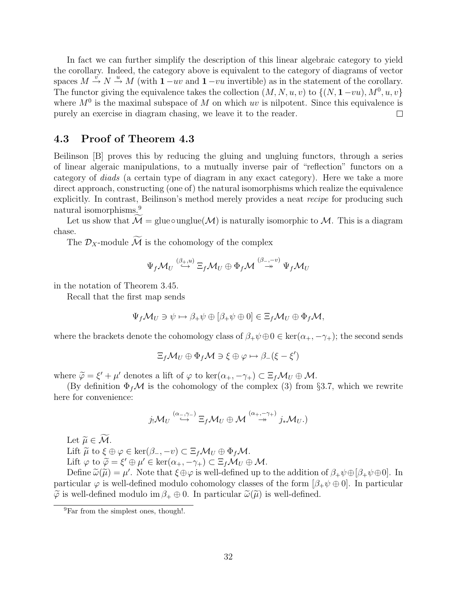In fact we can further simplify the description of this linear algebraic category to yield the corollary. Indeed, the category above is equivalent to the category of diagrams of vector spaces  $M \stackrel{v}{\rightarrow} N \stackrel{u}{\rightarrow} M$  (with  $1 - uv$  and  $1 - vu$  invertible) as in the statement of the corollary. The functor giving the equivalence takes the collection  $(M, N, u, v)$  to  $\{(N, 1-vu), M^0, u, v\}$ where  $M<sup>0</sup>$  is the maximal subspace of M on which uv is nilpotent. Since this equivalence is purely an exercise in diagram chasing, we leave it to the reader.  $\Box$ 

## 4.3 Proof of Theorem 4.3

Beilinson [B] proves this by reducing the gluing and ungluing functors, through a series of linear algeraic manipulations, to a mutually inverse pair of "reflection" functors on a category of diads (a certain type of diagram in any exact category). Here we take a more direct approach, constructing (one of) the natural isomorphisms which realize the equivalence explicitly. In contrast, Beilinson's method merely provides a neat recipe for producing such natural isomorphisms.<sup>9</sup>

Let us show that  $M =$  glue∘unglue( $M$ ) is naturally isomorphic to M. This is a diagram chase.

The  $\mathcal{D}_X$ -module  $\widetilde{\mathcal{M}}$  is the cohomology of the complex

$$
\Psi_f \mathcal{M}_U \stackrel{(\beta_+,u)}{\hookrightarrow} \Xi_f \mathcal{M}_U \oplus \Phi_f \mathcal{M} \stackrel{(\beta_-, -v)}{\twoheadrightarrow} \Psi_f \mathcal{M}_U
$$

in the notation of Theorem 3.45.

Recall that the first map sends

$$
\Psi_f \mathcal{M}_U \ni \psi \mapsto \beta_+ \psi \oplus [\beta_+ \psi \oplus 0] \in \Xi_f \mathcal{M}_U \oplus \Phi_f \mathcal{M},
$$

where the brackets denote the cohomology class of  $\beta_+\psi\oplus 0 \in \text{ker}(\alpha_+,-\gamma_+)$ ; the second sends

$$
\Xi_f \mathcal{M}_U \oplus \Phi_f \mathcal{M} \ni \xi \oplus \varphi \mapsto \beta_-(\xi - \xi')
$$

where  $\tilde{\varphi} = \xi' + \mu'$  denotes a lift of  $\varphi$  to ker $(\alpha_+, -\gamma_+) \subset \Xi_f \mathcal{M}_U \oplus \mathcal{M}$ .<br>(By definition  $\Phi \circ M$  is the separatory of the semploy (3) from

(By definition  $\Phi_f \mathcal{M}$  is the cohomology of the complex (3) from §3.7, which we rewrite here for convenience:

$$
j_!\mathcal{M}_U \stackrel{(\alpha_-,\gamma_-)}{\hookrightarrow} \Xi_f \mathcal{M}_U \oplus \mathcal{M} \stackrel{(\alpha_+,-\gamma_+)}{\twoheadrightarrow} j_*\mathcal{M}_U.
$$

Let  $\widetilde{\mu} \in \widetilde{\mathcal{M}}$ .

Lift  $\widetilde{\mu}$  to  $\xi \oplus \varphi \in \ker(\beta_-, -v) \subset \Xi_f \mathcal{M}_U \oplus \Phi_f \mathcal{M}$ . Lift  $\varphi$  to  $\widetilde{\varphi} = \xi' \oplus \mu' \in \ker(\alpha_+, -\gamma_+) \subset \Xi_f \mathcal{M}_U \oplus \mathcal{M}$ .<br>Define  $\widetilde{\varphi}(\widetilde{\mu}) = \mu'$ . Note that  $\xi \oplus \varphi$  is well defined up to

Define  $\tilde{\omega}(\tilde{\mu}) = \mu'$ . Note that  $\xi \oplus \varphi$  is well-defined up to the addition of  $\beta_+ \psi \oplus [\beta_+ \psi \oplus 0]$ . In<br>tigular  $\varphi$  is well-defined module seekomplexy classes of the form  $[\beta_+ \psi \oplus 0]$ . In particular particular  $\varphi$  is well-defined modulo cohomology classes of the form  $[\beta_+\psi \oplus 0]$ . In particular  $\widetilde{\varphi}$  is well-defined modulo im  $\beta_+ \oplus 0$ . In particular  $\widetilde{\omega}(\widetilde{\mu})$  is well-defined.

<sup>&</sup>lt;sup>9</sup>Far from the simplest ones, though!.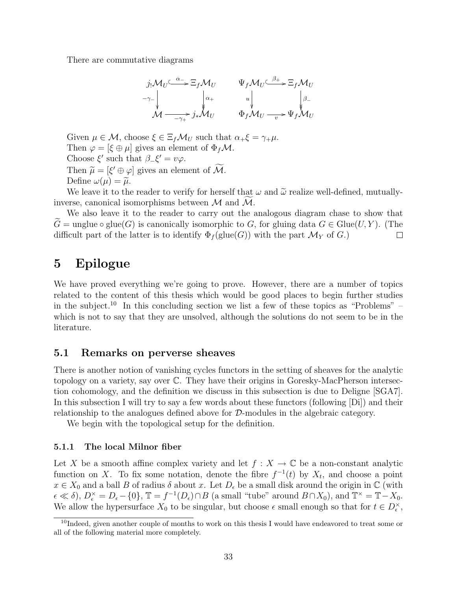There are commutative diagrams

$$
j_{!}M_{U} \xrightarrow{\alpha_{-}} \Xi_{f}M_{U} \qquad \Psi_{f}M_{U} \xrightarrow{\beta_{+}} \Xi_{f}M_{U}
$$
  
\n
$$
-\gamma_{-} \downarrow \qquad \qquad \downarrow \qquad \qquad \downarrow \qquad \qquad \downarrow \qquad \qquad \downarrow \qquad \qquad \downarrow \qquad \qquad \downarrow \qquad \qquad \downarrow \qquad \qquad \downarrow \qquad \qquad \downarrow \qquad \qquad \downarrow \qquad \qquad \downarrow \qquad \qquad \downarrow \qquad \qquad \downarrow \qquad \downarrow \qquad \downarrow \qquad \downarrow \qquad \qquad \downarrow \qquad \qquad \downarrow \qquad \qquad \downarrow \qquad \qquad \downarrow \qquad \qquad \downarrow \qquad \qquad \downarrow \qquad \qquad \downarrow \qquad \qquad \downarrow \qquad \qquad \downarrow \qquad \qquad \downarrow \qquad \qquad \downarrow \qquad \qquad \downarrow \qquad \qquad \downarrow \qquad \qquad \downarrow \qquad \qquad \downarrow \qquad \qquad \downarrow \qquad \qquad \downarrow \qquad \qquad \downarrow \qquad \qquad \downarrow \qquad \qquad \downarrow \qquad \qquad \downarrow \qquad \qquad \downarrow \qquad \qquad \downarrow \qquad \qquad \downarrow \qquad \qquad \downarrow \qquad \qquad \downarrow \qquad \qquad \downarrow \qquad \qquad \downarrow \qquad \qquad \downarrow \qquad \qquad \downarrow \qquad \qquad \downarrow \qquad \qquad \downarrow \qquad \qquad \downarrow \qquad \qquad \downarrow \qquad \qquad \downarrow \qquad \qquad \downarrow \qquad \qquad \downarrow \qquad \qquad \downarrow \qquad \qquad \downarrow \qquad \qquad \downarrow \qquad \qquad \downarrow \qquad \qquad \downarrow \qquad \qquad \downarrow \qquad \qquad \downarrow \qquad \qquad \downarrow \qquad \qquad \downarrow \qquad \qquad \downarrow \qquad \qquad \downarrow \qquad \qquad \downarrow \qquad \qquad \downarrow \qquad \qquad \downarrow \qquad \qquad \downarrow \qquad \qquad \downarrow \qquad \qquad \downarrow \qquad \qquad \downarrow \qquad \qquad \downarrow \qquad \qquad \downarrow \qquad \qquad \downarrow \qquad \qquad \downarrow \qquad \qquad \downarrow \qquad \qquad \downarrow \q
$$

Given  $\mu \in \mathcal{M}$ , choose  $\xi \in \Xi_f \mathcal{M}_U$  such that  $\alpha_+\xi = \gamma_+\mu$ . Then  $\varphi = [\xi \oplus \mu]$  gives an element of  $\Phi_f \mathcal{M}$ . Choose  $\xi'$  such that  $\beta_-\xi' = v\varphi$ . Then  $\widetilde{\mu} = [\xi' \oplus \varphi]$  gives an element of  $\widetilde{\mathcal{M}}$ .<br>Define  $\psi(\mu) = \widetilde{\mu}$ 

Define  $\omega(\mu) = \tilde{\mu}$ .

We leave it to the reader to verify for herself that  $\omega$  and  $\tilde{\omega}$  realize well-defined, mutuallyinverse, canonical isomorphisms between  $M$  and  $M$ .

We also leave it to the reader to carry out the analogous diagram chase to show that  $G = \text{unglue} \circ \text{glue}(G)$  is canonically isomorphic to G, for gluing data  $G \in \text{Glue}(U, Y)$ . (The difficult part of the latter is to identify  $\Phi_f(\text{glue}(G))$  with the part  $\mathcal{M}_V$  of G.) difficult part of the latter is to identify  $\Phi_f$ (glue(G)) with the part  $\mathcal{M}_Y$  of G.)

# 5 Epilogue

We have proved everything we're going to prove. However, there are a number of topics related to the content of this thesis which would be good places to begin further studies in the subject.<sup>10</sup> In this concluding section we list a few of these topics as "Problems" – which is not to say that they are unsolved, although the solutions do not seem to be in the literature.

## 5.1 Remarks on perverse sheaves

There is another notion of vanishing cycles functors in the setting of sheaves for the analytic topology on a variety, say over C. They have their origins in Goresky-MacPherson intersection cohomology, and the definition we discuss in this subsection is due to Deligne [SGA7]. In this subsection I will try to say a few words about these functors (following [Di]) and their relationship to the analogues defined above for D-modules in the algebraic category.

We begin with the topological setup for the definition.

#### 5.1.1 The local Milnor fiber

Let X be a smooth affine complex variety and let  $f: X \to \mathbb{C}$  be a non-constant analytic function on X. To fix some notation, denote the fibre  $f^{-1}(t)$  by  $X_t$ , and choose a point  $x \in X_0$  and a ball B of radius  $\delta$  about x. Let  $D_{\epsilon}$  be a small disk around the origin in  $\mathbb{C}$  (with  $\epsilon \ll \delta$ ),  $D_{\epsilon}^{\times} = D_{\epsilon} - \{0\}, \mathbb{T} = f^{-1}(D_{\epsilon}) \cap B$  (a small "tube" around  $B \cap X_0$ ), and  $\mathbb{T}^{\times} = \mathbb{T} - X_0$ . We allow the hypersurface  $X_0$  to be singular, but choose  $\epsilon$  small enough so that for  $t \in D_{\epsilon}^{\times}$ ,

<sup>&</sup>lt;sup>10</sup>Indeed, given another couple of months to work on this thesis I would have endeavored to treat some or all of the following material more completely.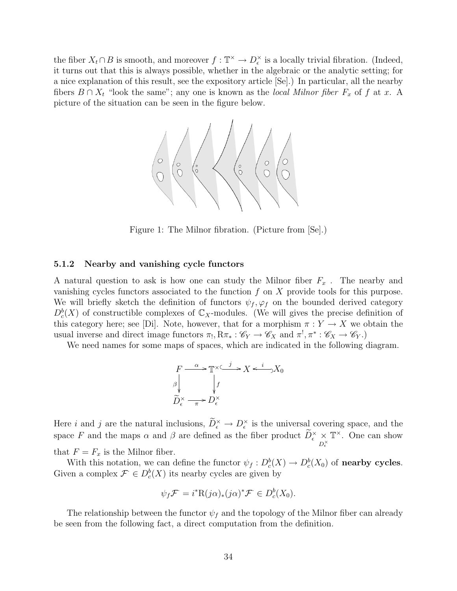the fiber  $X_t \cap B$  is smooth, and moreover  $f : \mathbb{T}^\times \to D_\epsilon^\times$  is a locally trivial fibration. (Indeed, it turns out that this is always possible, whether in the algebraic or the analytic setting; for a nice explanation of this result, see the expository article [Se].) In particular, all the nearby fibers  $B \cap X_t$  "look the same"; any one is known as the local Milnor fiber  $F_x$  of f at x. A picture of the situation can be seen in the figure below.



Figure 1: The Milnor fibration. (Picture from [Se].)

#### 5.1.2 Nearby and vanishing cycle functors

A natural question to ask is how one can study the Milnor fiber  $F_x$ . The nearby and vanishing cycles functors associated to the function  $f$  on  $X$  provide tools for this purpose. We will briefly sketch the definition of functors  $\psi_f$ ,  $\varphi_f$  on the bounded derived category  $D_c^b(X)$  of constructible complexes of  $\mathbb{C}_X$ -modules. (We will gives the precise definition of this category here; see [Di]. Note, however, that for a morphism  $\pi: Y \to X$  we obtain the usual inverse and direct image functors  $\pi_!, R\pi_* : \mathscr{C}_Y \to \mathscr{C}_X$  and  $\pi^!, \pi^* : \mathscr{C}_X \to \mathscr{C}_Y$ .

We need names for some maps of spaces, which are indicated in the following diagram.

$$
F \xrightarrow{\alpha} \mathbb{T}^{\times} \xrightarrow{j} X \xleftarrow{i} X_0
$$
  
\n
$$
\beta \downarrow f
$$
  
\n
$$
\widetilde{D}_{\epsilon}^{\times} \xrightarrow{\pi} D_{\epsilon}^{\times}
$$

Here *i* and *j* are the natural inclusions,  $\widetilde{D}_{\epsilon}^{\times} \to D_{\epsilon}^{\times}$  is the universal covering space, and the space F and the maps  $\alpha$  and  $\beta$  are defined as the fiber product  $\widetilde{D}_{\epsilon}^{\times} \underset{D_{\epsilon}^{\times}}{\times}$  $\mathbb{T}^{\times}$ . One can show that  $F = F_x$  is the Milnor fiber.

With this notation, we can define the functor  $\psi_f : D_c^b(X) \to D_c^b(X_0)$  of **nearby cycles**. Given a complex  $\mathcal{F} \in D_c^b(X)$  its nearby cycles are given by

$$
\psi_f \mathcal{F} = i^* \mathcal{R}(j\alpha)_* (j\alpha)^* \mathcal{F} \in D_c^b(X_0).
$$

The relationship between the functor  $\psi_f$  and the topology of the Milnor fiber can already be seen from the following fact, a direct computation from the definition.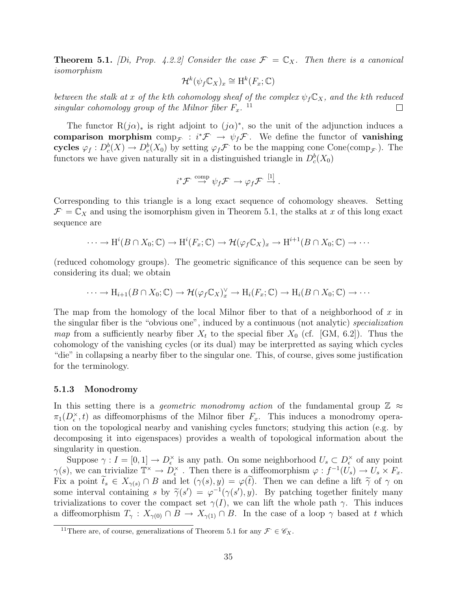**Theorem 5.1.** [Di, Prop. 4.2.2] Consider the case  $\mathcal{F} = \mathbb{C}_X$ . Then there is a canonical isomorphism

$$
\mathcal{H}^k(\psi_f \mathbb{C}_X)_x \cong \mathrm{H}^k(F_x; \mathbb{C})
$$

between the stalk at x of the kth cohomology sheaf of the complex  $\psi_f C_X$ , and the kth reduced singular cohomology group of the Milnor fiber  $F_x$ . <sup>11</sup>  $\Box$ 

The functor  $R(j\alpha)_*$  is right adjoint to  $(j\alpha)^*$ , so the unit of the adjunction induces a comparison morphism  $\text{comp}_{\mathcal{F}} : i^*\mathcal{F} \to \psi_f\mathcal{F}$ . We define the functor of vanishing cycles  $\varphi_f: D_c^b(X) \to D_c^b(X_0)$  by setting  $\varphi_f \mathcal{F}$  to be the mapping cone Cone(comp<sub> $\mathcal{F}$ </sub>). The functors we have given naturally sit in a distinguished triangle in  $D_c^b(X_0)$ 

$$
i^*\mathcal{F} \stackrel{\text{comp}}{\rightarrow} \psi_f \mathcal{F} \rightarrow \varphi_f \mathcal{F} \stackrel{[1]}{\rightarrow}.
$$

Corresponding to this triangle is a long exact sequence of cohomology sheaves. Setting  $\mathcal{F} = \mathbb{C}_X$  and using the isomorphism given in Theorem 5.1, the stalks at x of this long exact sequence are

$$
\cdots \to \mathrm{H}^i(B \cap X_0; \mathbb{C}) \to \mathrm{H}^i(F_x; \mathbb{C}) \to \mathcal{H}(\varphi_f \mathbb{C}_X)_x \to \mathrm{H}^{i+1}(B \cap X_0; \mathbb{C}) \to \cdots
$$

(reduced cohomology groups). The geometric significance of this sequence can be seen by considering its dual; we obtain

$$
\cdots \to H_{i+1}(B \cap X_0; \mathbb{C}) \to \mathcal{H}(\varphi_f \mathbb{C}_X)_x^{\vee} \to H_i(F_x; \mathbb{C}) \to H_i(B \cap X_0; \mathbb{C}) \to \cdots
$$

The map from the homology of the local Milnor fiber to that of a neighborhood of x in the singular fiber is the "obvious one", induced by a continuous (not analytic) specialization map from a sufficiently nearby fiber  $X_t$  to the special fiber  $X_0$  (cf. [GM, 6.2]). Thus the cohomology of the vanishing cycles (or its dual) may be interpretted as saying which cycles "die" in collapsing a nearby fiber to the singular one. This, of course, gives some justification for the terminology.

#### 5.1.3 Monodromy

In this setting there is a *geometric monodromy action* of the fundamental group  $\mathbb{Z} \approx$  $\pi_1(D_\epsilon^{\times}, t)$  as diffeomorphisms of the Milnor fiber  $F_x$ . This induces a monodromy operation on the topological nearby and vanishing cycles functors; studying this action (e.g. by decomposing it into eigenspaces) provides a wealth of topological information about the singularity in question.

Suppose  $\gamma: I = [0, 1] \to D_{\epsilon}^{\times}$  is any path. On some neighborhood  $U_s \subset D_{\epsilon}^{\times}$  of any point  $\gamma(s)$ , we can trivialize  $\mathbb{T}^\times \to \overline{D}_{\epsilon}^\times$ . Then there is a diffeomorphism  $\varphi: f^{-1}(U_s) \to U_s \times F_x$ . Fix a point  $\tilde{t}_s \in X_{\gamma(s)} \cap B$  and let  $(\gamma(s), y) = \varphi(\tilde{t})$ . Then we can define a lift  $\tilde{\gamma}$  of  $\gamma$  on some interval containing s by  $\tilde{\gamma}(s') = \varphi^{-1}(\gamma(s'), y)$ . By patching together finitely many<br>trivializations to cover the compact set  $\gamma(I)$ , we can lift the whole path  $\gamma$ . This induces trivializations to cover the compact set  $\gamma(I)$ , we can lift the whole path  $\gamma$ . This induces a diffeomorphism  $T_\gamma : X_{\gamma(0)} \cap B \to X_{\gamma(1)} \cap B$ . In the case of a loop  $\gamma$  based at t which

<sup>&</sup>lt;sup>11</sup>There are, of course, generalizations of Theorem 5.1 for any  $\mathcal{F} \in \mathscr{C}_X$ .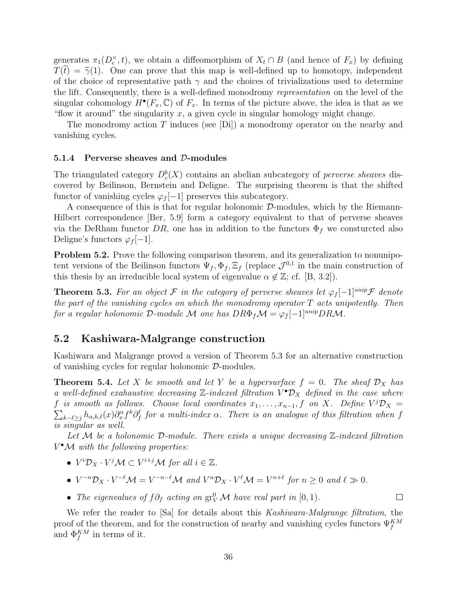generates  $\pi_1(D_\epsilon^{\times}, t)$ , we obtain a diffeomorphism of  $X_t \cap B$  (and hence of  $F_x$ ) by defining  $T(\tilde{t}) = \tilde{\gamma}(1)$ . One can prove that this map is well-defined up to homotopy, independent of the choice of representative path  $\gamma$  and the choices of trivializations used to determine the lift. Consequently, there is a well-defined monodromy representation on the level of the singular cohomology  $H^{\bullet}(F_x, \mathbb{C})$  of  $F_x$ . In terms of the picture above, the idea is that as we "flow it around" the singularity  $x$ , a given cycle in singular homology might change.

The monodromy action T induces (see  $[D_i]$ ) a monodromy operator on the nearby and vanishing cycles.

#### 5.1.4 Perverse sheaves and D-modules

The triangulated category  $D_c^b(X)$  contains an abelian subcategory of *perverse sheaves* discovered by Beilinson, Bernstein and Deligne. The surprising theorem is that the shifted functor of vanishing cycles  $\varphi_f[-1]$  preserves this subcategory.

A consequence of this is that for regular holonomic D-modules, which by the Riemann-Hilbert correspondence [Ber, 5.9] form a category equivalent to that of perverse sheaves via the DeRham functor DR, one has in addition to the functors  $\Phi_f$  we consturcted also Deligne's functors  $\varphi_f[-1]$ .

Problem 5.2. Prove the following comparison theorem, and its generalization to nonunipotent versions of the Beilinson functors  $\Psi_f$ ,  $\Phi_f$ ,  $\Xi_f$  (replace  $\mathcal{J}^{0,1}$  in the main construction of this thesis by an irreducible local system of eigenvalue  $\alpha \notin \mathbb{Z}$ ; cf. [B, 3.2]).

**Theorem 5.3.** For an object F in the category of perverse sheaves let  $\varphi_f[-1]^{unip}\mathcal{F}$  denote the part of the vanishing cycles on which the monodromy operator  $T$  acts unipotently. Then for a regular holonomic D-module M one has  $DR\Phi_f \mathcal{M} = \varphi_f[-1]^{unip} DR\mathcal{M}$ .

#### 5.2 Kashiwara-Malgrange construction

Kashiwara and Malgrange proved a version of Theorem 5.3 for an alternative construction of vanishing cycles for regular holonomic D-modules.

**Theorem 5.4.** Let X be smooth and let Y be a hypersurface  $f = 0$ . The sheaf  $\mathcal{D}_X$  has a well-defined exahaustive decreasing  $\mathbb{Z}$ -indexed filtration  $V^{\bullet} \mathcal{D}_X$  defined in the case where f is smooth as follows. Choose local coordinates  $x_1, \ldots, x_{n-1}, f$  on X. Define  $V^j\mathcal{D}_X =$  $\sum_{k-\ell\geq j}h_{\alpha,k,\ell}(x)\partial_x^\alpha f^k\partial_f^\ell$  for a multi-index  $\alpha$ . There is an analogue of this filtration when f is singular as well.

Let  $M$  be a holonomic  $D$ -module. There exists a unique decreasing  $\mathbb{Z}$ -indexed filtration  $V^{\bullet}$ M with the following properties:

- $V^i\mathcal{D}_X \cdot V^j\mathcal{M} \subset V^{i+j}\mathcal{M}$  for all  $i \in \mathbb{Z}$ .
- $V^{-n}\mathcal{D}_X \cdot V^{-\ell}\mathcal{M} = V^{-n-\ell}\mathcal{M}$  and  $V^n\mathcal{D}_X \cdot V^{\ell}\mathcal{M} = V^{n+\ell}$  for  $n \geq 0$  and  $\ell \gg 0$ .
- The eigenvalues of  $f\partial_f$  acting on  $gr^0_V \mathcal{M}$  have real part in  $[0,1)$ .

We refer the reader to [Sa] for details about this Kashiwara-Malgrange filtration, the proof of the theorem, and for the construction of nearby and vanishing cycles functors  $\Psi_f^{KM}$ and  $\Phi_f^{KM}$  in terms of it.

 $\Box$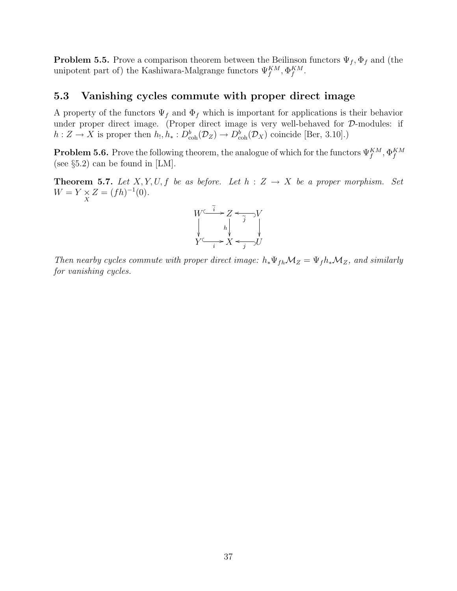**Problem 5.5.** Prove a comparison theorem between the Beilinson functors  $\Psi_f$ ,  $\Phi_f$  and (the unipotent part of) the Kashiwara-Malgrange functors  $\Psi_f^{KM}$ ,  $\Phi_f^{KM}$ .

## 5.3 Vanishing cycles commute with proper direct image

A property of the functors  $\Psi_f$  and  $\Phi_f$  which is important for applications is their behavior under proper direct image. (Proper direct image is very well-behaved for  $D$ -modules: if  $h: Z \to X$  is proper then  $h_!, h_*: D^b_{coh}(\mathcal{D}_Z) \to D^b_{coh}(\mathcal{D}_X)$  coincide [Ber, 3.10].)

**Problem 5.6.** Prove the following theorem, the analogue of which for the functors  $\Psi_f^{KM}$ ,  $\Phi_f^{KM}$ (see §5.2) can be found in [LM].

**Theorem 5.7.** Let X, Y, U, f be as before. Let  $h : Z \rightarrow X$  be a proper morphism. Set  $W = Y \underset{X}{\times} Z = (fh)^{-1}(0).$ 



Then nearby cycles commute with proper direct image:  $h_* \Psi_{fh} \mathcal{M}_Z = \Psi_f h_* \mathcal{M}_Z$ , and similarly for vanishing cycles.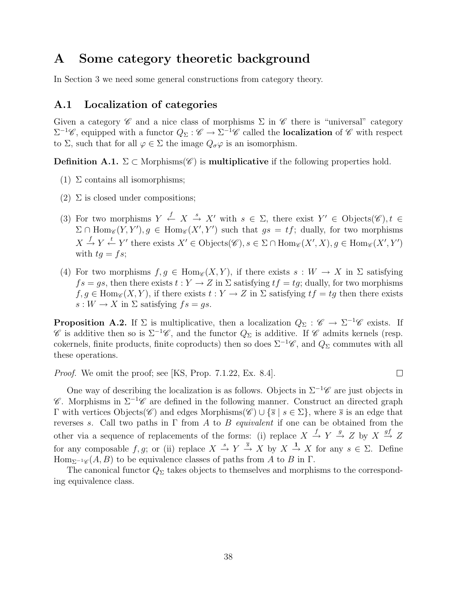# A Some category theoretic background

In Section 3 we need some general constructions from category theory.

## A.1 Localization of categories

Given a category  $\mathscr C$  and a nice class of morphisms  $\Sigma$  in  $\mathscr C$  there is "universal" category  $\Sigma^{-1}\mathscr{C}$ , equipped with a functor  $Q_{\Sigma}:\mathscr{C}\to\Sigma^{-1}\mathscr{C}$  called the **localization** of  $\mathscr{C}$  with respect to  $\Sigma$ , such that for all  $\varphi \in \Sigma$  the image  $Q_{\sigma}\varphi$  is an isomorphism.

**Definition A.1.**  $\Sigma \subset \text{Morphisms}(\mathscr{C})$  is **multiplicative** if the following properties hold.

- (1)  $\Sigma$  contains all isomorphisms;
- (2)  $\Sigma$  is closed under compositions;
- (3) For two morphisms  $Y \stackrel{f}{\leftarrow} X \stackrel{s}{\rightarrow} X'$  with  $s \in \Sigma$ , there exist  $Y' \in \text{Objects}(\mathscr{C}), t \in$  $\Sigma \cap \text{Hom}_{\mathscr{C}}(Y, Y'), g \in \text{Hom}_{\mathscr{C}}(X', Y')$  such that  $gs = tf$ ; dually, for two morphisms  $X \stackrel{f}{\rightarrow} Y \stackrel{t}{\leftarrow} Y'$  there exists  $X' \in \text{Objects}(\mathscr{C}), s \in \Sigma \cap \text{Hom}_{\mathscr{C}}(X', X), g \in \text{Hom}_{\mathscr{C}}(X', Y')$ with  $tg = fs$ ;
- (4) For two morphisms  $f, g \in \text{Hom}_{\mathscr{C}}(X, Y)$ , if there exists  $s : W \to X$  in  $\Sigma$  satisfying  $fs = gs$ , then there exists  $t : Y \to Z$  in  $\Sigma$  satisfying  $tf = tg$ ; dually, for two morphisms  $f, g \in \text{Hom}_{\mathscr{C}}(X, Y)$ , if there exists  $t : Y \to Z$  in  $\Sigma$  satisfying  $tf = tg$  then there exists  $s: W \to X$  in  $\Sigma$  satisfying  $fs = qs$ .

**Proposition A.2.** If  $\Sigma$  is multiplicative, then a localization  $Q_{\Sigma} : \mathscr{C} \to \Sigma^{-1} \mathscr{C}$  exists. If  $\mathscr C$  is additive then so is  $\Sigma^{-1}\mathscr C$ , and the functor  $Q_{\Sigma}$  is additive. If  $\mathscr C$  admits kernels (resp. cokernels, finite products, finite coproducts) then so does  $\Sigma^{-1}\mathscr{C}$ , and  $Q_{\Sigma}$  commutes with all these operations.

 $\Box$ 

Proof. We omit the proof; see [KS, Prop. 7.1.22, Ex. 8.4].

One way of describing the localization is as follows. Objects in  $\Sigma^{-1}\mathscr{C}$  are just objects in  $\mathscr C$ . Morphisms in  $\Sigma^{-1}\mathscr C$  are defined in the following manner. Construct an directed graph Γ with vertices Objects( $\mathcal{C}$ ) and edges Morphisms( $\mathcal{C}$ ) ∪ { $\overline{s}$  |  $s \in Σ$ }, where  $\overline{s}$  is an edge that reverses s. Call two paths in  $\Gamma$  from A to B equivalent if one can be obtained from the other via a sequence of replacements of the forms: (i) replace  $X \stackrel{f}{\to} Y \stackrel{g}{\to} Z$  by  $X \stackrel{gf}{\to} Z$ for any composable f, g; or (ii) replace  $X \stackrel{s}{\to} Y \stackrel{\overline{s}}{\to} X$  by  $X \stackrel{1}{\to} X$  for any  $s \in \Sigma$ . Define Hom<sub> $\Sigma^{-1}\mathscr{C}(A, B)$  to be equivalence classes of paths from A to B in  $\Gamma$ .</sub>

The canonical functor  $Q_{\Sigma}$  takes objects to themselves and morphisms to the corresponding equivalence class.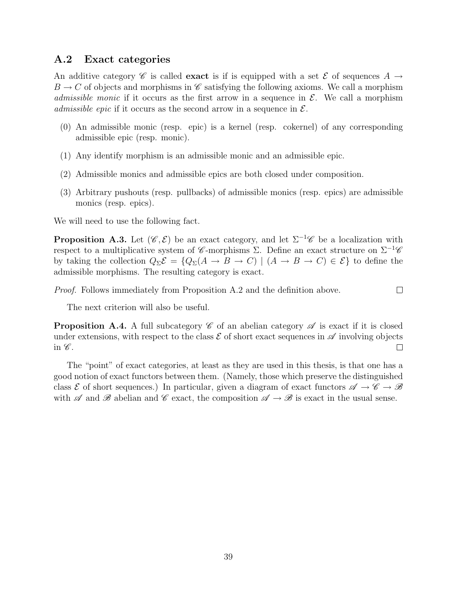## A.2 Exact categories

An additive category C is called **exact** is if is equipped with a set E of sequences  $A \rightarrow$  $B \to C$  of objects and morphisms in C satisfying the following axioms. We call a morphism *admissible monic* if it occurs as the first arrow in a sequence in  $\mathcal{E}$ . We call a morphism *admissible epic* if it occurs as the second arrow in a sequence in  $\mathcal{E}$ .

- (0) An admissible monic (resp. epic) is a kernel (resp. cokernel) of any corresponding admissible epic (resp. monic).
- (1) Any identify morphism is an admissible monic and an admissible epic.
- (2) Admissible monics and admissible epics are both closed under composition.
- (3) Arbitrary pushouts (resp. pullbacks) of admissible monics (resp. epics) are admissible monics (resp. epics).

We will need to use the following fact.

**Proposition A.3.** Let  $(\mathscr{C}, \mathcal{E})$  be an exact category, and let  $\Sigma^{-1}\mathscr{C}$  be a localization with respect to a multiplicative system of C-morphisms  $\Sigma$ . Define an exact structure on  $\Sigma^{-1}\mathscr{C}$ by taking the collection  $Q_{\Sigma} \mathcal{E} = \{Q_{\Sigma}(A \rightarrow B \rightarrow C) \mid (A \rightarrow B \rightarrow C) \in \mathcal{E}\}\)$  to define the admissible morphisms. The resulting category is exact.

Proof. Follows immediately from Proposition A.2 and the definition above.  $\Box$ 

The next criterion will also be useful.

**Proposition A.4.** A full subcategory  $\mathscr C$  of an abelian category  $\mathscr A$  is exact if it is closed under extensions, with respect to the class  $\mathcal E$  of short exact sequences in  $\mathscr A$  involving objects in  $\mathscr{C}.$  $\Box$ 

The "point" of exact categories, at least as they are used in this thesis, is that one has a good notion of exact functors between them. (Namely, those which preserve the distinguished class E of short sequences.) In particular, given a diagram of exact functors  $\mathscr{A} \to \mathscr{C} \to \mathscr{B}$ with  $\mathscr A$  and  $\mathscr B$  abelian and  $\mathscr C$  exact, the composition  $\mathscr A \to \mathscr B$  is exact in the usual sense.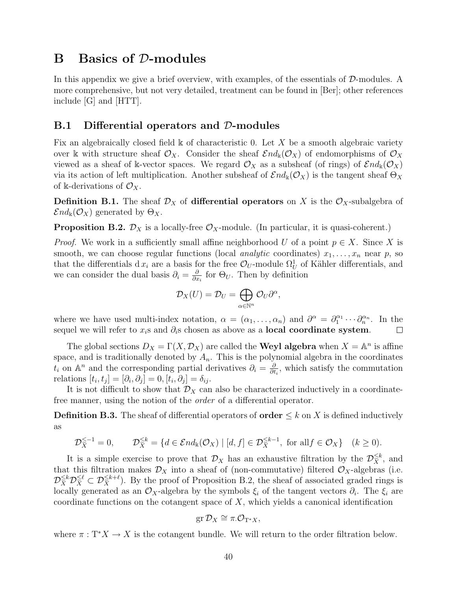# B Basics of D-modules

In this appendix we give a brief overview, with examples, of the essentials of D-modules. A more comprehensive, but not very detailed, treatment can be found in [Ber]; other references include [G] and [HTT].

#### B.1 Differential operators and D-modules

Fix an algebraically closed field  $\Bbbk$  of characteristic 0. Let X be a smooth algebraic variety over k with structure sheaf  $\mathcal{O}_X$ . Consider the sheaf  $\mathcal{E}nd_k(\mathcal{O}_X)$  of endomorphisms of  $\mathcal{O}_X$ viewed as a sheaf of k-vector spaces. We regard  $\mathcal{O}_X$  as a subsheaf (of rings) of  $\mathcal{E}nd_k(\mathcal{O}_X)$ via its action of left multiplication. Another subsheaf of  $\mathcal{E}nd_k(\mathcal{O}_X)$  is the tangent sheaf  $\Theta_X$ of k-derivations of  $\mathcal{O}_X$ .

**Definition B.1.** The sheaf  $\mathcal{D}_X$  of **differential operators** on X is the  $\mathcal{O}_X$ -subalgebra of  $\mathcal{E}nd_{\mathbb{k}}(\mathcal{O}_X)$  generated by  $\Theta_X$ .

**Proposition B.2.**  $\mathcal{D}_X$  is a locally-free  $\mathcal{O}_X$ -module. (In particular, it is quasi-coherent.)

*Proof.* We work in a sufficiently small affine neighborhood U of a point  $p \in X$ . Since X is smooth, we can choose regular functions (local *analytic* coordinates)  $x_1, \ldots, x_n$  near p, so that the differentials d  $x_i$  are a basis for the free  $\mathcal{O}_U$ -module  $\Omega^1_U$  of Kähler differentials, and we can consider the dual basis  $\partial_i = \frac{\partial}{\partial x_i}$  $\frac{\partial}{\partial x_i}$  for  $\Theta_U$ . Then by definition

$$
\mathcal{D}_X(U)=\mathcal{D}_U=\bigoplus_{\alpha\in\mathbb{N}^n}\mathcal{O}_U\partial^\alpha,
$$

where we have used multi-index notation,  $\alpha = (\alpha_1, \ldots, \alpha_n)$  and  $\partial^{\alpha} = \partial_1^{\alpha_1} \cdots \partial_n^{\alpha_n}$ . In the sequel we will refer to  $x_i$ s and  $\partial_i$ s chosen as above as a **local coordinate system**.  $\Box$ 

The global sections  $D_X = \Gamma(X, \mathcal{D}_X)$  are called the **Weyl algebra** when  $X = \mathbb{A}^n$  is affine space, and is traditionally denoted by  $A_n$ . This is the polynomial algebra in the coordinates  $t_i$  on  $\mathbb{A}^n$  and the corresponding partial derivatives  $\partial_i = \frac{\partial}{\partial t}$  $\frac{\partial}{\partial t_i}$ , which satisfy the commutation relations  $[t_i, t_j] = [\partial_i, \partial_j] = 0$ ,  $[t_i, \partial_j] = \delta_{ij}$ .

It is not difficult to show that  $\mathcal{D}_X$  can also be characterized inductively in a coordinatefree manner, using the notion of the order of a differential operator.

**Definition B.3.** The sheaf of differential operators of **order**  $\leq k$  on X is defined inductively as

$$
\mathcal{D}_X^{\leq -1} = 0, \qquad \mathcal{D}_X^{\leq k} = \{ d \in \mathcal{E} nd_k(\mathcal{O}_X) \mid [d, f] \in \mathcal{D}_X^{\leq k-1}, \text{ for all } f \in \mathcal{O}_X \} \quad (k \geq 0).
$$

It is a simple exercise to prove that  $\mathcal{D}_X$  has an exhaustive filtration by the  $\mathcal{D}_X^{\leq k}$ , and that this filtration makes  $\mathcal{D}_X$  into a sheaf of (non-commutative) filtered  $\mathcal{O}_X$ -algebras (i.e.  $\mathcal{D}_X^{\leq k} \mathcal{D}_X^{\leq \ell} \subset \mathcal{D}_X^{\leq k+\ell}$ . By the proof of Proposition B.2, the sheaf of associated graded rings is locally generated as an  $\mathcal{O}_X$ -algebra by the symbols  $\xi_i$  of the tangent vectors  $\partial_i$ . The  $\xi_i$  are coordinate functions on the cotangent space of  $X$ , which yields a canonical identification

$$
\operatorname{gr} \mathcal{D}_X \cong \pi.\mathcal{O}_{T^*X},
$$

where  $\pi : T^*X \to X$  is the cotangent bundle. We will return to the order filtration below.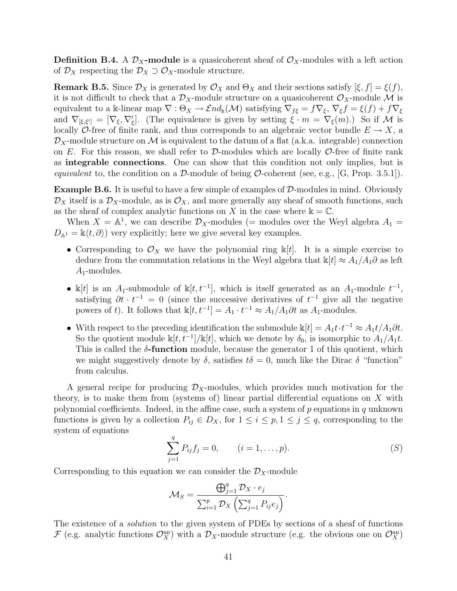**Definition B.4.** A  $\mathcal{D}_X$ -module is a quasicoherent sheaf of  $\mathcal{O}_X$ -modules with a left action of  $\mathcal{D}_X$  respecting the  $\mathcal{D}_X \supset \mathcal{O}_X$ -module structure.

**Remark B.5.** Since  $\mathcal{D}_X$  is generated by  $\mathcal{O}_X$  and  $\Theta_X$  and their sections satisfy  $[\xi, f] = \xi(f)$ , it is not difficult to check that a  $\mathcal{D}_X$ -module structure on a quasicoherent  $\mathcal{O}_X$ -module M is equivalent to a k-linear map  $\nabla : \Theta_X \to \mathcal{E}nd_k(\mathcal{M})$  satisfying  $\nabla_{f\xi} = f\nabla_{\xi}, \nabla_{\xi}f = \xi(f) + f\nabla_{\xi}$ and  $\nabla_{\xi,\xi'} = [\nabla_{\xi},\nabla'_{\xi}]$ . (The equivalence is given by setting  $\xi \cdot m = \nabla_{\xi}(m)$ .) So if M is locally O-free of finite rank, and thus corresponds to an algebraic vector bundle  $E \to X$ , a  $\mathcal{D}_X$ -module structure on M is equivalent to the datum of a flat (a.k.a. integrable) connection on E. For this reason, we shall refer to D-modules which are locally  $\mathcal{O}$ -free of finite rank as integrable connections. One can show that this condition not only implies, but is equivalent to, the condition on a D-module of being O-coherent (see, e.g., [G, Prop. 3.5.1]).

Example B.6. It is useful to have a few simple of examples of D-modules in mind. Obviously  $\mathcal{D}_X$  itself is a  $\mathcal{D}_X$ -module, as is  $\mathcal{O}_X$ , and more generally any sheaf of smooth functions, such as the sheaf of complex analytic functions on X in the case where  $\mathbb{k} = \mathbb{C}$ .

When  $X = \mathbb{A}^1$ , we can describe  $\mathcal{D}_X$ -modules (= modules over the Weyl algebra  $A_1$  =  $D_{\mathbb{A}^1} = \mathbb{k}\langle t, \partial \rangle$  very explicitly; here we give several key examples.

- Corresponding to  $\mathcal{O}_X$  we have the polynomial ring  $\mathbb{k}[t]$ . It is a simple exercise to deduce from the commutation relations in the Weyl algebra that  $\mathbb{k}[t] \approx A_1/A_1 \partial$  as left  $A_1$ -modules.
- k[t] is an A<sub>1</sub>-submodule of k[t, t<sup>-1</sup>], which is itself generated as an A<sub>1</sub>-module  $t^{-1}$ , satisfying  $\partial t \cdot t^{-1} = 0$  (since the successive derivatives of  $t^{-1}$  give all the negative powers of t). It follows that  $\mathbb{k}[t, t^{-1}] = A_1 \cdot t^{-1} \approx A_1/A_1 \partial t$  as  $A_1$ -modules.
- With respect to the preceding identification the submodule  $\mathbb{k}[t] = A_1 t \cdot t^{-1} \approx A_1 t / A_1 \partial t$ . So the quotient module  $\mathbb{k}[t, t^{-1}]/\mathbb{k}[t]$ , which we denote by  $\delta_0$ , is isomorphic to  $A_1/A_1t$ . This is called the  $\delta$ -function module, because the generator 1 of this quotient, which we might suggestively denote by  $\delta$ , satisfies  $t\delta = 0$ , much like the Dirac  $\delta$  "function" from calculus.

A general recipe for producing  $\mathcal{D}_X$ -modules, which provides much motivation for the theory, is to make them from (systems of) linear partial differential equations on  $X$  with polynomial coefficients. Indeed, in the affine case, such a system of  $p$  equations in  $q$  unknown functions is given by a collection  $P_{ij} \in D_X$ , for  $1 \le i \le p, 1 \le j \le q$ , corresponding to the system of equations

$$
\sum_{j=1}^{q} P_{ij} f_j = 0, \qquad (i = 1, \dots, p).
$$
 (S)

Corresponding to this equation we can consider the  $\mathcal{D}_X$ -module

$$
\mathcal{M}_S = \frac{\bigoplus_{j=1}^q \mathcal{D}_X \cdot e_j}{\sum_{i=1}^p \mathcal{D}_X \left( \sum_{j=1}^q P_{ij} e_j \right)}.
$$

The existence of a *solution* to the given system of PDEs by sections of a sheaf of functions F (e.g. analytic functions  $\mathcal{O}_X^{\text{an}}$ ) with a  $\mathcal{D}_X$ -module structure (e.g. the obvious one on  $\mathcal{O}_X^{\text{an}}$ )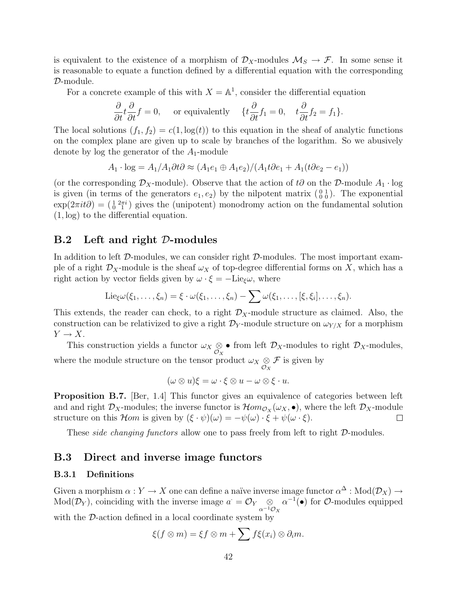is equivalent to the existence of a morphism of  $\mathcal{D}_X$ -modules  $\mathcal{M}_S \to \mathcal{F}$ . In some sense it is reasonable to equate a function defined by a differential equation with the corresponding D-module.

For a concrete example of this with  $X = \mathbb{A}^1$ , consider the differential equation

$$
\frac{\partial}{\partial t}t\frac{\partial}{\partial t}f = 0, \quad \text{ or equivalently} \quad \{t\frac{\partial}{\partial t}f_1 = 0, \quad t\frac{\partial}{\partial t}f_2 = f_1\}.
$$

The local solutions  $(f_1, f_2) = c(1, \log(t))$  to this equation in the sheaf of analytic functions on the complex plane are given up to scale by branches of the logarithm. So we abusively denote by log the generator of the  $A_1$ -module

$$
A_1 \cdot \log = A_1/A_1 \partial t \partial \approx (A_1 e_1 \oplus A_1 e_2)/(A_1 t \partial e_1 + A_1 (t \partial e_2 - e_1))
$$

(or the corresponding  $\mathcal{D}_X$ -module). Observe that the action of t∂ on the D-module  $A_1 \cdot \log$ is given (in terms of the generators  $e_1, e_2$ ) by the nilpotent matrix  $\begin{pmatrix} 0 & 1 \\ 0 & 0 \end{pmatrix}$ . The exponential  $\exp(2\pi it\partial) = \left(\frac{1}{0}^{2\pi i}\right)$  gives the (unipotent) monodromy action on the fundamental solution (1, log) to the differential equation.

#### B.2 Left and right D-modules

In addition to left  $D$ -modules, we can consider right  $D$ -modules. The most important example of a right  $\mathcal{D}_X$ -module is the sheaf  $\omega_X$  of top-degree differential forms on X, which has a right action by vector fields given by  $\omega \cdot \xi = -\text{Lie}_{\xi}\omega$ , where

$$
\mathrm{Lie}_{\xi}\omega(\xi_1,\ldots,\xi_n)=\xi\cdot\omega(\xi_1,\ldots,\xi_n)-\sum\omega(\xi_1,\ldots,[\xi,\xi_i],\ldots,\xi_n).
$$

This extends, the reader can check, to a right  $\mathcal{D}_X$ -module structure as claimed. Also, the construction can be relativized to give a right  $\mathcal{D}_Y$ -module structure on  $\omega_{Y/X}$  for a morphism  $Y \to X$ .

This construction yields a functor  $\omega_X \otimes \bullet$  from left  $\mathcal{D}_X$ -modules to right  $\mathcal{D}_X$ -modules, where the module structure on the tensor product  $\omega_X \underset{\mathcal{O}_X}{\otimes}$  $\mathcal F$  is given by

$$
(\omega \otimes u)\xi = \omega \cdot \xi \otimes u - \omega \otimes \xi \cdot u.
$$

Proposition B.7. [Ber, 1.4] This functor gives an equivalence of categories between left and and right  $\mathcal{D}_X$ -modules; the inverse functor is  $\mathcal{H}om_{\mathcal{O}_X}(\omega_X,\bullet)$ , where the left  $\mathcal{D}_X$ -module structure on this Hom is given by  $(\xi \cdot \psi)(\omega) = -\psi(\omega) \cdot \xi + \psi(\omega \cdot \xi)$ .  $\Box$ 

These *side changing functors* allow one to pass freely from left to right D-modules.

## B.3 Direct and inverse image functors

#### B.3.1 Definitions

Given a morphism  $\alpha: Y \to X$  one can define a naïve inverse image functor  $\alpha^{\Delta}: \text{Mod}(\mathcal{D}_X) \to$  $Mod(\mathcal{D}_Y)$ , coinciding with the inverse image  $a^{\cdot} = \mathcal{O}_Y \quad \otimes$  $\alpha^{-1}\mathcal{O}_X$  $\alpha^{-1}(\bullet)$  for  $\mathcal{O}\text{-modules}$  equipped with the D-action defined in a local coordinate system by

$$
\xi(f \otimes m) = \xi f \otimes m + \sum f \xi(x_i) \otimes \partial_i m.
$$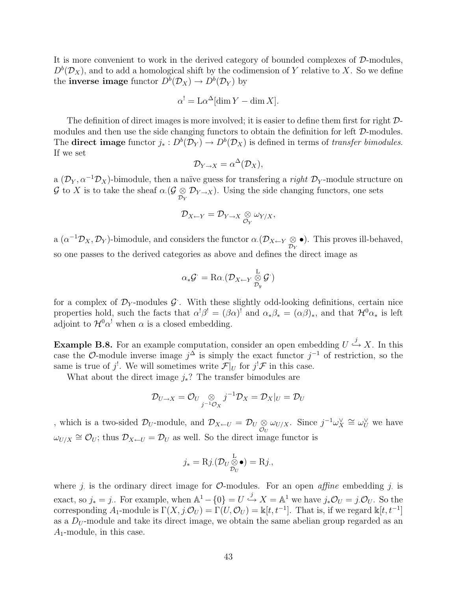It is more convenient to work in the derived category of bounded complexes of D-modules,  $D<sup>b</sup>(\mathcal{D}<sub>X</sub>)$ , and to add a homological shift by the codimension of Y relative to X. So we define the **inverse image** functor  $D^b(\mathcal{D}_X) \to D^b(\mathcal{D}_Y)$  by

$$
\alpha^! = \mathcal{L}\alpha^{\Delta}[\dim Y - \dim X].
$$

The definition of direct images is more involved; it is easier to define them first for right  $\mathcal{D}$ modules and then use the side changing functors to obtain the definition for left  $\mathcal{D}\text{-modules}$ . The **direct image** functor  $j_* : D^b(\mathcal{D}_Y) \to D^b(\mathcal{D}_X)$  is defined in terms of *transfer bimodules*. If we set

$$
\mathcal{D}_{Y\to X} = \alpha^{\Delta}(\mathcal{D}_X),
$$

a  $(\mathcal{D}_Y, \alpha^{-1} \mathcal{D}_X)$ -bimodule, then a naïve guess for transfering a *right*  $\mathcal{D}_Y$ -module structure on G to X is to take the sheaf  $\alpha$  ( $\mathcal{G} \otimes \mathcal{D}_{Y \to X}$ ). Using the side changing functors, one sets

$$
\mathcal{D}_{X \leftarrow Y} = \mathcal{D}_{Y \rightarrow X} \underset{\mathcal{O}_Y}{\otimes} \omega_{Y/X},
$$

a  $(\alpha^{-1}\mathcal{D}_X, \mathcal{D}_Y)$ -bimodule, and considers the functor  $\alpha.(\mathcal{D}_{X \leftarrow Y} \underset{\mathcal{D}_Y}{\otimes}$ •). This proves ill-behaved, so one passes to the derived categories as above and defines the direct image as

$$
\alpha_*\mathcal{G}^{\cdot} = \mathrm{R}\alpha.(\mathcal{D}_{X \leftarrow Y} \mathop{\otimes}\limits_{\mathcal{D}_y}^{\mathbf{L}} \mathcal{G}^{\cdot})
$$

for a complex of  $\mathcal{D}_Y$ -modules  $\mathcal{G}$ . With these slightly odd-looking definitions, certain nice properties hold, such the facts that  $\alpha^!\beta^! = (\beta\alpha)^!$  and  $\alpha_*\beta_* = (\alpha\beta)_*,$  and that  $\mathcal{H}^0\alpha_*$  is left adjoint to  $\mathcal{H}^0\alpha^!$  when  $\alpha$  is a closed embedding.

**Example B.8.** For an example computation, consider an open embedding  $U \stackrel{j}{\hookrightarrow} X$ . In this case the O-module inverse image  $j^{\Delta}$  is simply the exact functor  $j^{-1}$  of restriction, so the same is true of  $j^!$ . We will sometimes write  $\mathcal{F}|_U$  for  $j^!\mathcal{F}$  in this case.

What about the direct image  $j_*$ ? The transfer bimodules are

$$
\mathcal{D}_{U\to X}=\mathcal{O}_U\underset{j^{-1}\mathcal{O}_X}{\otimes}j^{-1}\mathcal{D}_X=\mathcal{D}_X|_U=\mathcal{D}_U
$$

, which is a two-sided  $\mathcal{D}_U$ -module, and  $\mathcal{D}_{X \leftarrow U} = \mathcal{D}_U \underset{\mathcal{O}_U}{\otimes} \omega_{U/X}$ . Since  $j^{-1} \omega_X^{\vee} \cong \omega_U^{\vee}$  we have  $\omega_{U/X} \cong \mathcal{O}_U$ ; thus  $\mathcal{D}_{X \leftarrow U} = \mathcal{D}_U$  as well. So the direct image functor is

$$
j_* = \mathrm{R}j.(\mathcal{D}_U \mathop{\otimes}\limits^{\mathrm{L}}_{\mathcal{D}_U} \bullet) = \mathrm{R}j,
$$

where j is the ordinary direct image for  $\mathcal{O}\text{-modules}$ . For an open *affine* embedding j is exact, so  $j_* = j$ . For example, when  $\mathbb{A}^1 - \{0\} = U \stackrel{j}{\hookrightarrow} X = \mathbb{A}^1$  we have  $j_*\mathcal{O}_U = j.\mathcal{O}_U$ . So the corresponding  $A_1$ -module is  $\Gamma(X, j \mathcal{O}_U) = \Gamma(U, \mathcal{O}_U) = \mathbb{k}[t, t^{-1}]$ . That is, if we regard  $\mathbb{k}[t, t^{-1}]$ as a  $D_U$ -module and take its direct image, we obtain the same abelian group regarded as an  $A_1$ -module, in this case.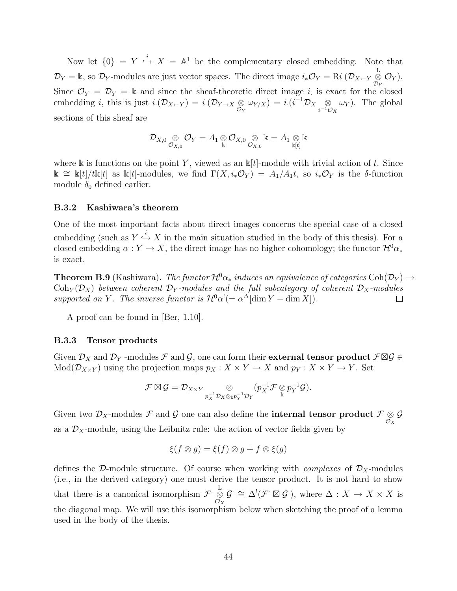Now let  $\{0\} = Y \stackrel{i}{\hookrightarrow} X = \mathbb{A}^1$  be the complementary closed embedding. Note that  $\mathcal{D}_Y = \mathbb{k}$ , so  $\mathcal{D}_Y$ -modules are just vector spaces. The direct image  $i_* \mathcal{O}_Y = \text{R}i.(\mathcal{D}_{X \leftarrow Y} \overset{\text{L}}{\otimes} \mathcal{D}_{Y \leftarrow Y})$  $\underset{\mathcal{D}_{Y}}{\otimes }\mathcal{O}_{Y}).$ Since  $\mathcal{O}_Y = \mathcal{D}_Y = \mathbb{k}$  and since the sheaf-theoretic direct image *i*. is exact for the closed embedding *i*, this is just  $i.(\mathcal{D}_{X \leftarrow Y}) = i.(\mathcal{D}_{Y \rightarrow X} \underset{\mathcal{O}_Y}{\otimes} \omega_{Y/X}) = i.(i^{-1}\mathcal{D}_{X} \underset{i^{-1}\mathcal{C}}{\otimes}$  $i^{-1}\mathcal{O}_X$  $\omega_Y$ ). The global sections of this sheaf are

$$
\mathcal D_{X,0}\underset{\mathcal O_{X,0}}{\otimes}\mathcal O_Y=A_1\underset{\Bbbk}{\otimes}\mathcal O_{X,0}\underset{\mathcal O_{X,0}}{\otimes}\Bbbk=A_1\underset{\Bbbk[t]}{\otimes}\Bbbk
$$

where k is functions on the point Y, viewed as an  $k[t]$ -module with trivial action of t. Since k ≅ k[t]/tk[t] as k[t]-modules, we find  $\Gamma(X, i_*\mathcal{O}_Y) = A_1/A_1t$ , so  $i_*\mathcal{O}_Y$  is the δ-function module  $\delta_0$  defined earlier.

#### B.3.2 Kashiwara's theorem

One of the most important facts about direct images concerns the special case of a closed embedding (such as  $Y \stackrel{i}{\hookrightarrow} X$  in the main situation studied in the body of this thesis). For a closed embedding  $\alpha: Y \to X$ , the direct image has no higher cohomology; the functor  $\mathcal{H}^0 \alpha_*$ is exact.

**Theorem B.9** (Kashiwara). The functor  $\mathcal{H}^0\alpha_*$  induces an equivalence of categories Coh( $\mathcal{D}_Y$ )  $\rightarrow$  $\text{Coh}_Y(\mathcal{D}_X)$  between coherent  $\mathcal{D}_Y$ -modules and the full subcategory of coherent  $\mathcal{D}_X$ -modules supported on Y. The inverse functor is  $\mathcal{H}^0\alpha^! (= \alpha^{\Delta}[\dim Y - \dim X]).$  $\Box$ 

A proof can be found in [Ber, 1.10].

#### B.3.3 Tensor products

Given  $\mathcal{D}_X$  and  $\mathcal{D}_Y$  -modules  $\mathcal F$  and  $\mathcal G,$  one can form their **external tensor product**  $\mathcal F \boxtimes \mathcal G \in$  $Mod(\mathcal{D}_{X\times Y})$  using the projection maps  $p_X : X \times Y \to X$  and  $p_Y : X \times Y \to Y$ . Set

$$
\mathcal{F} \boxtimes \mathcal{G} = \mathcal{D}_{X \times Y} \underset{p_X^{-1} \mathcal{D}_X \otimes_{\Bbbk} p_Y^{-1} \mathcal{D}_Y}{\otimes} (p_X^{-1} \mathcal{F} \underset{\Bbbk}{\otimes} p_Y^{-1} \mathcal{G}).
$$

Given two  $\mathcal{D}_X\text{-modules}\; \mathcal{F}$  and  $\mathcal G$  one can also define the **internal tensor product**  $\mathcal F\underset{\mathcal O_X}{\otimes}$  $\mathcal G$ as a  $\mathcal{D}_X$ -module, using the Leibnitz rule: the action of vector fields given by

$$
\xi(f \otimes g) = \xi(f) \otimes g + f \otimes \xi(g)
$$

defines the D-module structure. Of course when working with *complexes* of  $D<sub>X</sub>$ -modules (i.e., in the derived category) one must derive the tensor product. It is not hard to show that there is a canonical isomorphism  $\mathcal{F} \overset{\mathbf{L}}{\otimes}$  $\mathcal{O}_X$  $\mathcal{G} \cong \Delta^!(\mathcal{F} \boxtimes \mathcal{G})$ , where  $\Delta : X \to X \times X$  is the diagonal map. We will use this isomorphism below when sketching the proof of a lemma used in the body of the thesis.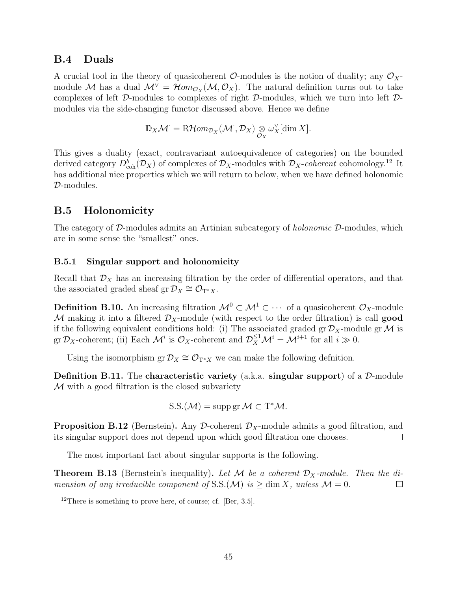## B.4 Duals

A crucial tool in the theory of quasicoherent  $\mathcal{O}$ -modules is the notion of duality; any  $\mathcal{O}_X$ module M has a dual  $\mathcal{M}^{\vee} = \mathcal{H}om_{\mathcal{O}_X}(\mathcal{M}, \mathcal{O}_X)$ . The natural definition turns out to take complexes of left D-modules to complexes of right D-modules, which we turn into left Dmodules via the side-changing functor discussed above. Hence we define

$$
\mathbb{D}_X \mathcal{M} = \mathrm{R}\mathcal{H}om_{\mathcal{D}_X}(\mathcal{M}, \mathcal{D}_X) \underset{\mathcal{O}_X}{\otimes} \omega_X^{\vee}[\dim X].
$$

This gives a duality (exact, contravariant autoequivalence of categories) on the bounded derived category  $D^b_{coh}(\mathcal{D}_X)$  of complexes of  $\mathcal{D}_X$ -modules with  $\mathcal{D}_X$ -coherent cohomology.<sup>12</sup> It has additional nice properties which we will return to below, when we have defined holonomic D-modules.

## B.5 Holonomicity

The category of  $D$ -modules admits an Artinian subcategory of *holonomic*  $D$ -modules, which are in some sense the "smallest" ones.

## B.5.1 Singular support and holonomicity

Recall that  $\mathcal{D}_X$  has an increasing filtration by the order of differential operators, and that the associated graded sheaf gr $\mathcal{D}_X \cong \mathcal{O}_{T^*X}$ .

**Definition B.10.** An increasing filtration  $\mathcal{M}^0 \subset \mathcal{M}^1 \subset \cdots$  of a quasicoherent  $\mathcal{O}_X$ -module M making it into a filtered  $\mathcal{D}_X$ -module (with respect to the order filtration) is call good if the following equivalent conditions hold: (i) The associated graded gr  $\mathcal{D}_X$ -module gr M is gr  $\mathcal{D}_X$ -coherent; (ii) Each  $\mathcal{M}^i$  is  $\mathcal{O}_X$ -coherent and  $\mathcal{D}_X^{\leq 1} \mathcal{M}^i = \mathcal{M}^{i+1}$  for all  $i \gg 0$ .

Using the isomorphism  $gr \mathcal{D}_X \cong \mathcal{O}_{T^*X}$  we can make the following defnition.

**Definition B.11.** The characteristic variety (a.k.a. singular support) of a  $\mathcal{D}$ -module M with a good filtration is the closed subvariety

$$
S.S.(\mathcal{M}) = \operatorname{supp}\operatorname{gr}\mathcal{M} \subset T^*\mathcal{M}.
$$

**Proposition B.12** (Bernstein). Any D-coherent  $\mathcal{D}_X$ -module admits a good filtration, and its singular support does not depend upon which good filtration one chooses.  $\Box$ 

The most important fact about singular supports is the following.

**Theorem B.13** (Bernstein's inequality). Let M be a coherent  $\mathcal{D}_X$ -module. Then the dimension of any irreducible component of S.S. $(\mathcal{M})$  is  $\geq$  dim X, unless  $\mathcal{M} = 0$ .  $\Box$ 

 $12$ There is something to prove here, of course; cf. [Ber, 3.5].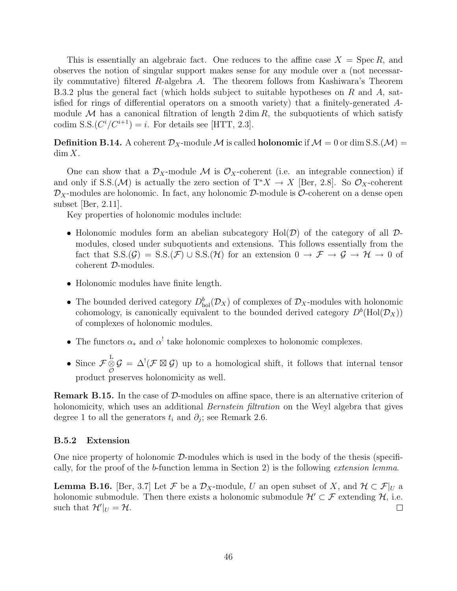This is essentially an algebraic fact. One reduces to the affine case  $X = \text{Spec } R$ , and observes the notion of singular support makes sense for any module over a (not necessarily commutative) filtered R-algebra A. The theorem follows from Kashiwara's Theorem B.3.2 plus the general fact (which holds subject to suitable hypotheses on R and A, satisfied for rings of differential operators on a smooth variety) that a finitely-generated Amodule M has a canonical filtration of length  $2 \dim R$ , the subquotients of which satisfy codim S.S. $(C^{i}/C^{i+1}) = i$ . For details see [HTT, 2.3].

**Definition B.14.** A coherent  $\mathcal{D}_X$ -module M is called **holonomic** if  $\mathcal{M} = 0$  or dim S.S.( $\mathcal{M}$ ) =  $\dim X$ .

One can show that a  $\mathcal{D}_X$ -module M is  $\mathcal{O}_X$ -coherent (i.e. an integrable connection) if and only if S.S.(M) is actually the zero section of  $T^*X \to X$  [Ber, 2.8]. So  $\mathcal{O}_X$ -coherent  $\mathcal{D}_X$ -modules are holonomic. In fact, any holonomic  $\mathcal{D}$ -module is  $\mathcal{O}$ -coherent on a dense open subset [Ber, 2.11].

Key properties of holonomic modules include:

- Holonomic modules form an abelian subcategory  $Hol(\mathcal{D})$  of the category of all  $\mathcal{D}$ modules, closed under subquotients and extensions. This follows essentially from the fact that  $S.S.(\mathcal{G}) = S.S.(\mathcal{F}) \cup S.S.(\mathcal{H})$  for an extension  $0 \to \mathcal{F} \to \mathcal{G} \to \mathcal{H} \to 0$  of coherent D-modules.
- Holonomic modules have finite length.
- The bounded derived category  $D_{hol}^b(\mathcal{D}_X)$  of complexes of  $\mathcal{D}_X$ -modules with holonomic cohomology, is canonically equivalent to the bounded derived category  $D^b(\text{Hol}(\mathcal{D}_X))$ of complexes of holonomic modules.
- The functors  $\alpha_*$  and  $\alpha'$  take holonomic complexes to holonomic complexes.
- Since  $\mathcal{F}\overset{\mathcal{L}}{\otimes}\mathcal{G} = \Delta^!(\mathcal{F}\boxtimes\mathcal{G})$  up to a homological shift, it follows that internal tensor product preserves holonomicity as well.

Remark B.15. In the case of D-modules on affine space, there is an alternative criterion of holonomicity, which uses an additional *Bernstein filtration* on the Weyl algebra that gives degree 1 to all the generators  $t_i$  and  $\partial_j$ ; see Remark 2.6.

#### B.5.2 Extension

One nice property of holonomic  $\mathcal{D}$ -modules which is used in the body of the thesis (specifically, for the proof of the b-function lemma in Section 2) is the following extension lemma.

**Lemma B.16.** [Ber, 3.7] Let F be a  $\mathcal{D}_X$ -module, U an open subset of X, and  $\mathcal{H} \subset \mathcal{F}|_U$  a holonomic submodule. Then there exists a holonomic submodule  $\mathcal{H}' \subset \mathcal{F}$  extending  $\mathcal{H}$ , i.e. such that  $\mathcal{H}'|_U = \mathcal{H}$ .  $\Box$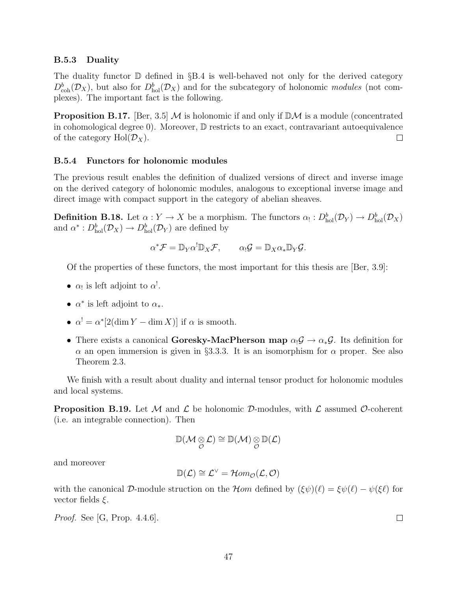#### B.5.3 Duality

The duality functor  $\mathbb D$  defined in §B.4 is well-behaved not only for the derived category  $D_{\rm coh}^b(\mathcal{D}_X)$ , but also for  $D_{\rm hol}^b(\mathcal{D}_X)$  and for the subcategory of holonomic modules (not complexes). The important fact is the following.

**Proposition B.17.** [Ber, 3.5] M is holonomic if and only if  $\mathbb{D}M$  is a module (concentrated in cohomological degree 0). Moreover, D restricts to an exact, contravariant autoequivalence of the category  $Hol(\mathcal{D}_X)$ .  $\Box$ 

#### B.5.4 Functors for holonomic modules

The previous result enables the definition of dualized versions of direct and inverse image on the derived category of holonomic modules, analogous to exceptional inverse image and direct image with compact support in the category of abelian sheaves.

**Definition B.18.** Let  $\alpha: Y \to X$  be a morphism. The functors  $\alpha_! : D^b_{hol}(\mathcal{D}_Y) \to D^b_{hol}(\mathcal{D}_X)$ and  $\alpha^*: D_{hol}^b(\mathcal{D}_X) \to D_{hol}^b(\mathcal{D}_Y)$  are defined by

$$
\alpha^* \mathcal{F} = \mathbb{D}_Y \alpha^! \mathbb{D}_X \mathcal{F}, \qquad \alpha_! \mathcal{G} = \mathbb{D}_X \alpha_* \mathbb{D}_Y \mathcal{G}.
$$

Of the properties of these functors, the most important for this thesis are [Ber, 3.9]:

- $\alpha_!$  is left adjoint to  $\alpha^!$ .
- $\alpha^*$  is left adjoint to  $\alpha_*$ .
- $\alpha^! = \alpha^* [2(\dim Y \dim X)]$  if  $\alpha$  is smooth.
- There exists a canonical Goresky-MacPherson map  $\alpha_1 \mathcal{G} \to \alpha_* \mathcal{G}$ . Its definition for  $\alpha$  an open immersion is given in §3.3.3. It is an isomorphism for  $\alpha$  proper. See also Theorem 2.3.

We finish with a result about duality and internal tensor product for holonomic modules and local systems.

**Proposition B.19.** Let M and L be holonomic D-modules, with L assumed O-coherent (i.e. an integrable connection). Then

$$
\mathbb{D}(\mathcal{M}\underset{\mathcal{O}}{\otimes}\mathcal{L})\cong\mathbb{D}(\mathcal{M})\underset{\mathcal{O}}{\otimes}\mathbb{D}(\mathcal{L})
$$

and moreover

$$
\mathbb{D}(\mathcal{L}) \cong \mathcal{L}^{\vee} = \mathcal{H}om_{\mathcal{O}}(\mathcal{L}, \mathcal{O})
$$

with the canonical D-module struction on the Hom defined by  $(\xi\psi)(\ell) = \xi\psi(\ell) - \psi(\xi\ell)$  for vector fields  $\xi$ .

Proof. See [G, Prop. 4.4.6].

 $\Box$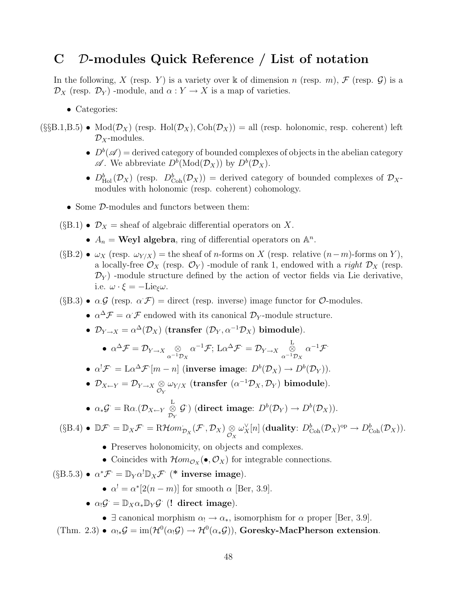# C D-modules Quick Reference / List of notation

In the following, X (resp. Y) is a variety over k of dimension n (resp. m), F (resp.  $\mathcal G$ ) is a  $\mathcal{D}_X$  (resp.  $\mathcal{D}_Y$ ) -module, and  $\alpha: Y \to X$  is a map of varieties.

- Categories:
- $(\S_{\S}B.1,B.5)$  Mod $(\mathcal{D}_X)$  (resp. Hol $(\mathcal{D}_X)$ , Coh $(\mathcal{D}_X)$ ) = all (resp. holonomic, resp. coherent) left  $\mathcal{D}_X$ -modules.
	- $D^b(\mathscr{A}) =$  derived category of bounded complexes of objects in the abelian category  $\mathscr{A}$ . We abbreviate  $D^b(\text{Mod}(\mathcal{D}_X))$  by  $D^b(\mathcal{D}_X)$ .
	- $D_{\text{Hol}}^b(\mathcal{D}_X)$  (resp.  $D_{\text{Coh}}^b(\mathcal{D}_X)$ ) = derived category of bounded complexes of  $\mathcal{D}_X$ . modules with holonomic (resp. coherent) cohomology.
	- Some D-modules and functors between them:
	- $(\S B.1) \bullet \mathcal{D}_X = \text{sheaf of algebraic differential operators on } X.$ 
		- $A_n = \text{Weyl algebra}$ , ring of differential operators on  $\mathbb{A}^n$ .
	- (§B.2)  $\omega_X$  (resp.  $\omega_{Y/X}$ ) = the sheaf of *n*-forms on X (resp. relative  $(n-m)$ -forms on Y), a locally-free  $\mathcal{O}_X$  (resp.  $\mathcal{O}_Y$ ) -module of rank 1, endowed with a *right*  $\mathcal{D}_X$  (resp.  $\mathcal{D}_Y$ ) -module structure defined by the action of vector fields via Lie derivative, i.e.  $\omega \cdot \xi = -\text{Lie}_{\xi}\omega$ .
	- (§B.3)  $\alpha \mathcal{G}$  (resp.  $\alpha \mathcal{F}$ ) = direct (resp. inverse) image functor for  $\mathcal{O}$ -modules.
		- $\alpha^{\Delta} \mathcal{F} = \alpha \mathcal{F}$  endowed with its canonical  $\mathcal{D}_Y$ -module structure.
		- $\mathcal{D}_{Y\to X} = \alpha^{\Delta}(\mathcal{D}_X)$  (transfer  $(\mathcal{D}_Y, \alpha^{-1}\mathcal{D}_X)$  bimodule).

• 
$$
\alpha^{\Delta} \mathcal{F} = \mathcal{D}_{Y \to X} \underset{\alpha^{-1} \mathcal{D}_X}{\otimes} \alpha^{-1} \mathcal{F}; \operatorname{L} \alpha^{\Delta} \mathcal{F} = \mathcal{D}_{Y \to X} \underset{\alpha^{-1} \mathcal{D}_X}{\overset{\operatorname{L}}{\otimes}} \alpha^{-1} \mathcal{F}
$$

- $\alpha^! \mathcal{F} = \mathbb{L} \alpha^{\Delta} \mathcal{F} [m n]$  (inverse image:  $D^b(\mathcal{D}_X) \to D^b(\mathcal{D}_Y)$ ).
- $\mathcal{D}_{X \leftarrow Y} = \mathcal{D}_{Y \rightarrow X} \underset{\mathcal{O}_Y}{\otimes} \omega_{Y/X}$  (transfer  $(\alpha^{-1} \mathcal{D}_X, \mathcal{D}_Y)$  bimodule).
- $\bullet\ \alpha_*\mathcal{G}^\cdot = \mathrm{R}\alpha. (\mathcal{D}_{X \leftarrow Y} \overset{\mathbf{L}}{\otimes}$  $\mathcal{D}_Y$  $\mathcal{G}^{\cdot}) \; (\textbf{direct image: } D^b(\mathcal{D}_Y) \rightarrow D^b(\mathcal{D}_X)) .$

$$
(\S B.4) \bullet \mathbb{D} \mathcal{F} = \mathbb{D}_X \mathcal{F} = \mathbb{R} \mathcal{H} \text{om}_{\mathcal{D}_X}(\mathcal{F}, \mathcal{D}_X) \underset{\mathcal{O}_X}{\otimes} \omega_X^{\vee}[n] \left(\text{duality: } D^b_{\text{Coh}}(\mathcal{D}_X)^{\text{op}} \to D^b_{\text{Coh}}(\mathcal{D}_X)\right).
$$

- Preserves holonomicity, on objects and complexes.
- Coincides with  $\mathcal{H}om_{\mathcal{O}_X}(\bullet, \mathcal{O}_X)$  for integrable connections.

$$
(\S
$$
B.5.3) •  $\alpha^* \mathcal{F} = \mathbb{D}_Y \alpha^! \mathbb{D}_X \mathcal{F}$  (\* inverse image).

- $\alpha^! = \alpha^* [2(n-m)]$  for smooth  $\alpha$  [Ber, 3.9].
- $\alpha_! \mathcal{G} = \mathbb{D}_X \alpha_* \mathbb{D}_Y \mathcal{G}$  (! direct image).
	- $\exists$  canonical morphism  $\alpha_1 \rightarrow \alpha_*$ , isomorphism for  $\alpha$  proper [Ber, 3.9].

(Thm. 2.3) •  $\alpha_{!*} \mathcal{G} = \text{im}(\mathcal{H}^0(\alpha_!\mathcal{G}) \to \mathcal{H}^0(\alpha_*\mathcal{G}))$ , Goresky-MacPherson extension.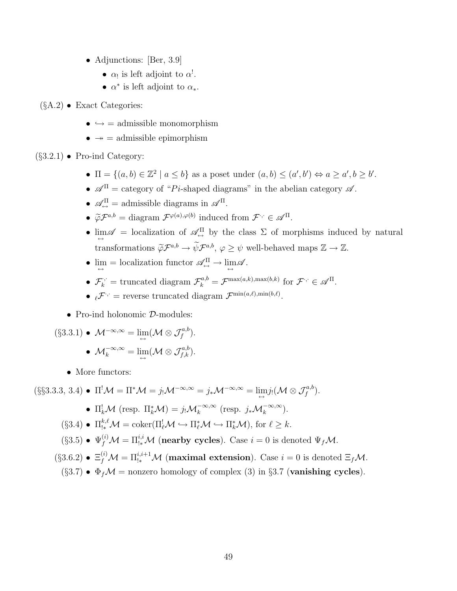- Adjunctions: [Ber, 3.9]
	- $\alpha_!$  is left adjoint to  $\alpha^!$ .
	- $\alpha^*$  is left adjoint to  $\alpha_*$ .
- $(\S A.2)$  Exact Categories:
	- $\bullet \hookrightarrow =$  admissible monomorphism
	- $\bullet \rightarrow \bullet$  admissible epimorphism

 $(\S 3.2.1)$  • Pro-ind Category:

- $\Pi = \{(a, b) \in \mathbb{Z}^2 \mid a \leq b\}$  as a poset under  $(a, b) \leq (a', b') \Leftrightarrow a \geq a', b \geq b'$ .
- $\mathscr{A}^{\Pi}$  = category of "Pi-shaped diagrams" in the abelian category  $\mathscr{A}$ .
- $\mathscr{A}_{\leftrightarrow}^{\Pi}$  = admissible diagrams in  $\mathscr{A}^{\Pi}$ .
- $\widetilde{\varphi} \mathcal{F}^{a,b} = \text{diagram } \mathcal{F}^{\varphi(a),\varphi(b)}$  induced from  $\mathcal{F}^{\cdot,\cdot} \in \mathcal{A}^{\Pi}$ .
- $\lim_{\leftarrow} \mathscr{A} =$  localization of  $\mathscr{A}_{\leftarrow}^{\Pi}$  by the class  $\Sigma$  of morphisms induced by natural transformations  $\widetilde{\varphi} \mathcal{F}^{a,b} \to \widetilde{\psi} \mathcal{F}^{a,b}, \varphi \geq \psi$  well-behaved maps  $\mathbb{Z} \to \mathbb{Z}$ .
- $\lim_{\longleftrightarrow}$  = localization functor  $\mathscr{A}_{\hookrightarrow}^{\Pi} \to \lim_{\longleftrightarrow} \mathscr{A}$ .
- $\mathcal{F}_k^{\cdot,\cdot} =$  truncated diagram  $\mathcal{F}_k^{a,b} = \mathcal{F}^{\max(a,k),\max(b,k)}$  for  $\mathcal{F}^{\cdot,\cdot} \in \mathcal{A}^{\Pi}$ .
- $\ell^{\mathcal{F}}$  = reverse truncated diagram  $\mathcal{F}^{\min(a,\ell),\min(b,\ell)}$ .
- Pro-ind holonomic  $D$ -modules:

$$
\begin{aligned} \text{(§3.3.1)} \bullet \mathcal{M}^{-\infty,\infty} &= \lim_{\longleftrightarrow} (\mathcal{M} \otimes \mathcal{J}_f^{a,b}).\\ \bullet \mathcal{M}_k^{-\infty,\infty} &= \lim_{\longleftrightarrow} (\mathcal{M} \otimes \mathcal{J}_{f,k}^{a,b}). \end{aligned}
$$

• More functors:

 $(\S$ §3.3.3, 3.4) •  $\Pi^! \mathcal{M} = \Pi^* \mathcal{M} = j_! \mathcal{M}^{-\infty,\infty} = j_* \mathcal{M}^{-\infty,\infty} = \lim_{\longleftrightarrow} j_! (\mathcal{M} \otimes \mathcal{J}_f^{a,b}).$ 

• 
$$
\Pi_k^! \mathcal{M}
$$
 (resp.  $\Pi_k^* \mathcal{M}$ ) =  $j_! \mathcal{M}_k^{-\infty,\infty}$  (resp.  $j_* \mathcal{M}_k^{-\infty,\infty}$ ).

$$
(\S 3.4) \bullet \Pi_{!*}^{k,\ell} \mathcal{M} = \mathrm{coker}(\Pi_{\ell}^! \mathcal{M} \hookrightarrow \Pi_{\ell}^* \mathcal{M} \hookrightarrow \Pi_k^* \mathcal{M}), \text{ for } \ell \geq k.
$$

- $(\S 3.5) \bullet \Psi_f^{(i)} \mathcal{M} = \Pi_{!*}^{i,i} \mathcal{M}$  (nearby cycles). Case  $i = 0$  is denoted  $\Psi_f \mathcal{M}$ .
- $(\S 3.6.2) \bullet \Xi_f^{(i)} \mathcal{M} = \Pi_{!*}^{i,i+1} \mathcal{M}$  (maximal extension). Case  $i = 0$  is denoted  $\Xi_f \mathcal{M}$ .
- (§3.7)  $\Phi_f \mathcal{M}$  = nonzero homology of complex (3) in §3.7 (vanishing cycles).